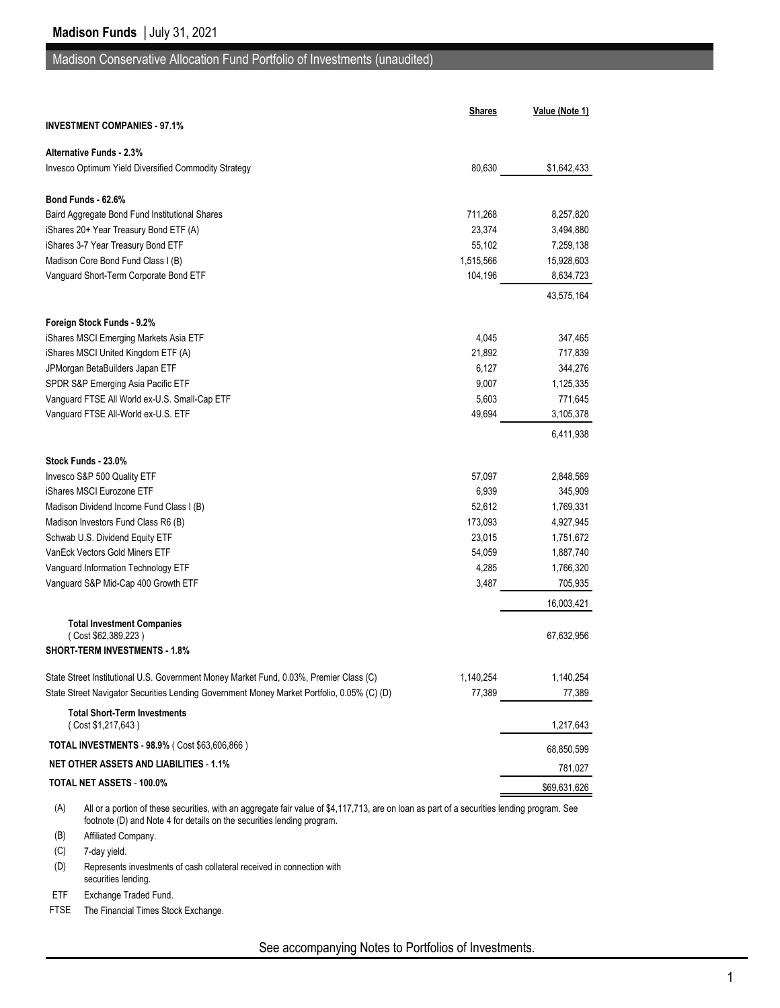# Madison Conservative Allocation Fund Portfolio of Investments (unaudited)

|                                                                                            | <b>Shares</b> | Value (Note 1) |
|--------------------------------------------------------------------------------------------|---------------|----------------|
| <b>INVESTMENT COMPANIES - 97.1%</b>                                                        |               |                |
| <b>Alternative Funds - 2.3%</b>                                                            |               |                |
| Invesco Optimum Yield Diversified Commodity Strategy                                       | 80,630        | \$1,642,433    |
| Bond Funds 62.6%                                                                           |               |                |
| Baird Aggregate Bond Fund Institutional Shares                                             | 711,268       | 8,257,820      |
| iShares 20+ Year Treasury Bond ETF (A)                                                     | 23,374        | 3,494,880      |
| iShares 3-7 Year Treasury Bond ETF                                                         | 55,102        | 7,259,138      |
| Madison Core Bond Fund Class I (B)                                                         | 1,515,566     | 15,928,603     |
| Vanguard Short-Term Corporate Bond ETF                                                     | 104,196       | 8,634,723      |
|                                                                                            |               | 43,575,164     |
| Foreign Stock Funds - 9.2%                                                                 |               |                |
| iShares MSCI Emerging Markets Asia ETF                                                     | 4,045         | 347,465        |
| iShares MSCI United Kingdom ETF (A)                                                        | 21,892        | 717,839        |
| JPMorgan BetaBuilders Japan ETF                                                            | 6,127         | 344,276        |
| SPDR S&P Emerging Asia Pacific ETF                                                         | 9,007         | 1,125,335      |
| Vanguard FTSE All World ex-U.S. Small-Cap ETF                                              | 5,603         | 771,645        |
| Vanguard FTSE All-World ex-U.S. ETF                                                        | 49,694        | 3,105,378      |
|                                                                                            |               | 6,411,938      |
| Stock Funds - 23.0%                                                                        |               |                |
| Invesco S&P 500 Quality ETF                                                                | 57,097        | 2,848,569      |
| iShares MSCI Eurozone ETF                                                                  | 6,939         | 345,909        |
| Madison Dividend Income Fund Class I (B)                                                   | 52,612        | 1,769,331      |
| Madison Investors Fund Class R6 (B)                                                        | 173,093       | 4,927,945      |
| Schwab U.S. Dividend Equity ETF                                                            | 23,015        | 1,751,672      |
| VanEck Vectors Gold Miners ETF                                                             | 54,059        | 1,887,740      |
| Vanguard Information Technology ETF                                                        | 4,285         | 1,766,320      |
| Vanguard S&P Mid-Cap 400 Growth ETF                                                        | 3,487         | 705,935        |
|                                                                                            |               | 16,003,421     |
| <b>Total Investment Companies</b><br>(Cost \$62,389,223)                                   |               | 67,632,956     |
| <b>SHORT-TERM INVESTMENTS - 1.8%</b>                                                       |               |                |
| State Street Institutional U.S. Government Money Market Fund, 0.03%, Premier Class (C)     | 1,140,254     | 1,140,254      |
| State Street Navigator Securities Lending Government Money Market Portfolio, 0.05% (C) (D) | 77,389        | 77,389         |
| <b>Total Short-Term Investments</b><br>(Cost \$1,217,643)                                  |               | 1,217,643      |
| TOTAL INVESTMENTS - 98.9% ( Cost \$63,606,866 )                                            |               | 68,850,599     |
| <b>NET OTHER ASSETS AND LIABILITIES - 1.1%</b>                                             |               | 781,027        |
| TOTAL NET ASSETS - 100.0%                                                                  |               | \$69,631,626   |
|                                                                                            |               |                |

(A) All or a portion of these securities, with an aggregate fair value of \$4,117,713, are on loan as part of a securities lending program. See footnote (D) and Note 4 for details on the securities lending program.

(B) Affiliated Company.

(C) 7-day yield.

(D) Represents investments of cash collateral received in connection with securities lending.

ETF Exchange Traded Fund.

FTSE The Financial Times Stock Exchange.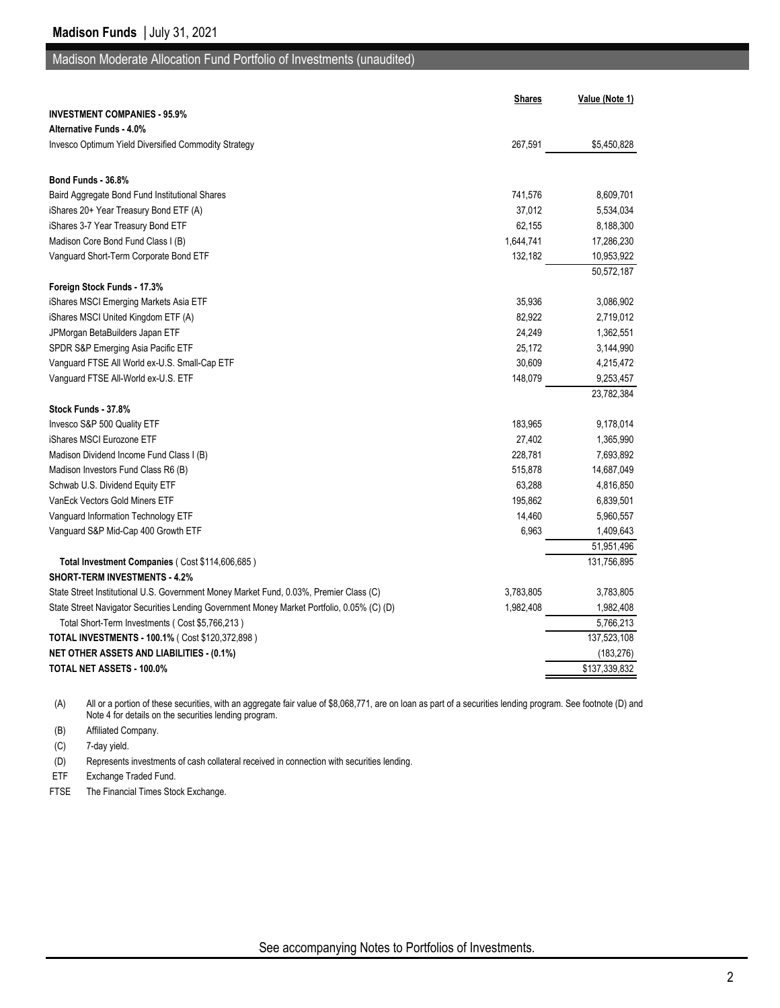## Madison Moderate Allocation Fund Portfolio of Investments (unaudited)

|                                                                                            | <b>Shares</b> | Value (Note 1) |
|--------------------------------------------------------------------------------------------|---------------|----------------|
| <b>INVESTMENT COMPANIES - 95.9%</b>                                                        |               |                |
| <b>Alternative Funds - 4.0%</b>                                                            |               |                |
| <b>Invesco Optimum Yield Diversified Commodity Strategy</b>                                | 267,591       | \$5,450,828    |
|                                                                                            |               |                |
| Bond Funds - 36.8%                                                                         |               |                |
| Baird Aggregate Bond Fund Institutional Shares                                             | 741,576       | 8,609,701      |
| iShares 20+ Year Treasury Bond ETF (A)                                                     | 37,012        | 5,534,034      |
| iShares 3-7 Year Treasury Bond ETF                                                         | 62,155        | 8,188,300      |
| Madison Core Bond Fund Class I (B)                                                         | 1,644,741     | 17,286,230     |
| Vanguard Short-Term Corporate Bond ETF                                                     | 132,182       | 10,953,922     |
|                                                                                            |               | 50,572,187     |
| Foreign Stock Funds - 17.3%                                                                |               |                |
| iShares MSCI Emerging Markets Asia ETF                                                     | 35,936        | 3,086,902      |
| iShares MSCI United Kingdom ETF (A)                                                        | 82,922        | 2,719,012      |
| JPMorgan BetaBuilders Japan ETF                                                            | 24,249        | 1,362,551      |
| SPDR S&P Emerging Asia Pacific ETF                                                         | 25,172        | 3,144,990      |
| Vanguard FTSE All World ex-U.S. Small-Cap ETF                                              | 30,609        | 4,215,472      |
| Vanguard FTSE All-World ex-U.S. ETF                                                        | 148,079       | 9,253,457      |
|                                                                                            |               | 23,782,384     |
| Stock Funds - 37.8%                                                                        |               |                |
| Invesco S&P 500 Quality ETF                                                                | 183,965       | 9,178,014      |
| iShares MSCI Eurozone ETF                                                                  | 27,402        | 1,365,990      |
| Madison Dividend Income Fund Class I (B)                                                   | 228,781       | 7,693,892      |
| Madison Investors Fund Class R6 (B)                                                        | 515,878       | 14,687,049     |
| Schwab U.S. Dividend Equity ETF                                                            | 63,288        | 4,816,850      |
| VanEck Vectors Gold Miners ETF                                                             | 195,862       | 6,839,501      |
| Vanguard Information Technology ETF                                                        | 14,460        | 5,960,557      |
| Vanguard S&P Mid-Cap 400 Growth ETF                                                        | 6,963         | 1,409,643      |
|                                                                                            |               | 51,951,496     |
| Total Investment Companies (Cost \$114,606,685)                                            |               | 131,756,895    |
| <b>SHORT-TERM INVESTMENTS 4.2%</b>                                                         |               |                |
| State Street Institutional U.S. Government Money Market Fund, 0.03%, Premier Class (C)     | 3,783,805     | 3,783,805      |
| State Street Navigator Securities Lending Government Money Market Portfolio, 0.05% (C) (D) | 1,982,408     | 1,982,408      |
| Total Short-Term Investments (Cost \$5,766,213)                                            |               | 5,766,213      |
| TOTAL INVESTMENTS - 100.1% ( Cost \$120,372,898 )                                          |               | 137,523,108    |
| <b>NET OTHER ASSETS AND LIABILITIES - (0.1%)</b>                                           |               | (183, 276)     |
| TOTAL NET ASSETS - 100.0%                                                                  |               | \$137,339,832  |

(A) All or a portion of these securities, with an aggregate fair value of \$8,068,771, are on loan as part of a securities lending program. See footnote (D) and Note 4 for details on the securities lending program.

(B) Affiliated Company.

(C) 7-day yield.

(D) Represents investments of cash collateral received in connection with securities lending.

ETF Exchange Traded Fund.

FTSE The Financial Times Stock Exchange.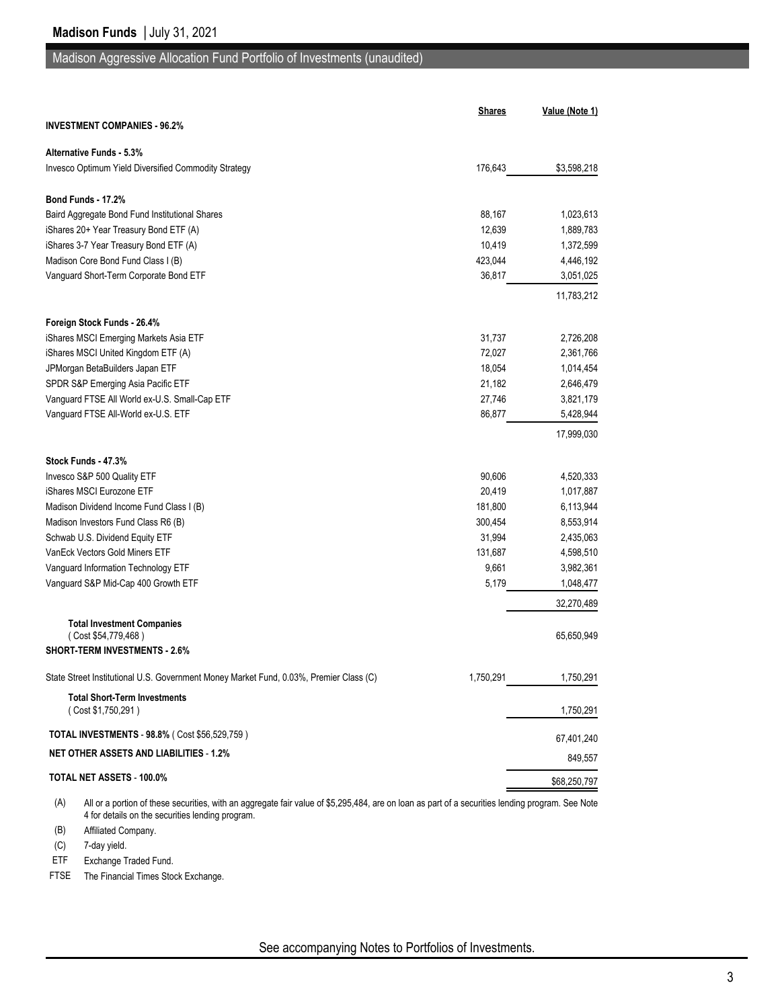#### Madison Aggressive Allocation Fund Portfolio of Investments (unaudited)

| <b>INVESTMENT COMPANIES - 96.2%</b><br><b>Alternative Funds - 5.3%</b><br>\$3,598,218<br>Invesco Optimum Yield Diversified Commodity Strategy<br>176,643<br>Bond Funds - 17.2%<br>88,167<br>Baird Aggregate Bond Fund Institutional Shares<br>1,023,613<br>iShares 20+ Year Treasury Bond ETF (A)<br>12,639<br>1,889,783<br>iShares 3-7 Year Treasury Bond ETF (A)<br>10,419<br>1,372,599<br>Madison Core Bond Fund Class I (B)<br>423,044<br>4,446,192<br>Vanguard Short-Term Corporate Bond ETF<br>36,817<br>3,051,025<br>11,783,212<br>Foreign Stock Funds - 26.4%<br>31,737<br>iShares MSCI Emerging Markets Asia ETF<br>2,726,208<br>iShares MSCI United Kingdom ETF (A)<br>72,027<br>2,361,766<br>JPMorgan BetaBuilders Japan ETF<br>18,054<br>1,014,454<br>SPDR S&P Emerging Asia Pacific ETF<br>21,182<br>2,646,479<br>Vanguard FTSE All World ex-U.S. Small-Cap ETF<br>27,746<br>3,821,179<br>Vanguard FTSE All-World ex-U.S. ETF<br>86,877<br>5,428,944<br>17,999,030<br>Stock Funds - 47.3%<br>Invesco S&P 500 Quality ETF<br>90,606<br>4,520,333<br>iShares MSCI Eurozone ETF<br>20,419<br>1,017,887<br>181,800<br>Madison Dividend Income Fund Class I (B)<br>6,113,944<br>Madison Investors Fund Class R6 (B)<br>300,454<br>8,553,914<br>Schwab U.S. Dividend Equity ETF<br>31,994<br>2,435,063<br>VanEck Vectors Gold Miners ETF<br>131,687<br>4,598,510<br>Vanguard Information Technology ETF<br>9,661<br>3,982,361<br>Vanguard S&P Mid-Cap 400 Growth ETF<br>5,179<br>1,048,477<br>32,270,489<br><b>Total Investment Companies</b><br>(Cost \$54,779,468)<br>65,650,949<br><b>SHORT-TERM INVESTMENTS - 2.6%</b><br>State Street Institutional U.S. Government Money Market Fund, 0.03%, Premier Class (C)<br>1,750,291<br>1,750,291<br><b>Total Short-Term Investments</b><br>(Cost \$1,750,291)<br>1,750,291<br>TOTAL INVESTMENTS - 98.8% (Cost \$56,529,759)<br><b>NET OTHER ASSETS AND LIABILITIES - 1.2%</b><br>TOTAL NET ASSETS - 100.0%<br>\$68,250,797 | <b>Shares</b> | Value (Note 1) |
|---------------------------------------------------------------------------------------------------------------------------------------------------------------------------------------------------------------------------------------------------------------------------------------------------------------------------------------------------------------------------------------------------------------------------------------------------------------------------------------------------------------------------------------------------------------------------------------------------------------------------------------------------------------------------------------------------------------------------------------------------------------------------------------------------------------------------------------------------------------------------------------------------------------------------------------------------------------------------------------------------------------------------------------------------------------------------------------------------------------------------------------------------------------------------------------------------------------------------------------------------------------------------------------------------------------------------------------------------------------------------------------------------------------------------------------------------------------------------------------------------------------------------------------------------------------------------------------------------------------------------------------------------------------------------------------------------------------------------------------------------------------------------------------------------------------------------------------------------------------------------------------------------------------------------------------------------------------------------------|---------------|----------------|
|                                                                                                                                                                                                                                                                                                                                                                                                                                                                                                                                                                                                                                                                                                                                                                                                                                                                                                                                                                                                                                                                                                                                                                                                                                                                                                                                                                                                                                                                                                                                                                                                                                                                                                                                                                                                                                                                                                                                                                                 |               |                |
|                                                                                                                                                                                                                                                                                                                                                                                                                                                                                                                                                                                                                                                                                                                                                                                                                                                                                                                                                                                                                                                                                                                                                                                                                                                                                                                                                                                                                                                                                                                                                                                                                                                                                                                                                                                                                                                                                                                                                                                 |               |                |
|                                                                                                                                                                                                                                                                                                                                                                                                                                                                                                                                                                                                                                                                                                                                                                                                                                                                                                                                                                                                                                                                                                                                                                                                                                                                                                                                                                                                                                                                                                                                                                                                                                                                                                                                                                                                                                                                                                                                                                                 |               |                |
|                                                                                                                                                                                                                                                                                                                                                                                                                                                                                                                                                                                                                                                                                                                                                                                                                                                                                                                                                                                                                                                                                                                                                                                                                                                                                                                                                                                                                                                                                                                                                                                                                                                                                                                                                                                                                                                                                                                                                                                 |               |                |
|                                                                                                                                                                                                                                                                                                                                                                                                                                                                                                                                                                                                                                                                                                                                                                                                                                                                                                                                                                                                                                                                                                                                                                                                                                                                                                                                                                                                                                                                                                                                                                                                                                                                                                                                                                                                                                                                                                                                                                                 |               |                |
|                                                                                                                                                                                                                                                                                                                                                                                                                                                                                                                                                                                                                                                                                                                                                                                                                                                                                                                                                                                                                                                                                                                                                                                                                                                                                                                                                                                                                                                                                                                                                                                                                                                                                                                                                                                                                                                                                                                                                                                 |               |                |
|                                                                                                                                                                                                                                                                                                                                                                                                                                                                                                                                                                                                                                                                                                                                                                                                                                                                                                                                                                                                                                                                                                                                                                                                                                                                                                                                                                                                                                                                                                                                                                                                                                                                                                                                                                                                                                                                                                                                                                                 |               |                |
|                                                                                                                                                                                                                                                                                                                                                                                                                                                                                                                                                                                                                                                                                                                                                                                                                                                                                                                                                                                                                                                                                                                                                                                                                                                                                                                                                                                                                                                                                                                                                                                                                                                                                                                                                                                                                                                                                                                                                                                 |               |                |
|                                                                                                                                                                                                                                                                                                                                                                                                                                                                                                                                                                                                                                                                                                                                                                                                                                                                                                                                                                                                                                                                                                                                                                                                                                                                                                                                                                                                                                                                                                                                                                                                                                                                                                                                                                                                                                                                                                                                                                                 |               |                |
|                                                                                                                                                                                                                                                                                                                                                                                                                                                                                                                                                                                                                                                                                                                                                                                                                                                                                                                                                                                                                                                                                                                                                                                                                                                                                                                                                                                                                                                                                                                                                                                                                                                                                                                                                                                                                                                                                                                                                                                 |               |                |
|                                                                                                                                                                                                                                                                                                                                                                                                                                                                                                                                                                                                                                                                                                                                                                                                                                                                                                                                                                                                                                                                                                                                                                                                                                                                                                                                                                                                                                                                                                                                                                                                                                                                                                                                                                                                                                                                                                                                                                                 |               |                |
|                                                                                                                                                                                                                                                                                                                                                                                                                                                                                                                                                                                                                                                                                                                                                                                                                                                                                                                                                                                                                                                                                                                                                                                                                                                                                                                                                                                                                                                                                                                                                                                                                                                                                                                                                                                                                                                                                                                                                                                 |               |                |
|                                                                                                                                                                                                                                                                                                                                                                                                                                                                                                                                                                                                                                                                                                                                                                                                                                                                                                                                                                                                                                                                                                                                                                                                                                                                                                                                                                                                                                                                                                                                                                                                                                                                                                                                                                                                                                                                                                                                                                                 |               |                |
|                                                                                                                                                                                                                                                                                                                                                                                                                                                                                                                                                                                                                                                                                                                                                                                                                                                                                                                                                                                                                                                                                                                                                                                                                                                                                                                                                                                                                                                                                                                                                                                                                                                                                                                                                                                                                                                                                                                                                                                 |               |                |
|                                                                                                                                                                                                                                                                                                                                                                                                                                                                                                                                                                                                                                                                                                                                                                                                                                                                                                                                                                                                                                                                                                                                                                                                                                                                                                                                                                                                                                                                                                                                                                                                                                                                                                                                                                                                                                                                                                                                                                                 |               |                |
|                                                                                                                                                                                                                                                                                                                                                                                                                                                                                                                                                                                                                                                                                                                                                                                                                                                                                                                                                                                                                                                                                                                                                                                                                                                                                                                                                                                                                                                                                                                                                                                                                                                                                                                                                                                                                                                                                                                                                                                 |               |                |
|                                                                                                                                                                                                                                                                                                                                                                                                                                                                                                                                                                                                                                                                                                                                                                                                                                                                                                                                                                                                                                                                                                                                                                                                                                                                                                                                                                                                                                                                                                                                                                                                                                                                                                                                                                                                                                                                                                                                                                                 |               |                |
|                                                                                                                                                                                                                                                                                                                                                                                                                                                                                                                                                                                                                                                                                                                                                                                                                                                                                                                                                                                                                                                                                                                                                                                                                                                                                                                                                                                                                                                                                                                                                                                                                                                                                                                                                                                                                                                                                                                                                                                 |               |                |
|                                                                                                                                                                                                                                                                                                                                                                                                                                                                                                                                                                                                                                                                                                                                                                                                                                                                                                                                                                                                                                                                                                                                                                                                                                                                                                                                                                                                                                                                                                                                                                                                                                                                                                                                                                                                                                                                                                                                                                                 |               |                |
|                                                                                                                                                                                                                                                                                                                                                                                                                                                                                                                                                                                                                                                                                                                                                                                                                                                                                                                                                                                                                                                                                                                                                                                                                                                                                                                                                                                                                                                                                                                                                                                                                                                                                                                                                                                                                                                                                                                                                                                 |               |                |
|                                                                                                                                                                                                                                                                                                                                                                                                                                                                                                                                                                                                                                                                                                                                                                                                                                                                                                                                                                                                                                                                                                                                                                                                                                                                                                                                                                                                                                                                                                                                                                                                                                                                                                                                                                                                                                                                                                                                                                                 |               |                |
|                                                                                                                                                                                                                                                                                                                                                                                                                                                                                                                                                                                                                                                                                                                                                                                                                                                                                                                                                                                                                                                                                                                                                                                                                                                                                                                                                                                                                                                                                                                                                                                                                                                                                                                                                                                                                                                                                                                                                                                 |               |                |
|                                                                                                                                                                                                                                                                                                                                                                                                                                                                                                                                                                                                                                                                                                                                                                                                                                                                                                                                                                                                                                                                                                                                                                                                                                                                                                                                                                                                                                                                                                                                                                                                                                                                                                                                                                                                                                                                                                                                                                                 |               |                |
|                                                                                                                                                                                                                                                                                                                                                                                                                                                                                                                                                                                                                                                                                                                                                                                                                                                                                                                                                                                                                                                                                                                                                                                                                                                                                                                                                                                                                                                                                                                                                                                                                                                                                                                                                                                                                                                                                                                                                                                 |               |                |
|                                                                                                                                                                                                                                                                                                                                                                                                                                                                                                                                                                                                                                                                                                                                                                                                                                                                                                                                                                                                                                                                                                                                                                                                                                                                                                                                                                                                                                                                                                                                                                                                                                                                                                                                                                                                                                                                                                                                                                                 |               |                |
|                                                                                                                                                                                                                                                                                                                                                                                                                                                                                                                                                                                                                                                                                                                                                                                                                                                                                                                                                                                                                                                                                                                                                                                                                                                                                                                                                                                                                                                                                                                                                                                                                                                                                                                                                                                                                                                                                                                                                                                 |               |                |
|                                                                                                                                                                                                                                                                                                                                                                                                                                                                                                                                                                                                                                                                                                                                                                                                                                                                                                                                                                                                                                                                                                                                                                                                                                                                                                                                                                                                                                                                                                                                                                                                                                                                                                                                                                                                                                                                                                                                                                                 |               |                |
|                                                                                                                                                                                                                                                                                                                                                                                                                                                                                                                                                                                                                                                                                                                                                                                                                                                                                                                                                                                                                                                                                                                                                                                                                                                                                                                                                                                                                                                                                                                                                                                                                                                                                                                                                                                                                                                                                                                                                                                 |               |                |
|                                                                                                                                                                                                                                                                                                                                                                                                                                                                                                                                                                                                                                                                                                                                                                                                                                                                                                                                                                                                                                                                                                                                                                                                                                                                                                                                                                                                                                                                                                                                                                                                                                                                                                                                                                                                                                                                                                                                                                                 |               |                |
|                                                                                                                                                                                                                                                                                                                                                                                                                                                                                                                                                                                                                                                                                                                                                                                                                                                                                                                                                                                                                                                                                                                                                                                                                                                                                                                                                                                                                                                                                                                                                                                                                                                                                                                                                                                                                                                                                                                                                                                 |               |                |
|                                                                                                                                                                                                                                                                                                                                                                                                                                                                                                                                                                                                                                                                                                                                                                                                                                                                                                                                                                                                                                                                                                                                                                                                                                                                                                                                                                                                                                                                                                                                                                                                                                                                                                                                                                                                                                                                                                                                                                                 |               |                |
|                                                                                                                                                                                                                                                                                                                                                                                                                                                                                                                                                                                                                                                                                                                                                                                                                                                                                                                                                                                                                                                                                                                                                                                                                                                                                                                                                                                                                                                                                                                                                                                                                                                                                                                                                                                                                                                                                                                                                                                 |               |                |
|                                                                                                                                                                                                                                                                                                                                                                                                                                                                                                                                                                                                                                                                                                                                                                                                                                                                                                                                                                                                                                                                                                                                                                                                                                                                                                                                                                                                                                                                                                                                                                                                                                                                                                                                                                                                                                                                                                                                                                                 |               | 67,401,240     |
|                                                                                                                                                                                                                                                                                                                                                                                                                                                                                                                                                                                                                                                                                                                                                                                                                                                                                                                                                                                                                                                                                                                                                                                                                                                                                                                                                                                                                                                                                                                                                                                                                                                                                                                                                                                                                                                                                                                                                                                 |               | 849,557        |
|                                                                                                                                                                                                                                                                                                                                                                                                                                                                                                                                                                                                                                                                                                                                                                                                                                                                                                                                                                                                                                                                                                                                                                                                                                                                                                                                                                                                                                                                                                                                                                                                                                                                                                                                                                                                                                                                                                                                                                                 |               |                |

(A) All or a portion of these securities, with an aggregate fair value of \$5,295,484, are on loan as part of a securities lending program. See Note 4 for details on the securities lending program.

(B) Affiliated Company.

(C) 7-day yield.

ETF Exchange Traded Fund.

FTSE The Financial Times Stock Exchange.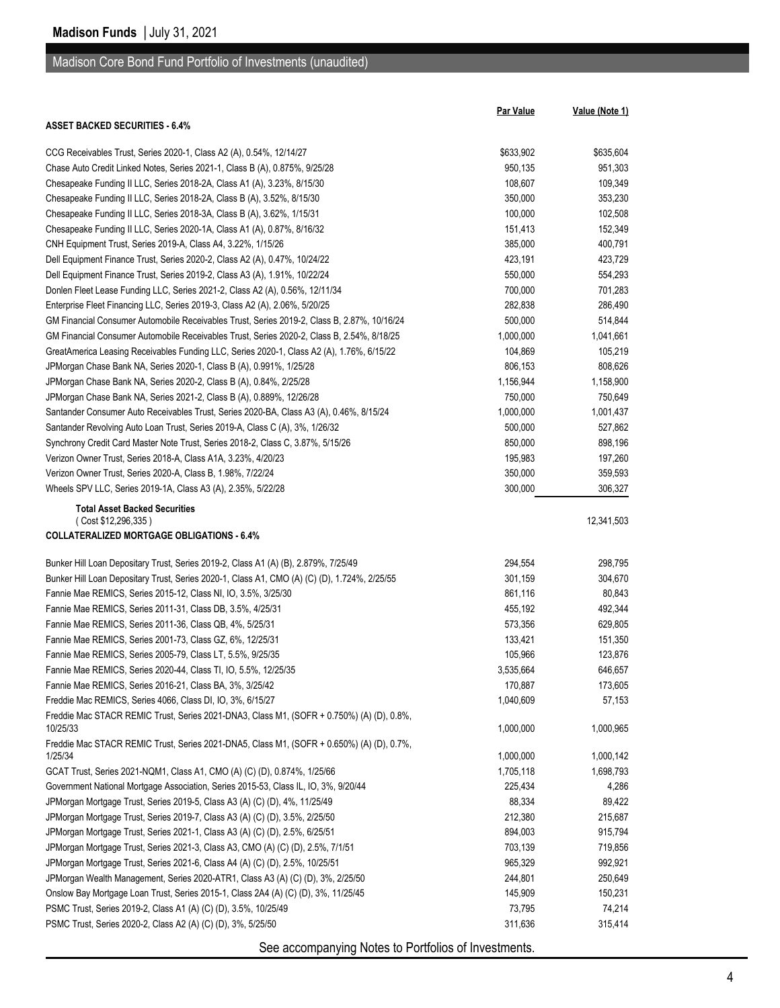Madison Core Bond Fund Portfolio of Investments (unaudited)

|                                                                                                                                                    | <b>Par Value</b>     | Value (Note 1)       |
|----------------------------------------------------------------------------------------------------------------------------------------------------|----------------------|----------------------|
| <b>ASSET BACKED SECURITIES 6.4%</b>                                                                                                                |                      |                      |
|                                                                                                                                                    |                      |                      |
| CCG Receivables Trust, Series 2020-1, Class A2 (A), 0.54%, 12/14/27<br>Chase Auto Credit Linked Notes, Series 2021-1, Class B (A), 0.875%, 9/25/28 | \$633,902<br>950,135 | \$635,604<br>951,303 |
| Chesapeake Funding II LLC, Series 2018-2A, Class A1 (A), 3.23%, 8/15/30                                                                            | 108,607              | 109,349              |
| Chesapeake Funding II LLC, Series 2018-2A, Class B (A), 3.52%, 8/15/30                                                                             | 350,000              | 353,230              |
|                                                                                                                                                    |                      |                      |
| Chesapeake Funding II LLC, Series 2018-3A, Class B (A), 3.62%, 1/15/31                                                                             | 100,000<br>151,413   | 102,508              |
| Chesapeake Funding II LLC, Series 2020-1A, Class A1 (A), 0.87%, 8/16/32                                                                            |                      | 152,349              |
| CNH Equipment Trust, Series 2019-A, Class A4, 3.22%, 1/15/26                                                                                       | 385,000              | 400,791              |
| Dell Equipment Finance Trust, Series 2020-2, Class A2 (A), 0.47%, 10/24/22                                                                         | 423,191              | 423,729              |
| Dell Equipment Finance Trust, Series 2019-2, Class A3 (A), 1.91%, 10/22/24                                                                         | 550,000              | 554,293              |
| Donlen Fleet Lease Funding LLC, Series 2021-2, Class A2 (A), 0.56%, 12/11/34                                                                       | 700,000              | 701,283              |
| Enterprise Fleet Financing LLC, Series 2019-3, Class A2 (A), 2.06%, 5/20/25                                                                        | 282,838              | 286,490              |
| GM Financial Consumer Automobile Receivables Trust, Series 2019-2, Class B, 2.87%, 10/16/24                                                        | 500,000              | 514,844              |
| GM Financial Consumer Automobile Receivables Trust, Series 2020-2, Class B, 2.54%, 8/18/25                                                         | 1,000,000            | 1,041,661            |
| GreatAmerica Leasing Receivables Funding LLC, Series 2020-1, Class A2 (A), 1.76%, 6/15/22                                                          | 104,869              | 105,219              |
| JPMorgan Chase Bank NA, Series 2020-1, Class B (A), 0.991%, 1/25/28                                                                                | 806,153              | 808,626              |
| JPMorgan Chase Bank NA, Series 2020-2, Class B (A), 0.84%, 2/25/28                                                                                 | 1,156,944            | 1,158,900            |
| JPMorgan Chase Bank NA, Series 2021-2, Class B (A), 0.889%, 12/26/28                                                                               | 750,000              | 750,649              |
| Santander Consumer Auto Receivables Trust, Series 2020-BA, Class A3 (A), 0.46%, 8/15/24                                                            | 1,000,000            | 1,001,437            |
| Santander Revolving Auto Loan Trust, Series 2019-A, Class C (A), 3%, 1/26/32                                                                       | 500,000              | 527,862              |
| Synchrony Credit Card Master Note Trust, Series 2018-2, Class C, 3.87%, 5/15/26                                                                    | 850,000              | 898,196              |
| Verizon Owner Trust, Series 2018-A, Class A1A, 3.23%, 4/20/23                                                                                      | 195,983              | 197,260              |
| Verizon Owner Trust, Series 2020-A, Class B, 1.98%, 7/22/24                                                                                        | 350,000              | 359,593              |
| Wheels SPV LLC, Series 2019-1A, Class A3 (A), 2.35%, 5/22/28                                                                                       | 300,000              | 306,327              |
| <b>Total Asset Backed Securities</b>                                                                                                               |                      |                      |
| (Cost \$12,296,335)<br><b>COLLATERALIZED MORTGAGE OBLIGATIONS - 6.4%</b>                                                                           |                      | 12,341,503           |
|                                                                                                                                                    |                      |                      |
| Bunker Hill Loan Depositary Trust, Series 2019-2, Class A1 (A) (B), 2.879%, 7/25/49                                                                | 294,554              | 298,795              |
| Bunker Hill Loan Depositary Trust, Series 2020-1, Class A1, CMO (A) (C) (D), 1.724%, 2/25/55                                                       | 301,159              | 304,670              |
| Fannie Mae REMICS, Series 2015-12, Class NI, IO, 3.5%, 3/25/30                                                                                     | 861,116              | 80,843               |
| Fannie Mae REMICS, Series 2011-31, Class DB, 3.5%, 4/25/31                                                                                         | 455,192              | 492,344              |
| Fannie Mae REMICS, Series 2011-36, Class QB, 4%, 5/25/31                                                                                           | 573,356              | 629,805              |
| Fannie Mae REMICS, Series 2001-73, Class GZ, 6%, 12/25/31                                                                                          | 133,421              | 151,350              |
| Fannie Mae REMICS, Series 2005-79, Class LT, 5.5%, 9/25/35                                                                                         | 105,966              | 123,876              |
| Fannie Mae REMICS, Series 2020-44, Class TI, IO, 5.5%, 12/25/35                                                                                    | 3,535,664            | 646,657              |
| Fannie Mae REMICS, Series 2016-21, Class BA, 3%, 3/25/42                                                                                           | 170,887              | 173,605              |
| Freddie Mac REMICS, Series 4066, Class DI, IO, 3%, 6/15/27                                                                                         | 1,040,609            | 57,153               |
| Freddie Mac STACR REMIC Trust, Series 2021-DNA3, Class M1, (SOFR + 0.750%) (A) (D), 0.8%,<br>10/25/33                                              | 1,000,000            | 1,000,965            |
| Freddie Mac STACR REMIC Trust, Series 2021-DNA5, Class M1, (SOFR + 0.650%) (A) (D), 0.7%,                                                          |                      |                      |
| 1/25/34                                                                                                                                            | 1,000,000            | 1,000,142            |
| GCAT Trust, Series 2021-NQM1, Class A1, CMO (A) (C) (D), 0.874%, 1/25/66                                                                           | 1,705,118            | 1,698,793            |
| Government National Mortgage Association, Series 2015-53, Class IL, IO, 3%, 9/20/44                                                                | 225,434              | 4,286                |
| JPMorgan Mortgage Trust, Series 2019-5, Class A3 (A) (C) (D), 4%, 11/25/49                                                                         | 88,334               | 89,422               |
| JPMorgan Mortgage Trust, Series 2019-7, Class A3 (A) (C) (D), 3.5%, 2/25/50                                                                        | 212,380              | 215,687              |
| JPMorgan Mortgage Trust, Series 2021-1, Class A3 (A) (C) (D), 2.5%, 6/25/51                                                                        | 894,003              | 915,794              |
| JPMorgan Mortgage Trust, Series 2021-3, Class A3, CMO (A) (C) (D), 2.5%, 7/1/51                                                                    | 703,139              | 719,856              |
| JPMorgan Mortgage Trust, Series 2021-6, Class A4 (A) (C) (D), 2.5%, 10/25/51                                                                       | 965,329              | 992,921              |
| JPMorgan Wealth Management, Series 2020-ATR1, Class A3 (A) (C) (D), 3%, 2/25/50                                                                    | 244,801              | 250,649              |
| Onslow Bay Mortgage Loan Trust, Series 2015-1, Class 2A4 (A) (C) (D), 3%, 11/25/45                                                                 | 145,909              | 150,231              |
| PSMC Trust, Series 2019-2, Class A1 (A) (C) (D), 3.5%, 10/25/49                                                                                    | 73,795               | 74,214               |
| PSMC Trust, Series 2020-2, Class A2 (A) (C) (D), 3%, 5/25/50                                                                                       | 311,636              | 315,414              |
|                                                                                                                                                    |                      |                      |
| See accompanying Notes to Portfolios of Investments.                                                                                               |                      |                      |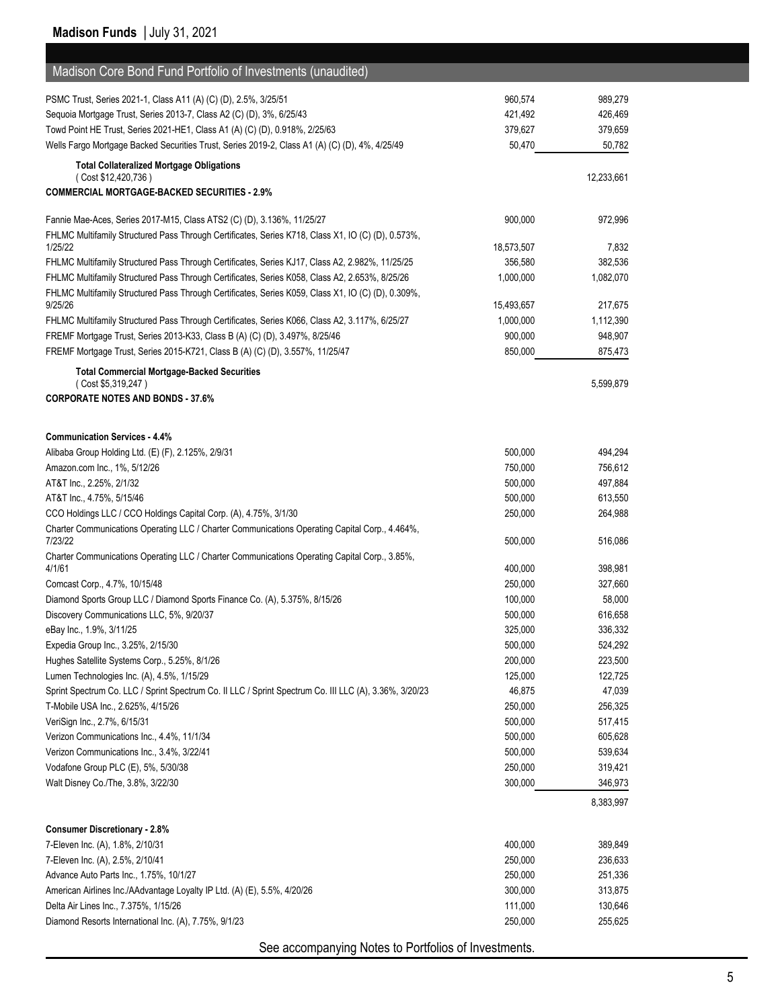| Madison Core Bond Fund Portfolio of Investments (unaudited)                                               |            |            |
|-----------------------------------------------------------------------------------------------------------|------------|------------|
| PSMC Trust, Series 2021-1, Class A11 (A) (C) (D), 2.5%, 3/25/51                                           | 960,574    | 989,279    |
| Sequoia Mortgage Trust, Series 2013-7, Class A2 (C) (D), 3%, 6/25/43                                      | 421,492    | 426,469    |
| Towd Point HE Trust, Series 2021-HE1, Class A1 (A) (C) (D), 0.918%, 2/25/63                               | 379,627    | 379,659    |
| Wells Fargo Mortgage Backed Securities Trust, Series 2019-2, Class A1 (A) (C) (D), 4%, 4/25/49            | 50,470     | 50,782     |
| <b>Total Collateralized Mortgage Obligations</b>                                                          |            |            |
| (Cost \$12,420,736)                                                                                       |            | 12,233,661 |
| <b>COMMERCIAL MORTGAGE-BACKED SECURITIES - 2.9%</b>                                                       |            |            |
| Fannie Mae-Aces, Series 2017-M15, Class ATS2 (C) (D), 3.136%, 11/25/27                                    | 900,000    | 972,996    |
| FHLMC Multifamily Structured Pass Through Certificates, Series K718, Class X1, IO (C) (D), 0.573%,        |            |            |
| 1/25/22                                                                                                   | 18,573,507 | 7,832      |
| FHLMC Multifamily Structured Pass Through Certificates, Series KJ17, Class A2, 2.982%, 11/25/25           | 356,580    | 382,536    |
| FHLMC Multifamily Structured Pass Through Certificates, Series K058, Class A2, 2.653%, 8/25/26            | 1,000,000  | 1,082,070  |
| FHLMC Multifamily Structured Pass Through Certificates, Series K059, Class X1, IO (C) (D), 0.309%,        |            |            |
| 9/25/26                                                                                                   | 15,493,657 | 217,675    |
| FHLMC Multifamily Structured Pass Through Certificates, Series K066, Class A2, 3.117%, 6/25/27            | 1,000,000  | 1,112,390  |
| FREMF Mortgage Trust, Series 2013-K33, Class B (A) (C) (D), 3.497%, 8/25/46                               | 900,000    | 948,907    |
| FREMF Mortgage Trust, Series 2015-K721, Class B (A) (C) (D), 3.557%, 11/25/47                             | 850,000    | 875,473    |
| <b>Total Commercial Mortgage-Backed Securities</b>                                                        |            |            |
| (Cost \$5,319,247)<br><b>CORPORATE NOTES AND BONDS - 37.6%</b>                                            |            | 5,599,879  |
|                                                                                                           |            |            |
|                                                                                                           |            |            |
| <b>Communication Services - 4.4%</b>                                                                      |            |            |
| Alibaba Group Holding Ltd. (E) (F), 2.125%, 2/9/31                                                        | 500,000    | 494,294    |
| Amazon.com Inc., 1%, 5/12/26                                                                              | 750,000    | 756,612    |
| AT&T Inc., 2.25%, 2/1/32                                                                                  | 500,000    | 497,884    |
| AT&T Inc., 4.75%, 5/15/46                                                                                 | 500,000    | 613,550    |
| CCO Holdings LLC / CCO Holdings Capital Corp. (A), 4.75%, 3/1/30                                          | 250,000    | 264,988    |
| Charter Communications Operating LLC / Charter Communications Operating Capital Corp., 4.464%,<br>7/23/22 | 500,000    | 516,086    |
| Charter Communications Operating LLC / Charter Communications Operating Capital Corp., 3.85%,             |            |            |
| 4/1/61                                                                                                    | 400,000    | 398,981    |
| Comcast Corp., 4.7%, 10/15/48                                                                             | 250,000    | 327,660    |
| Diamond Sports Group LLC / Diamond Sports Finance Co. (A), 5.375%, 8/15/26                                | 100,000    | 58,000     |
| Discovery Communications LLC, 5%, 9/20/37                                                                 | 500,000    | 616,658    |
| eBay Inc., 1.9%, 3/11/25                                                                                  | 325,000    | 336,332    |
| Expedia Group Inc., 3.25%, 2/15/30                                                                        | 500,000    | 524,292    |
| Hughes Satellite Systems Corp., 5.25%, 8/1/26                                                             | 200,000    | 223,500    |
| Lumen Technologies Inc. (A), 4.5%, 1/15/29                                                                | 125,000    | 122,725    |
| Sprint Spectrum Co. LLC / Sprint Spectrum Co. II LLC / Sprint Spectrum Co. III LLC (A), 3.36%, 3/20/23    | 46,875     | 47,039     |
| T-Mobile USA Inc., 2.625%, 4/15/26                                                                        | 250,000    | 256,325    |
| VeriSign Inc., 2.7%, 6/15/31                                                                              | 500,000    | 517,415    |
| Verizon Communications Inc., 4.4%, 11/1/34                                                                | 500,000    | 605,628    |
| Verizon Communications Inc., 3.4%, 3/22/41                                                                | 500,000    | 539,634    |
| Vodafone Group PLC (E), 5%, 5/30/38                                                                       | 250,000    | 319,421    |
| Walt Disney Co./The, 3.8%, 3/22/30                                                                        | 300,000    | 346,973    |
|                                                                                                           |            | 8,383,997  |
| <b>Consumer Discretionary - 2.8%</b>                                                                      |            |            |
| 7-Eleven Inc. (A), 1.8%, 2/10/31                                                                          | 400,000    | 389,849    |
| 7-Eleven Inc. (A), 2.5%, 2/10/41                                                                          | 250,000    | 236,633    |
| Advance Auto Parts Inc., 1.75%, 10/1/27                                                                   | 250,000    | 251,336    |
| American Airlines Inc./AAdvantage Loyalty IP Ltd. (A) (E), 5.5%, 4/20/26                                  | 300,000    | 313,875    |
| Delta Air Lines Inc., 7.375%, 1/15/26                                                                     | 111,000    | 130,646    |
| Diamond Resorts International Inc. (A), 7.75%, 9/1/23                                                     | 250,000    | 255,625    |
|                                                                                                           |            |            |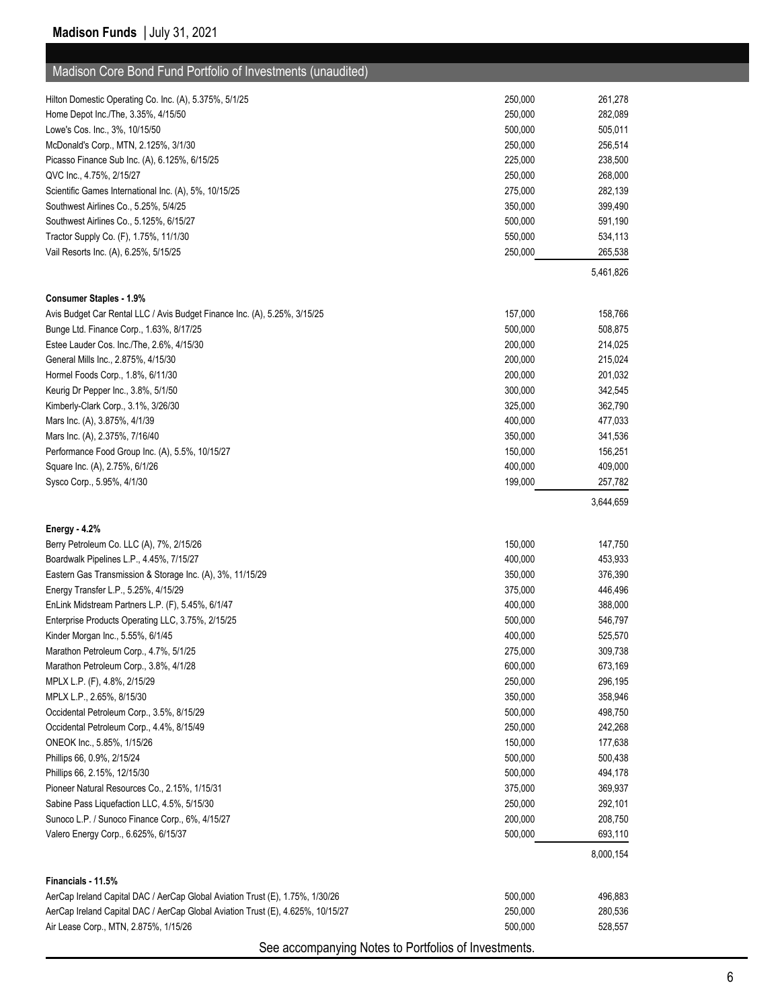| Madison Core Bond Fund Portfolio of Investments (unaudited)                                                 |                    |                    |
|-------------------------------------------------------------------------------------------------------------|--------------------|--------------------|
| Hilton Domestic Operating Co. Inc. (A), 5.375%, 5/1/25                                                      | 250,000            | 261,278            |
| Home Depot Inc./The, 3.35%, 4/15/50                                                                         | 250,000            | 282,089            |
| Lowe's Cos. Inc., 3%, 10/15/50                                                                              | 500,000            | 505,011            |
| McDonald's Corp., MTN, 2.125%, 3/1/30                                                                       | 250,000            | 256,514            |
| Picasso Finance Sub Inc. (A), 6.125%, 6/15/25                                                               | 225,000            | 238,500            |
| QVC Inc., 4.75%, 2/15/27                                                                                    | 250,000            | 268,000            |
| Scientific Games International Inc. (A), 5%, 10/15/25                                                       | 275,000            | 282,139            |
| Southwest Airlines Co., 5.25%, 5/4/25                                                                       | 350,000            | 399,490            |
| Southwest Airlines Co., 5.125%, 6/15/27                                                                     | 500,000            | 591,190            |
| Tractor Supply Co. (F), 1.75%, 11/1/30                                                                      | 550,000            | 534,113            |
| Vail Resorts Inc. (A), 6.25%, 5/15/25                                                                       | 250,000            | 265,538            |
|                                                                                                             |                    | 5,461,826          |
|                                                                                                             |                    |                    |
| <b>Consumer Staples - 1.9%</b><br>Avis Budget Car Rental LLC / Avis Budget Finance Inc. (A), 5.25%, 3/15/25 | 157,000            | 158,766            |
| Bunge Ltd. Finance Corp., 1.63%, 8/17/25                                                                    | 500,000            | 508,875            |
| Estee Lauder Cos. Inc./The, 2.6%, 4/15/30                                                                   | 200,000            | 214,025            |
| General Mills Inc., 2.875%, 4/15/30                                                                         | 200,000            | 215,024            |
| Hormel Foods Corp., 1.8%, 6/11/30                                                                           | 200,000            | 201,032            |
| Keurig Dr Pepper Inc., 3.8%, 5/1/50                                                                         | 300,000            | 342,545            |
| Kimberly-Clark Corp., 3.1%, 3/26/30                                                                         | 325,000            | 362,790            |
| Mars Inc. (A), 3.875%, 4/1/39                                                                               | 400,000            | 477,033            |
| Mars Inc. (A), 2.375%, 7/16/40                                                                              | 350,000            | 341,536            |
| Performance Food Group Inc. (A), 5.5%, 10/15/27                                                             | 150,000            | 156,251            |
| Square Inc. (A), 2.75%, 6/1/26                                                                              | 400,000            | 409,000            |
| Sysco Corp., 5.95%, 4/1/30                                                                                  | 199,000            | 257,782            |
|                                                                                                             |                    | 3,644,659          |
|                                                                                                             |                    |                    |
| Energy - 4.2%                                                                                               |                    |                    |
| Berry Petroleum Co. LLC (A), 7%, 2/15/26                                                                    | 150,000            | 147,750            |
| Boardwalk Pipelines L.P., 4.45%, 7/15/27                                                                    | 400,000            | 453,933            |
| Eastern Gas Transmission & Storage Inc. (A), 3%, 11/15/29                                                   | 350,000            | 376,390<br>446,496 |
| Energy Transfer L.P., 5.25%, 4/15/29                                                                        | 375,000<br>400,000 |                    |
| EnLink Midstream Partners L.P. (F), 5.45%, 6/1/47                                                           | 500,000            | 388,000<br>546,797 |
| Enterprise Products Operating LLC, 3.75%, 2/15/25<br>Kinder Morgan Inc., 5.55%, 6/1/45                      | 400,000            | 525,570            |
| Marathon Petroleum Corp., 4.7%, 5/1/25                                                                      | 275,000            | 309,738            |
| Marathon Petroleum Corp., 3.8%, 4/1/28                                                                      | 600,000            | 673,169            |
| MPLX L.P. (F), 4.8%, 2/15/29                                                                                | 250,000            | 296,195            |
| MPLX L.P., 2.65%, 8/15/30                                                                                   | 350,000            | 358,946            |
| Occidental Petroleum Corp., 3.5%, 8/15/29                                                                   | 500,000            | 498,750            |
| Occidental Petroleum Corp., 4.4%, 8/15/49                                                                   | 250,000            | 242,268            |
| ONEOK Inc., 5.85%, 1/15/26                                                                                  | 150,000            | 177,638            |
| Phillips 66, 0.9%, 2/15/24                                                                                  | 500,000            | 500,438            |
| Phillips 66, 2.15%, 12/15/30                                                                                | 500,000            | 494,178            |
| Pioneer Natural Resources Co., 2.15%, 1/15/31                                                               | 375,000            | 369,937            |
| Sabine Pass Liquefaction LLC, 4.5%, 5/15/30                                                                 | 250,000            | 292,101            |
| Sunoco L.P. / Sunoco Finance Corp., 6%, 4/15/27                                                             | 200,000            | 208,750            |
| Valero Energy Corp., 6.625%, 6/15/37                                                                        | 500,000            | 693,110            |
|                                                                                                             |                    | 8,000,154          |
|                                                                                                             |                    |                    |
| Financials - 11.5%                                                                                          |                    |                    |
| AerCap Ireland Capital DAC / AerCap Global Aviation Trust (E), 1.75%, 1/30/26                               | 500,000            | 496,883            |
| AerCap Ireland Capital DAC / AerCap Global Aviation Trust (E), 4.625%, 10/15/27                             | 250,000            | 280,536            |
| Air Lease Corp., MTN, 2.875%, 1/15/26                                                                       | 500,000            | 528,557            |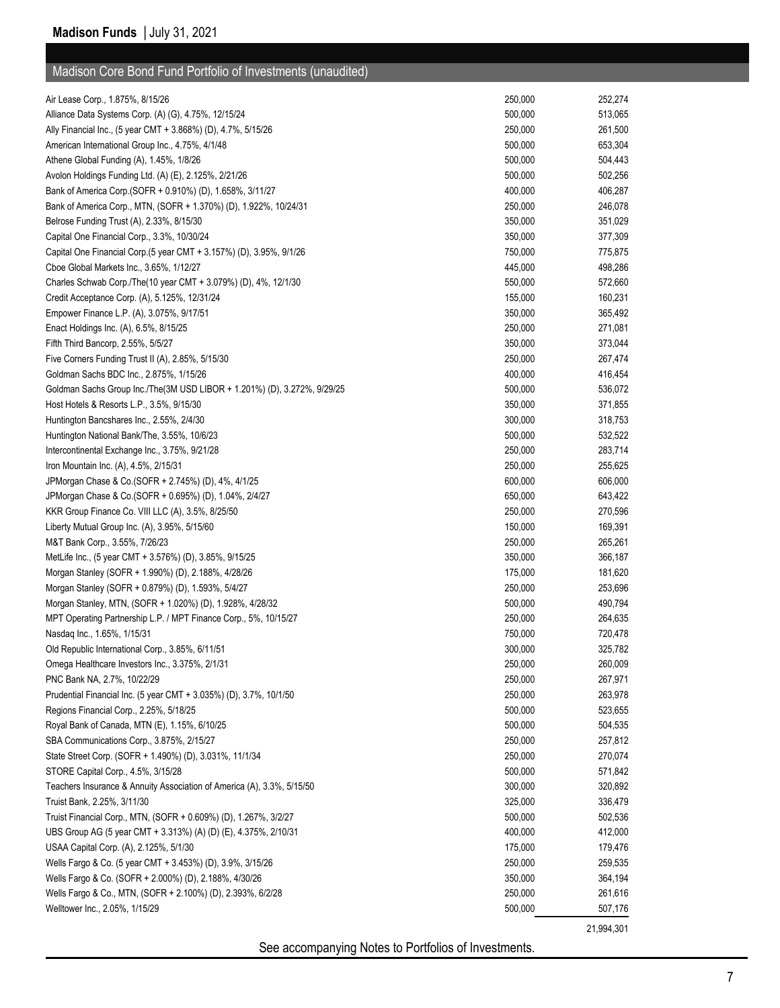|  | Madison Core Bond Fund Portfolio of Investments (unaudited) |  |
|--|-------------------------------------------------------------|--|
|  |                                                             |  |

| Air Lease Corp., 1.875%, 8/15/26                                                                    | 250,000 | 252,274    |
|-----------------------------------------------------------------------------------------------------|---------|------------|
| Alliance Data Systems Corp. (A) (G), 4.75%, 12/15/24                                                | 500,000 | 513,065    |
| Ally Financial Inc., (5 year CMT + 3.868%) (D), 4.7%, 5/15/26                                       | 250,000 | 261,500    |
| American International Group Inc., 4.75%, 4/1/48                                                    | 500,000 | 653,304    |
| Athene Global Funding (A), 1.45%, 1/8/26                                                            | 500,000 | 504,443    |
| Avolon Holdings Funding Ltd. (A) (E), 2.125%, 2/21/26                                               | 500,000 | 502,256    |
| Bank of America Corp. (SOFR + 0.910%) (D), 1.658%, 3/11/27                                          | 400,000 | 406,287    |
| Bank of America Corp., MTN, (SOFR + 1.370%) (D), 1.922%, 10/24/31                                   | 250,000 | 246,078    |
| Belrose Funding Trust (A), 2.33%, 8/15/30                                                           | 350,000 | 351,029    |
| Capital One Financial Corp., 3.3%, 10/30/24                                                         | 350,000 | 377,309    |
| Capital One Financial Corp.(5 year CMT + 3.157%) (D), 3.95%, 9/1/26                                 | 750,000 | 775,875    |
| Cboe Global Markets Inc., 3.65%, 1/12/27                                                            | 445,000 | 498,286    |
| Charles Schwab Corp./The(10 year CMT + 3.079%) (D), 4%, 12/1/30                                     | 550,000 | 572,660    |
| Credit Acceptance Corp. (A), 5.125%, 12/31/24                                                       | 155,000 | 160,231    |
| Empower Finance L.P. (A), 3.075%, 9/17/51                                                           | 350,000 | 365,492    |
| Enact Holdings Inc. (A), 6.5%, 8/15/25                                                              | 250,000 | 271,081    |
| Fifth Third Bancorp, 2.55%, 5/5/27                                                                  | 350,000 | 373,044    |
| Five Corners Funding Trust II (A), 2.85%, 5/15/30                                                   | 250,000 | 267,474    |
| Goldman Sachs BDC Inc., 2.875%, 1/15/26                                                             | 400,000 | 416,454    |
| Goldman Sachs Group Inc./The(3M USD LIBOR + 1.201%) (D), 3.272%, 9/29/25                            | 500,000 | 536,072    |
| Host Hotels & Resorts L.P., 3.5%, 9/15/30                                                           | 350,000 | 371,855    |
| Huntington Bancshares Inc., 2.55%, 2/4/30                                                           | 300,000 | 318,753    |
| Huntington National Bank/The, 3.55%, 10/6/23                                                        | 500,000 | 532,522    |
| Intercontinental Exchange Inc., 3.75%, 9/21/28                                                      | 250,000 | 283,714    |
| Iron Mountain Inc. (A), 4.5%, 2/15/31                                                               | 250,000 | 255,625    |
| JPMorgan Chase & Co. (SOFR + 2.745%) (D), 4%, 4/1/25                                                | 600,000 | 606,000    |
| JPMorgan Chase & Co.(SOFR + 0.695%) (D), 1.04%, 2/4/27                                              | 650,000 | 643,422    |
| KKR Group Finance Co. VIII LLC (A), 3.5%, 8/25/50                                                   | 250,000 | 270,596    |
| Liberty Mutual Group Inc. (A), 3.95%, 5/15/60                                                       | 150,000 | 169,391    |
| M&T Bank Corp., 3.55%, 7/26/23                                                                      | 250,000 | 265,261    |
| MetLife Inc., (5 year CMT + 3.576%) (D), 3.85%, 9/15/25                                             | 350,000 | 366,187    |
| Morgan Stanley (SOFR + 1.990%) (D), 2.188%, 4/28/26                                                 | 175,000 | 181,620    |
| Morgan Stanley (SOFR + 0.879%) (D), 1.593%, 5/4/27                                                  | 250,000 | 253,696    |
| Morgan Stanley, MTN, (SOFR + 1.020%) (D), 1.928%, 4/28/32                                           | 500,000 | 490,794    |
| MPT Operating Partnership L.P. / MPT Finance Corp., 5%, 10/15/27                                    | 250,000 | 264,635    |
| Nasdag Inc., 1.65%, 1/15/31                                                                         |         |            |
|                                                                                                     | 750,000 | 720,478    |
| Old Republic International Corp., 3.85%, 6/11/51<br>Omega Healthcare Investors Inc., 3.375%, 2/1/31 | 300,000 | 325,782    |
|                                                                                                     | 250,000 | 260,009    |
| PNC Bank NA, 2.7%, 10/22/29                                                                         | 250,000 | 267,971    |
| Prudential Financial Inc. (5 year CMT + 3.035%) (D), 3.7%, 10/1/50                                  | 250,000 | 263,978    |
| Regions Financial Corp., 2.25%, 5/18/25                                                             | 500,000 | 523,655    |
| Royal Bank of Canada, MTN (E), 1.15%, 6/10/25                                                       | 500,000 | 504,535    |
| SBA Communications Corp., 3.875%, 2/15/27                                                           | 250,000 | 257,812    |
| State Street Corp. (SOFR + 1.490%) (D), 3.031%, 11/1/34                                             | 250,000 | 270,074    |
| STORE Capital Corp., 4.5%, 3/15/28                                                                  | 500,000 | 571,842    |
| Teachers Insurance & Annuity Association of America (A), 3.3%, 5/15/50                              | 300,000 | 320,892    |
| Truist Bank, 2.25%, 3/11/30                                                                         | 325,000 | 336,479    |
| Truist Financial Corp., MTN, (SOFR + 0.609%) (D), 1.267%, 3/2/27                                    | 500,000 | 502,536    |
| UBS Group AG (5 year CMT + 3.313%) (A) (D) (E), 4.375%, 2/10/31                                     | 400,000 | 412,000    |
| USAA Capital Corp. (A), 2.125%, 5/1/30                                                              | 175,000 | 179,476    |
| Wells Fargo & Co. (5 year CMT + 3.453%) (D), 3.9%, 3/15/26                                          | 250,000 | 259,535    |
| Wells Fargo & Co. (SOFR + 2.000%) (D), 2.188%, 4/30/26                                              | 350,000 | 364,194    |
| Wells Fargo & Co., MTN, (SOFR + 2.100%) (D), 2.393%, 6/2/28                                         | 250,000 | 261,616    |
| Welltower Inc., 2.05%, 1/15/29                                                                      | 500,000 | 507,176    |
|                                                                                                     |         | 21,994,301 |
|                                                                                                     |         |            |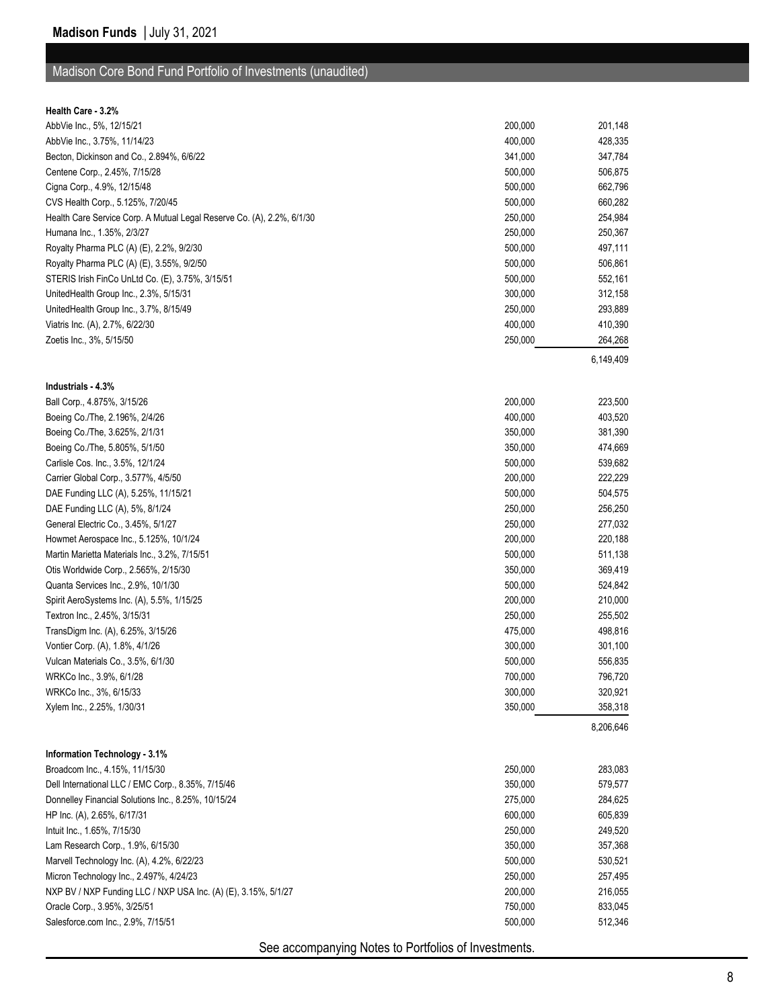#### Madison Core Bond Fund Portfolio of Investments (unaudited)

| <b>Health Care - 3.2%</b> |  |
|---------------------------|--|
|                           |  |

| AbbVie Inc., 5%, 12/15/21                                              | 200,000 | 201,148   |
|------------------------------------------------------------------------|---------|-----------|
| AbbVie Inc., 3.75%, 11/14/23                                           | 400,000 | 428,335   |
| Becton, Dickinson and Co., 2.894%, 6/6/22                              | 341,000 | 347,784   |
| Centene Corp., 2.45%, 7/15/28                                          | 500,000 | 506,875   |
| Cigna Corp., 4.9%, 12/15/48                                            | 500,000 | 662,796   |
| CVS Health Corp., 5.125%, 7/20/45                                      | 500,000 | 660,282   |
| Health Care Service Corp. A Mutual Legal Reserve Co. (A), 2.2%, 6/1/30 | 250,000 | 254,984   |
| Humana Inc., 1.35%, 2/3/27                                             | 250,000 | 250,367   |
| Royalty Pharma PLC (A) (E), 2.2%, 9/2/30                               | 500,000 | 497,111   |
| Royalty Pharma PLC (A) (E), 3.55%, 9/2/50                              | 500,000 | 506,861   |
| STERIS Irish FinCo UnLtd Co. (E), 3.75%, 3/15/51                       | 500,000 | 552,161   |
| UnitedHealth Group Inc., 2.3%, 5/15/31                                 | 300,000 | 312,158   |
| UnitedHealth Group Inc., 3.7%, 8/15/49                                 | 250,000 | 293,889   |
| Viatris Inc. (A), 2.7%, 6/22/30                                        | 400,000 | 410,390   |
| Zoetis Inc., 3%, 5/15/50                                               | 250,000 | 264,268   |
|                                                                        |         | 6,149,409 |
|                                                                        |         |           |
| Industrials - 4.3%                                                     |         |           |
| Ball Corp., 4.875%, 3/15/26                                            | 200,000 | 223,500   |
| Boeing Co./The, 2.196%, 2/4/26                                         | 400,000 | 403,520   |
| Boeing Co./The, 3.625%, 2/1/31                                         | 350,000 | 381,390   |
| Boeing Co./The, 5.805%, 5/1/50                                         | 350,000 | 474,669   |
| Carlisle Cos. Inc., 3.5%, 12/1/24                                      | 500,000 | 539,682   |
| Carrier Global Corp., 3.577%, 4/5/50                                   | 200,000 | 222,229   |
| DAE Funding LLC (A), 5.25%, 11/15/21                                   | 500,000 | 504,575   |
| DAE Funding LLC (A), 5%, 8/1/24                                        | 250,000 | 256,250   |
| General Electric Co., 3.45%, 5/1/27                                    | 250,000 | 277,032   |
| Howmet Aerospace Inc., 5.125%, 10/1/24                                 | 200,000 | 220,188   |
| Martin Marietta Materials Inc., 3.2%, 7/15/51                          | 500,000 | 511,138   |
| Otis Worldwide Corp., 2.565%, 2/15/30                                  | 350,000 | 369,419   |
| Quanta Services Inc., 2.9%, 10/1/30                                    | 500,000 | 524,842   |
| Spirit AeroSystems Inc. (A), 5.5%, 1/15/25                             | 200,000 | 210,000   |
|                                                                        | 250,000 |           |
| Textron Inc., 2.45%, 3/15/31                                           |         | 255,502   |
| TransDigm Inc. (A), 6.25%, 3/15/26                                     | 475,000 | 498,816   |
| Vontier Corp. (A), 1.8%, 4/1/26                                        | 300,000 | 301,100   |
| Vulcan Materials Co., 3.5%, 6/1/30                                     | 500,000 | 556,835   |
| WRKCo Inc., 3.9%, 6/1/28                                               | 700,000 | 796,720   |
| WRKCo Inc., 3%, 6/15/33                                                | 300,000 | 320,921   |
| Xylem Inc., 2.25%, 1/30/31                                             | 350,000 | 358,318   |
|                                                                        |         | 8,206,646 |
|                                                                        |         |           |
| Information Technology - 3.1%                                          |         |           |
| Broadcom Inc., 4.15%, 11/15/30                                         | 250,000 | 283,083   |
| Dell International LLC / EMC Corp., 8.35%, 7/15/46                     | 350,000 | 579,577   |
| Donnelley Financial Solutions Inc., 8.25%, 10/15/24                    | 275,000 | 284,625   |
| HP Inc. (A), 2.65%, 6/17/31                                            | 600,000 | 605,839   |
| Intuit Inc., 1.65%, 7/15/30                                            | 250,000 | 249,520   |
| Lam Research Corp., 1.9%, 6/15/30                                      | 350,000 | 357,368   |
| Marvell Technology Inc. (A), 4.2%, 6/22/23                             | 500,000 | 530,521   |
| Micron Technology Inc., 2.497%, 4/24/23                                | 250,000 | 257,495   |
| NXP BV / NXP Funding LLC / NXP USA Inc. (A) (E), 3.15%, 5/1/27         | 200,000 | 216,055   |
| Oracle Corp., 3.95%, 3/25/51                                           | 750,000 | 833,045   |
| Salesforce.com Inc., 2.9%, 7/15/51                                     | 500,000 | 512,346   |
|                                                                        |         |           |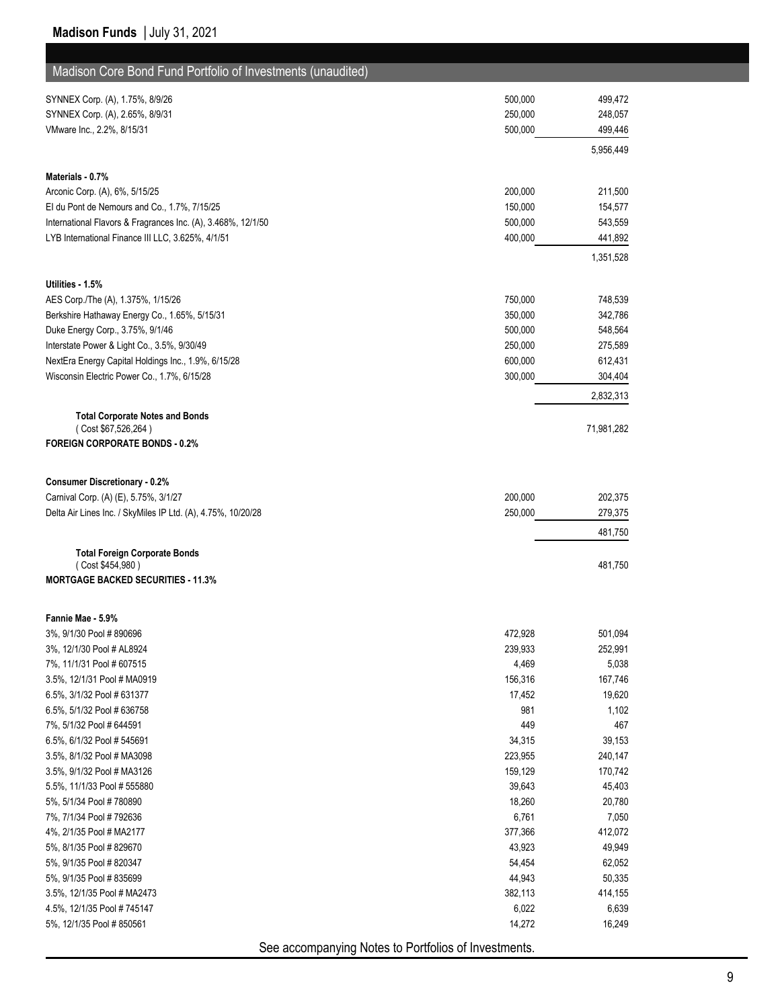| Madison Core Bond Fund Portfolio of Investments (unaudited)  |                    |                      |
|--------------------------------------------------------------|--------------------|----------------------|
| SYNNEX Corp. (A), 1.75%, 8/9/26                              | 500,000            | 499,472              |
| SYNNEX Corp. (A), 2.65%, 8/9/31                              | 250,000            | 248,057              |
| VMware Inc., 2.2%, 8/15/31                                   | 500,000            | 499,446              |
|                                                              |                    | 5,956,449            |
| Materials - 0.7%                                             |                    |                      |
| Arconic Corp. (A), 6%, 5/15/25                               | 200,000            | 211,500              |
| El du Pont de Nemours and Co., 1.7%, 7/15/25                 | 150,000            | 154,577              |
| International Flavors & Fragrances Inc. (A), 3.468%, 12/1/50 | 500,000            | 543,559              |
| LYB International Finance III LLC, 3.625%, 4/1/51            | 400,000            | 441,892              |
|                                                              |                    | 1,351,528            |
| Utilities - 1.5%                                             |                    |                      |
| AES Corp./The (A), 1.375%, 1/15/26                           | 750,000            | 748,539              |
| Berkshire Hathaway Energy Co., 1.65%, 5/15/31                | 350,000            | 342,786              |
| Duke Energy Corp., 3.75%, 9/1/46                             | 500,000            | 548,564              |
| Interstate Power & Light Co., 3.5%, 9/30/49                  | 250,000            | 275,589              |
| NextEra Energy Capital Holdings Inc., 1.9%, 6/15/28          | 600,000<br>300,000 | 612,431              |
| Wisconsin Electric Power Co., 1.7%, 6/15/28                  |                    | 304,404<br>2,832,313 |
| <b>Total Corporate Notes and Bonds</b>                       |                    |                      |
| (Cost \$67,526,264)                                          |                    | 71,981,282           |
| <b>FOREIGN CORPORATE BONDS - 0.2%</b>                        |                    |                      |
|                                                              |                    |                      |
| <b>Consumer Discretionary - 0.2%</b>                         |                    |                      |
| Carnival Corp. (A) (E), 5.75%, 3/1/27                        | 200,000            | 202,375              |
| Delta Air Lines Inc. / SkyMiles IP Ltd. (A), 4.75%, 10/20/28 | 250,000            | 279,375              |
|                                                              |                    | 481,750              |
| <b>Total Foreign Corporate Bonds</b>                         |                    |                      |
| (Cost \$454,980)                                             |                    | 481,750              |
| <b>MORTGAGE BACKED SECURITIES - 11.3%</b>                    |                    |                      |
| Fannie Mae - 5.9%                                            |                    |                      |
| 3%, 9/1/30 Pool # 890696                                     | 472,928            | 501,094              |
| 3%, 12/1/30 Pool # AL8924                                    | 239,933            | 252,991              |
| 7%, 11/1/31 Pool # 607515                                    | 4,469              | 5,038                |
| 3.5%, 12/1/31 Pool # MA0919                                  | 156,316            | 167,746              |
| 6.5%, 3/1/32 Pool # 631377                                   | 17,452             | 19,620               |
| 6.5%, 5/1/32 Pool # 636758                                   | 981                | 1,102                |
| 7%, 5/1/32 Pool # 644591                                     | 449                | 467                  |
| 6.5%, 6/1/32 Pool # 545691                                   | 34,315             | 39,153               |
| 3.5%, 8/1/32 Pool # MA3098                                   | 223,955            | 240,147              |
| 3.5%, 9/1/32 Pool # MA3126                                   | 159,129            | 170,742              |
| 5.5%, 11/1/33 Pool # 555880                                  | 39,643             | 45,403               |
| 5%, 5/1/34 Pool # 780890                                     | 18,260             | 20,780               |
| 7%, 7/1/34 Pool # 792636<br>4%, 2/1/35 Pool # MA2177         | 6,761<br>377,366   | 7,050                |
| 5%, 8/1/35 Pool # 829670                                     | 43,923             | 412,072<br>49,949    |
| 5%, 9/1/35 Pool # 820347                                     | 54,454             | 62,052               |
| 5%, 9/1/35 Pool # 835699                                     | 44,943             | 50,335               |
| 3.5%, 12/1/35 Pool # MA2473                                  | 382,113            | 414,155              |
| 4.5%, 12/1/35 Pool # 745147                                  | 6,022              | 6,639                |
| 5%, 12/1/35 Pool #850561                                     | 14,272             | 16,249               |
|                                                              |                    |                      |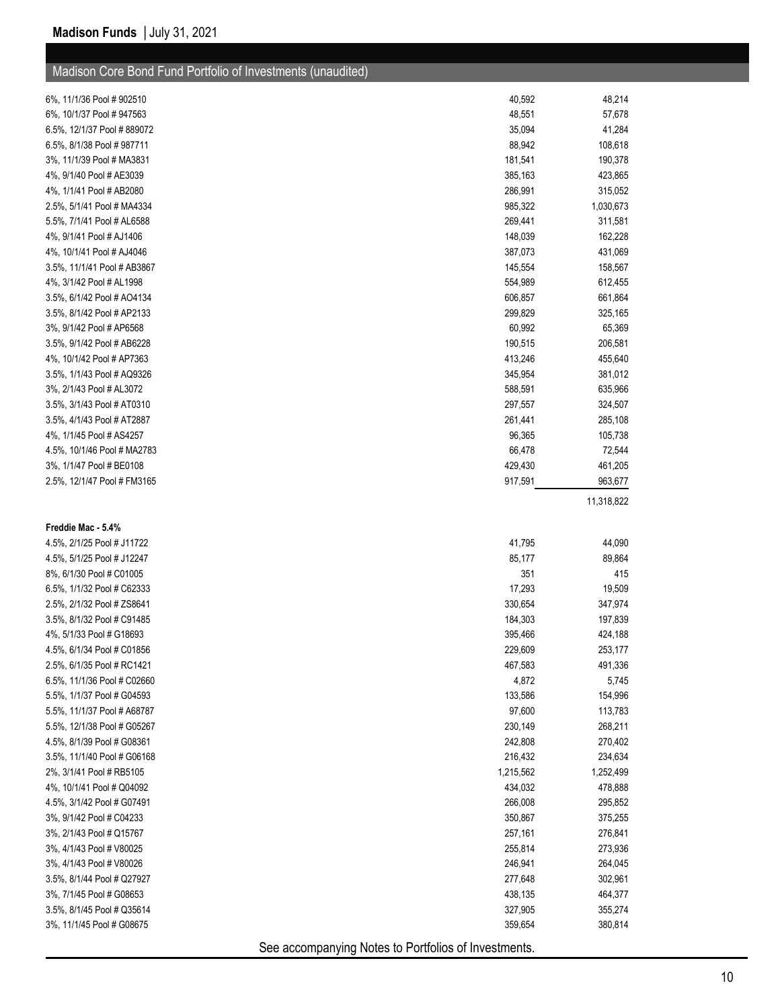| Madison Core Bond Fund Portfolio of Investments (unaudited) |           |            |
|-------------------------------------------------------------|-----------|------------|
| 6%, 11/1/36 Pool # 902510                                   | 40,592    | 48,214     |
| 6%, 10/1/37 Pool # 947563                                   | 48,551    | 57,678     |
| 6.5%, 12/1/37 Pool #889072                                  | 35,094    | 41,284     |
| 6.5%, 8/1/38 Pool # 987711                                  | 88,942    | 108,618    |
| 3%, 11/1/39 Pool # MA3831                                   | 181,541   | 190,378    |
| 4%, 9/1/40 Pool # AE3039                                    | 385,163   | 423,865    |
| 4%, 1/1/41 Pool # AB2080                                    | 286,991   | 315,052    |
| 2.5%, 5/1/41 Pool # MA4334                                  | 985,322   | 1,030,673  |
| 5.5%, 7/1/41 Pool # AL6588                                  | 269,441   | 311,581    |
| 4%, 9/1/41 Pool # AJ1406                                    | 148,039   | 162,228    |
| 4%, 10/1/41 Pool # AJ4046                                   | 387,073   | 431,069    |
| 3.5%, 11/1/41 Pool # AB3867                                 | 145,554   | 158,567    |
| 4%, 3/1/42 Pool # AL1998                                    | 554,989   | 612,455    |
| 3.5%, 6/1/42 Pool # AO4134                                  | 606,857   | 661,864    |
| 3.5%, 8/1/42 Pool # AP2133                                  | 299,829   | 325,165    |
| 3%, 9/1/42 Pool # AP6568                                    | 60,992    | 65,369     |
| 3.5%, 9/1/42 Pool # AB6228                                  | 190,515   | 206,581    |
| 4%, 10/1/42 Pool # AP7363                                   | 413,246   | 455,640    |
| 3.5%, 1/1/43 Pool # AQ9326                                  | 345,954   | 381,012    |
| 3%, 2/1/43 Pool # AL3072                                    | 588,591   | 635,966    |
| 3.5%, 3/1/43 Pool # AT0310                                  | 297,557   | 324,507    |
| 3.5%, 4/1/43 Pool # AT2887                                  | 261,441   | 285,108    |
| 4%, 1/1/45 Pool # AS4257                                    | 96,365    | 105,738    |
| 4.5%, 10/1/46 Pool # MA2783                                 | 66,478    | 72,544     |
| 3%, 1/1/47 Pool # BE0108                                    | 429,430   | 461,205    |
| 2.5%, 12/1/47 Pool # FM3165                                 | 917,591   | 963,677    |
|                                                             |           | 11,318,822 |
| Freddie Mac - 5.4%                                          |           |            |
| 4.5%, 2/1/25 Pool # J11722                                  | 41,795    | 44,090     |
| 4.5%, 5/1/25 Pool # J12247                                  | 85,177    | 89,864     |
| 8%, 6/1/30 Pool # C01005                                    | 351       | 415        |
| 6.5%, 1/1/32 Pool # C62333                                  | 17,293    | 19,509     |
| 2.5%, 2/1/32 Pool # ZS8641                                  | 330,654   | 347,974    |
| 3.5%, 8/1/32 Pool # C91485                                  | 184,303   | 197,839    |
| 4%, 5/1/33 Pool # G18693                                    | 395,466   | 424,188    |
| 4.5%, 6/1/34 Pool # C01856                                  | 229,609   | 253,177    |
| 2.5%, 6/1/35 Pool # RC1421                                  | 467,583   | 491,336    |
| 6.5%, 11/1/36 Pool # C02660                                 | 4,872     | 5,745      |
| 5.5%, 1/1/37 Pool # G04593                                  | 133,586   | 154,996    |
| 5.5%, 11/1/37 Pool # A68787                                 | 97,600    | 113,783    |
| 5.5%, 12/1/38 Pool # G05267                                 | 230,149   | 268,211    |
| 4.5%, 8/1/39 Pool # G08361                                  | 242,808   | 270,402    |
| 3.5%, 11/1/40 Pool # G06168                                 | 216,432   | 234,634    |
| 2%, 3/1/41 Pool # RB5105                                    | 1,215,562 | 1,252,499  |
| 4%, 10/1/41 Pool # Q04092                                   | 434,032   | 478,888    |
| 4.5%, 3/1/42 Pool # G07491                                  | 266,008   | 295,852    |
| 3%, 9/1/42 Pool # C04233                                    | 350,867   | 375,255    |
| 3%, 2/1/43 Pool # Q15767                                    | 257,161   | 276,841    |
| 3%, 4/1/43 Pool # V80025                                    | 255,814   | 273,936    |
| 3%, 4/1/43 Pool # V80026                                    | 246,941   | 264,045    |
| 3.5%, 8/1/44 Pool # Q27927                                  | 277,648   | 302,961    |
| 3%, 7/1/45 Pool # G08653                                    | 438,135   | 464,377    |
| 3.5%, 8/1/45 Pool # Q35614                                  | 327,905   | 355,274    |
| 3%, 11/1/45 Pool # G08675                                   | 359,654   | 380,814    |
|                                                             |           |            |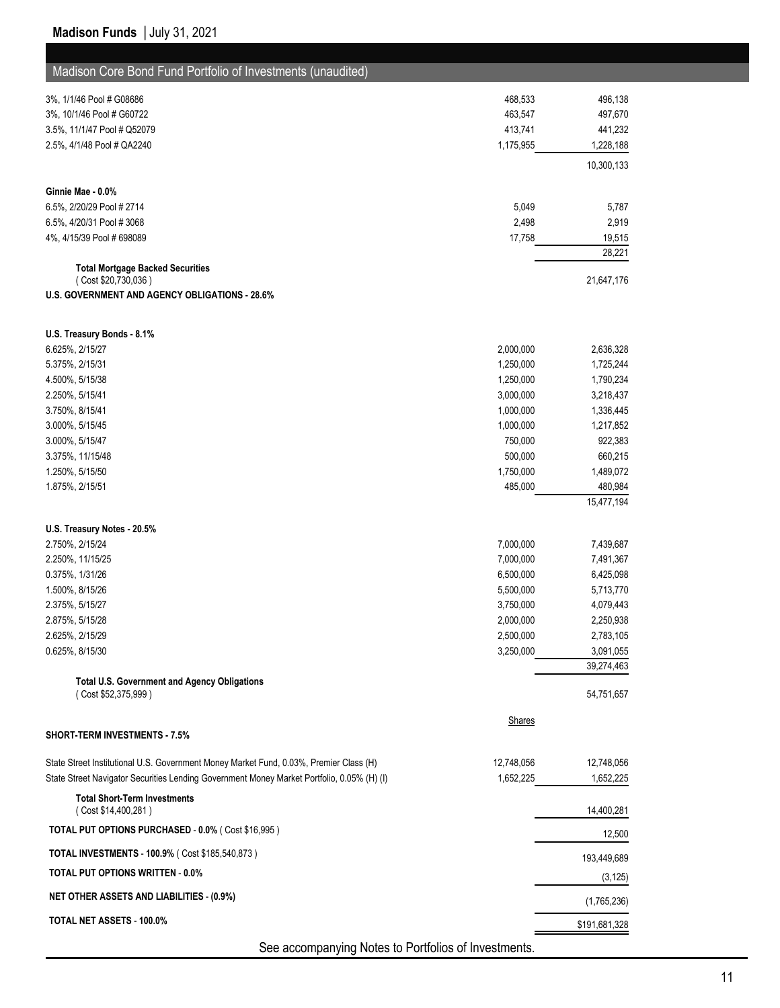| Madison Core Bond Fund Portfolio of Investments (unaudited)                                |               |                       |
|--------------------------------------------------------------------------------------------|---------------|-----------------------|
| 3%, 1/1/46 Pool # G08686                                                                   | 468,533       | 496,138               |
| 3%, 10/1/46 Pool # G60722                                                                  | 463,547       | 497,670               |
| 3.5%, 11/1/47 Pool # Q52079                                                                | 413,741       | 441,232               |
| 2.5%, 4/1/48 Pool # QA2240                                                                 | 1,175,955     | 1,228,188             |
|                                                                                            |               | 10,300,133            |
| Ginnie Mae - 0.0%                                                                          |               |                       |
| 6.5%, 2/20/29 Pool # 2714                                                                  | 5,049         | 5,787                 |
| 6.5%, 4/20/31 Pool #3068                                                                   | 2,498         | 2,919                 |
| 4%, 4/15/39 Pool # 698089                                                                  | 17,758        | 19,515                |
| <b>Total Mortgage Backed Securities</b>                                                    |               | 28,221                |
| (Cost \$20,730,036)                                                                        |               | 21,647,176            |
| <b>U.S. GOVERNMENT AND AGENCY OBLIGATIONS - 28.6%</b>                                      |               |                       |
| U.S. Treasury Bonds - 8.1%                                                                 |               |                       |
| 6.625%, 2/15/27                                                                            | 2,000,000     | 2,636,328             |
| 5.375%, 2/15/31                                                                            | 1,250,000     | 1,725,244             |
| 4.500%, 5/15/38                                                                            | 1,250,000     | 1,790,234             |
| 2.250%, 5/15/41                                                                            | 3,000,000     | 3,218,437             |
| 3.750%, 8/15/41                                                                            | 1,000,000     | 1,336,445             |
| 3.000%, 5/15/45                                                                            | 1,000,000     | 1,217,852             |
| 3.000%, 5/15/47                                                                            | 750,000       | 922,383               |
| 3.375%, 11/15/48                                                                           | 500,000       | 660,215               |
| 1.250%, 5/15/50                                                                            | 1,750,000     | 1,489,072             |
| 1.875%, 2/15/51                                                                            | 485,000       | 480,984<br>15,477,194 |
|                                                                                            |               |                       |
| U.S. Treasury Notes 20.5%<br>2.750%, 2/15/24                                               | 7,000,000     | 7,439,687             |
| 2.250%, 11/15/25                                                                           | 7,000,000     | 7,491,367             |
| 0.375%, 1/31/26                                                                            | 6,500,000     | 6,425,098             |
| 1.500%, 8/15/26                                                                            | 5,500,000     | 5,713,770             |
| 2.375%, 5/15/27                                                                            | 3,750,000     | 4,079,443             |
| 2.875%, 5/15/28                                                                            | 2,000,000     | 2,250,938             |
| 2.625%, 2/15/29                                                                            | 2,500,000     | 2,783,105             |
| 0.625%, 8/15/30                                                                            | 3,250,000     | 3,091,055             |
|                                                                                            |               | 39,274,463            |
| <b>Total U.S. Government and Agency Obligations</b><br>(Cost \$52,375,999)                 |               | 54,751,657            |
|                                                                                            | <b>Shares</b> |                       |
| <b>SHORT-TERM INVESTMENTS - 7.5%</b>                                                       |               |                       |
| State Street Institutional U.S. Government Money Market Fund, 0.03%, Premier Class (H)     | 12,748,056    | 12,748,056            |
| State Street Navigator Securities Lending Government Money Market Portfolio, 0.05% (H) (I) | 1,652,225     | 1,652,225             |
| <b>Total Short-Term Investments</b><br>(Cost \$14,400,281)                                 |               | 14,400,281            |
| TOTAL PUT OPTIONS PURCHASED - 0.0% (Cost \$16,995)                                         |               | 12,500                |
| <b>TOTAL INVESTMENTS - 100.9% (Cost \$185,540,873)</b>                                     |               | 193,449,689           |
| <b>TOTAL PUT OPTIONS WRITTEN - 0.0%</b>                                                    |               | (3, 125)              |
| <b>NET OTHER ASSETS AND LIABILITIES - (0.9%)</b>                                           |               | (1,765,236)           |
| TOTAL NET ASSETS - 100.0%                                                                  |               | \$191,681,328         |
| See accompanying Natos to Dertfolios of Investments                                        |               |                       |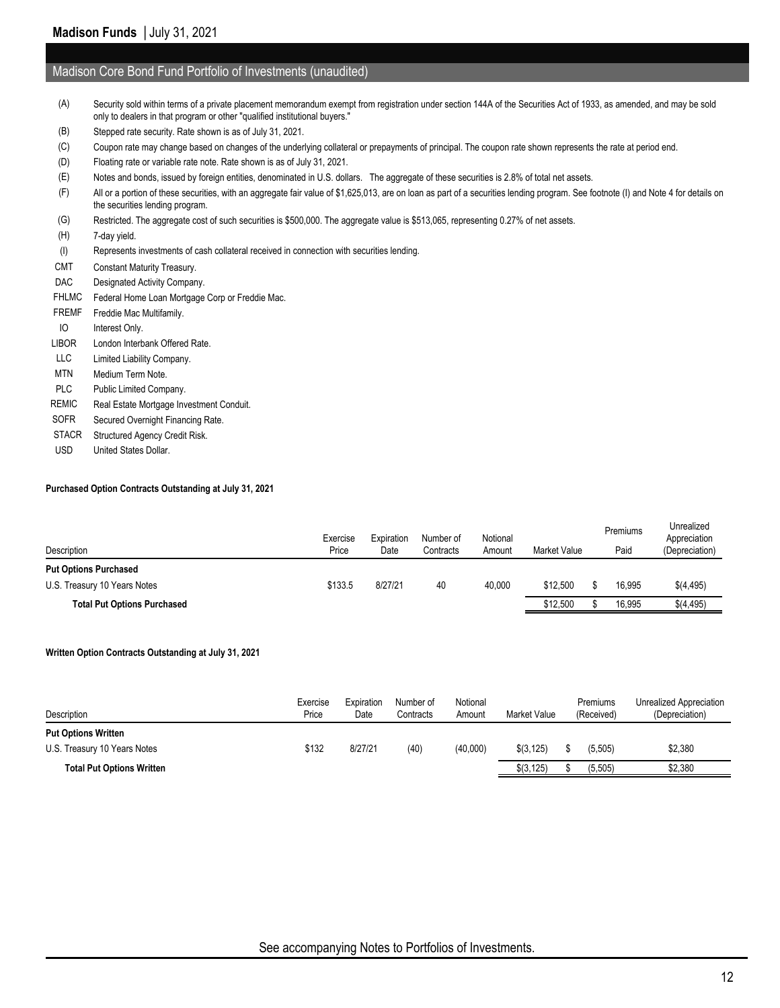#### Madison Core Bond Fund Portfolio of Investments (unaudited)

- (A) Security sold within terms of a private placement memorandum exempt from registration under section 144A of the Securities Act of 1933, as amended, and may be sold only to dealers in that program or other "qualified institutional buyers."
- (B) Stepped rate security. Rate shown is as of July 31, 2021.
- (C) Coupon rate may change based on changes of the underlying collateral or prepayments of principal. The coupon rate shown represents the rate at period end.
- (D) Floating rate or variable rate note. Rate shown is as of July 31, 2021.
- (E) Notes and bonds, issued by foreign entities, denominated in U.S. dollars. The aggregate of these securities is 2.8% of total net assets.
- (F) All or a portion of these securities, with an aggregate fair value of \$1,625,013, are on loan as part of a securities lending program. See footnote (I) and Note 4 for details on the securities lending program.
- (G) Restricted. The aggregate cost of such securities is \$500,000. The aggregate value is \$513,065, representing 0.27% of net assets.
- (H) 7-day yield.
- (I) Represents investments of cash collateral received in connection with securities lending.
- CMT Constant Maturity Treasury.
- DAC Designated Activity Company.
- FHLMC Federal Home Loan Mortgage Corp or Freddie Mac.
- FREMF Freddie Mac Multifamily. IO Interest Only. LIBOR London Interbank Offered Rate. LLC Limited Liability Company. MTN Medium Term Note. PLC Public Limited Company. REMIC Real Estate Mortgage Investment Conduit.
- SOFR Secured Overnight Financing Rate.
- STACR Structured Agency Credit Risk.
- USD United States Dollar.

#### **Purchased Option Contracts Outstanding at July 31, 2021**

| Description                        | Exercise<br>Price | Expiration<br>Date | Number of<br>Contracts | Notional<br>Amount | <b>Market Value</b> | Premiums<br>Paid | Unrealized<br>Appreciation<br>(Depreciation) |
|------------------------------------|-------------------|--------------------|------------------------|--------------------|---------------------|------------------|----------------------------------------------|
| <b>Put Options Purchased</b>       |                   |                    |                        |                    |                     |                  |                                              |
| U.S. Treasury 10 Years Notes       | \$133.5           | 8/27/21            | 40                     | 40.000             | \$12,500            | 16.995           | \$(4,495)                                    |
| <b>Total Put Options Purchased</b> |                   |                    |                        |                    | \$12,500            | 16,995           | \$(4,495)                                    |

#### **Written Option Contracts Outstanding at July 31, 2021**

| Description                      | Exercise<br>Price | Expiration<br>Date | Number of<br>Contracts | Notional<br>Amount | <b>Market Value</b> | Premiums<br>(Received) | Unrealized Appreciation<br>(Depreciation) |
|----------------------------------|-------------------|--------------------|------------------------|--------------------|---------------------|------------------------|-------------------------------------------|
| <b>Put Options Written</b>       |                   |                    |                        |                    |                     |                        |                                           |
| U.S. Treasury 10 Years Notes     | \$132             | 8/27/21            | (40)                   | (40,000)           | \$(3, 125)          | (5, 505)               | \$2,380                                   |
| <b>Total Put Options Written</b> |                   |                    |                        |                    | \$(3, 125)          | (5, 505)               | \$2.380                                   |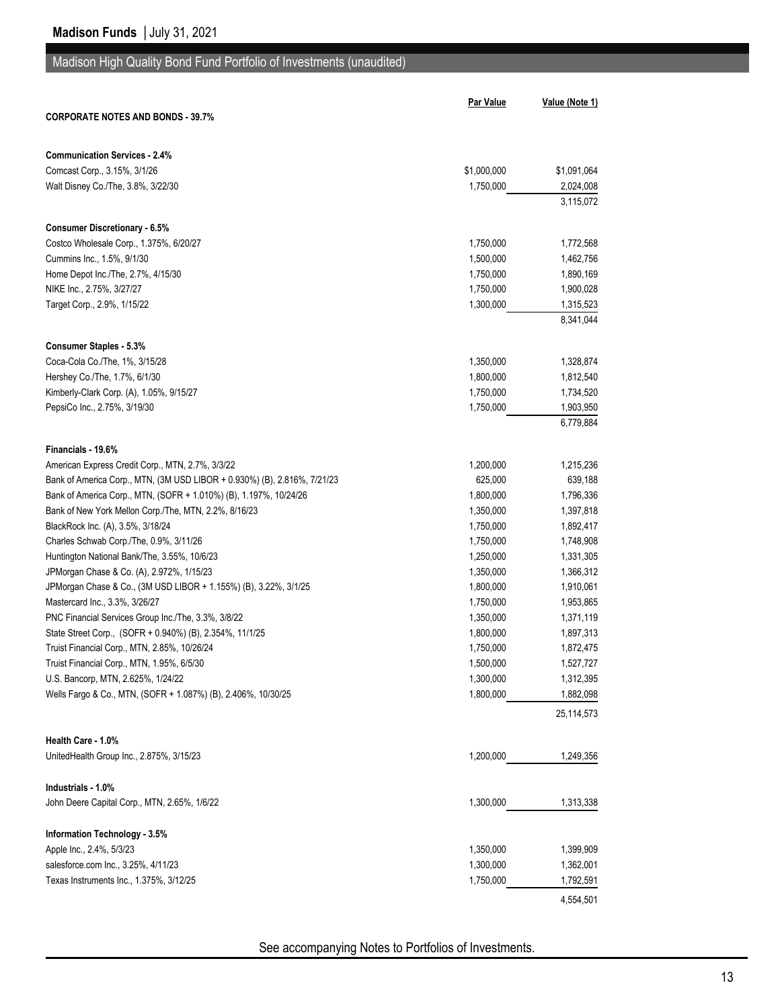# Madison High Quality Bond Fund Portfolio of Investments (unaudited)

|                                                                          | <b>Par Value</b> | Value (Note 1)         |
|--------------------------------------------------------------------------|------------------|------------------------|
| <b>CORPORATE NOTES AND BONDS - 39.7%</b>                                 |                  |                        |
|                                                                          |                  |                        |
| <b>Communication Services - 2.4%</b>                                     |                  |                        |
| Comcast Corp., 3.15%, 3/1/26                                             | \$1,000,000      | \$1,091,064            |
|                                                                          | 1,750,000        |                        |
| Walt Disney Co./The, 3.8%, 3/22/30                                       |                  | 2,024,008<br>3,115,072 |
|                                                                          |                  |                        |
| <b>Consumer Discretionary - 6.5%</b>                                     |                  |                        |
| Costco Wholesale Corp., 1.375%, 6/20/27                                  | 1,750,000        | 1,772,568              |
| Cummins Inc., 1.5%, 9/1/30                                               | 1,500,000        | 1,462,756              |
| Home Depot Inc./The, 2.7%, 4/15/30                                       | 1,750,000        | 1,890,169              |
| NIKE Inc., 2.75%, 3/27/27                                                | 1,750,000        | 1,900,028              |
| Target Corp., 2.9%, 1/15/22                                              | 1,300,000        | 1,315,523              |
|                                                                          |                  | 8,341,044              |
|                                                                          |                  |                        |
| <b>Consumer Staples - 5.3%</b>                                           |                  |                        |
| Coca-Cola Co./The, 1%, 3/15/28                                           | 1,350,000        | 1,328,874              |
| Hershey Co./The, 1.7%, 6/1/30                                            | 1,800,000        | 1,812,540              |
| Kimberly-Clark Corp. (A), 1.05%, 9/15/27                                 | 1,750,000        | 1,734,520              |
| PepsiCo Inc., 2.75%, 3/19/30                                             | 1,750,000        | 1,903,950              |
|                                                                          |                  | 6,779,884              |
|                                                                          |                  |                        |
| Financials - 19.6%<br>American Express Credit Corp., MTN, 2.7%, 3/3/22   | 1,200,000        | 1,215,236              |
| Bank of America Corp., MTN, (3M USD LIBOR + 0.930%) (B), 2.816%, 7/21/23 | 625,000          | 639,188                |
|                                                                          |                  |                        |
| Bank of America Corp., MTN, (SOFR + 1.010%) (B), 1.197%, 10/24/26        | 1,800,000        | 1,796,336              |
| Bank of New York Mellon Corp./The, MTN, 2.2%, 8/16/23                    | 1,350,000        | 1,397,818              |
| BlackRock Inc. (A), 3.5%, 3/18/24                                        | 1,750,000        | 1,892,417              |
| Charles Schwab Corp./The, 0.9%, 3/11/26                                  | 1,750,000        | 1,748,908              |
| Huntington National Bank/The, 3.55%, 10/6/23                             | 1,250,000        | 1,331,305              |
| JPMorgan Chase & Co. (A), 2.972%, 1/15/23                                | 1,350,000        | 1,366,312              |
| JPMorgan Chase & Co., (3M USD LIBOR + 1.155%) (B), 3.22%, 3/1/25         | 1,800,000        | 1,910,061              |
| Mastercard Inc., 3.3%, 3/26/27                                           | 1,750,000        | 1,953,865              |
| PNC Financial Services Group Inc./The, 3.3%, 3/8/22                      | 1,350,000        | 1,371,119              |
| State Street Corp., (SOFR + 0.940%) (B), 2.354%, 11/1/25                 | 1,800,000        | 1,897,313              |
| Truist Financial Corp., MTN, 2.85%, 10/26/24                             | 1,750,000        | 1,872,475              |
| Truist Financial Corp., MTN, 1.95%, 6/5/30                               | 1,500,000        | 1,527,727              |
| U.S. Bancorp, MTN, 2.625%, 1/24/22                                       | 1,300,000        | 1,312,395              |
| Wells Fargo & Co., MTN, (SOFR + 1.087%) (B), 2.406%, 10/30/25            | 1,800,000        | 1,882,098              |
|                                                                          |                  | 25,114,573             |
| Health Care - 1.0%                                                       |                  |                        |
| UnitedHealth Group Inc., 2.875%, 3/15/23                                 | 1,200,000        | 1,249,356              |
|                                                                          |                  |                        |
| Industrials - 1.0%                                                       |                  |                        |
| John Deere Capital Corp., MTN, 2.65%, 1/6/22                             | 1,300,000        | 1,313,338              |
|                                                                          |                  |                        |
| Information Technology - 3.5%                                            |                  |                        |
| Apple Inc., 2.4%, 5/3/23                                                 | 1,350,000        | 1,399,909              |
| salesforce.com Inc., 3.25%, 4/11/23                                      | 1,300,000        | 1,362,001              |
| Texas Instruments Inc., 1.375%, 3/12/25                                  | 1,750,000        | 1,792,591              |
|                                                                          |                  | 4,554,501              |
|                                                                          |                  |                        |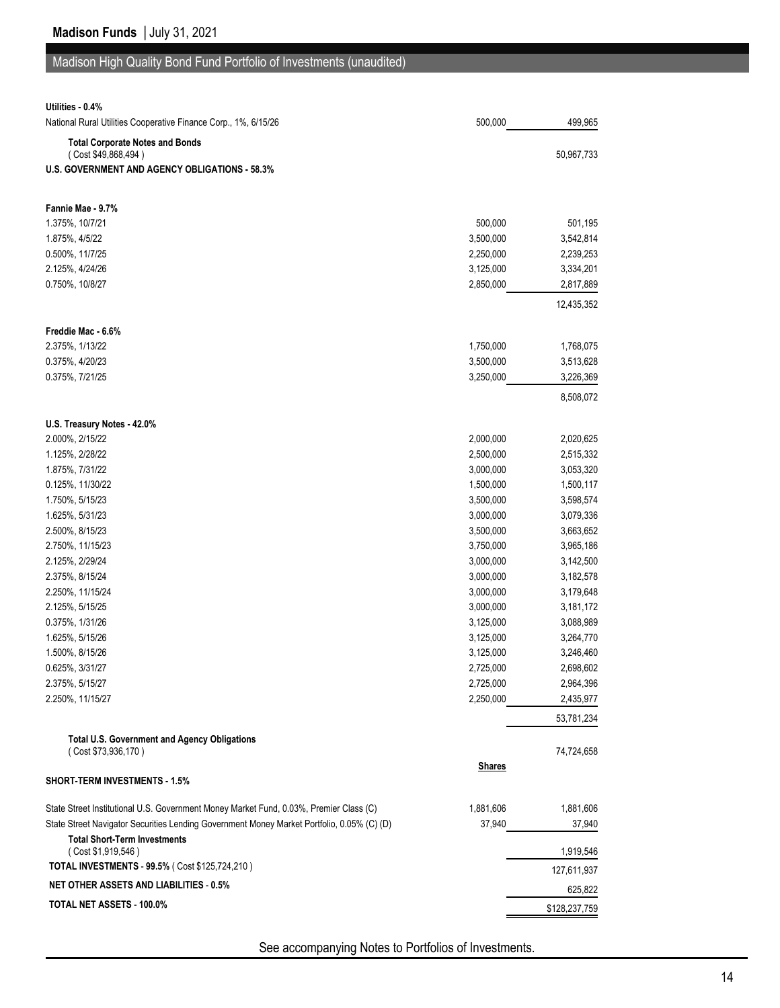# Madison High Quality Bond Fund Portfolio of Investments (unaudited)

| Utilities - 0.4%                                                                           |               |               |
|--------------------------------------------------------------------------------------------|---------------|---------------|
| National Rural Utilities Cooperative Finance Corp., 1%, 6/15/26                            | 500,000       | 499,965       |
| <b>Total Corporate Notes and Bonds</b>                                                     |               |               |
| (Cost \$49,868,494)                                                                        |               | 50,967,733    |
| <b>U.S. GOVERNMENT AND AGENCY OBLIGATIONS - 58.3%</b>                                      |               |               |
|                                                                                            |               |               |
| Fannie Mae - 9.7%                                                                          |               |               |
| 1.375%, 10/7/21                                                                            | 500,000       | 501,195       |
| 1.875%, 4/5/22                                                                             | 3,500,000     | 3,542,814     |
| 0.500%, 11/7/25                                                                            | 2,250,000     | 2,239,253     |
| 2.125%, 4/24/26                                                                            | 3,125,000     | 3,334,201     |
| 0.750%, 10/8/27                                                                            | 2,850,000     | 2,817,889     |
|                                                                                            |               | 12,435,352    |
| Freddie Mac - 6.6%                                                                         |               |               |
| 2.375%, 1/13/22                                                                            | 1,750,000     | 1,768,075     |
| 0.375%, 4/20/23                                                                            | 3,500,000     | 3,513,628     |
| 0.375%, 7/21/25                                                                            | 3,250,000     | 3,226,369     |
|                                                                                            |               |               |
|                                                                                            |               | 8,508,072     |
| U.S. Treasury Notes - 42.0%                                                                |               |               |
| 2.000%, 2/15/22                                                                            | 2,000,000     | 2,020,625     |
| 1.125%, 2/28/22                                                                            | 2,500,000     | 2,515,332     |
| 1.875%, 7/31/22                                                                            | 3,000,000     | 3,053,320     |
| 0.125%, 11/30/22                                                                           | 1,500,000     | 1,500,117     |
| 1.750%, 5/15/23                                                                            | 3,500,000     | 3,598,574     |
| 1.625%, 5/31/23                                                                            | 3,000,000     | 3,079,336     |
| 2.500%, 8/15/23                                                                            | 3,500,000     | 3,663,652     |
| 2.750%, 11/15/23                                                                           | 3,750,000     | 3,965,186     |
| 2.125%, 2/29/24                                                                            | 3,000,000     | 3,142,500     |
| 2.375%, 8/15/24                                                                            | 3,000,000     | 3,182,578     |
| 2.250%, 11/15/24                                                                           | 3,000,000     | 3,179,648     |
| 2.125%, 5/15/25                                                                            | 3,000,000     | 3,181,172     |
| 0.375%, 1/31/26                                                                            | 3,125,000     | 3,088,989     |
| 1.625%, 5/15/26                                                                            | 3,125,000     | 3,264,770     |
| 1.500%, 8/15/26                                                                            | 3,125,000     | 3,246,460     |
| 0.625%, 3/31/27                                                                            | 2,725,000     | 2,698,602     |
| 2.375%, 5/15/27                                                                            | 2,725,000     | 2,964,396     |
| 2.250%, 11/15/27                                                                           | 2,250,000     | 2,435,977     |
|                                                                                            |               | 53,781,234    |
| <b>Total U.S. Government and Agency Obligations</b>                                        |               |               |
| (Cost \$73,936,170)                                                                        |               | 74,724,658    |
| <b>SHORT-TERM INVESTMENTS - 1.5%</b>                                                       | <b>Shares</b> |               |
|                                                                                            |               |               |
| State Street Institutional U.S. Government Money Market Fund, 0.03%, Premier Class (C)     | 1,881,606     | 1,881,606     |
| State Street Navigator Securities Lending Government Money Market Portfolio, 0.05% (C) (D) | 37,940        | 37,940        |
| <b>Total Short-Term Investments</b>                                                        |               |               |
| (Cost \$1,919,546)<br>TOTAL INVESTMENTS - 99.5% (Cost \$125,724,210)                       |               | 1,919,546     |
|                                                                                            |               | 127,611,937   |
| <b>NET OTHER ASSETS AND LIABILITIES - 0.5%</b>                                             |               | 625,822       |
| TOTAL NET ASSETS - 100.0%                                                                  |               | \$128,237,759 |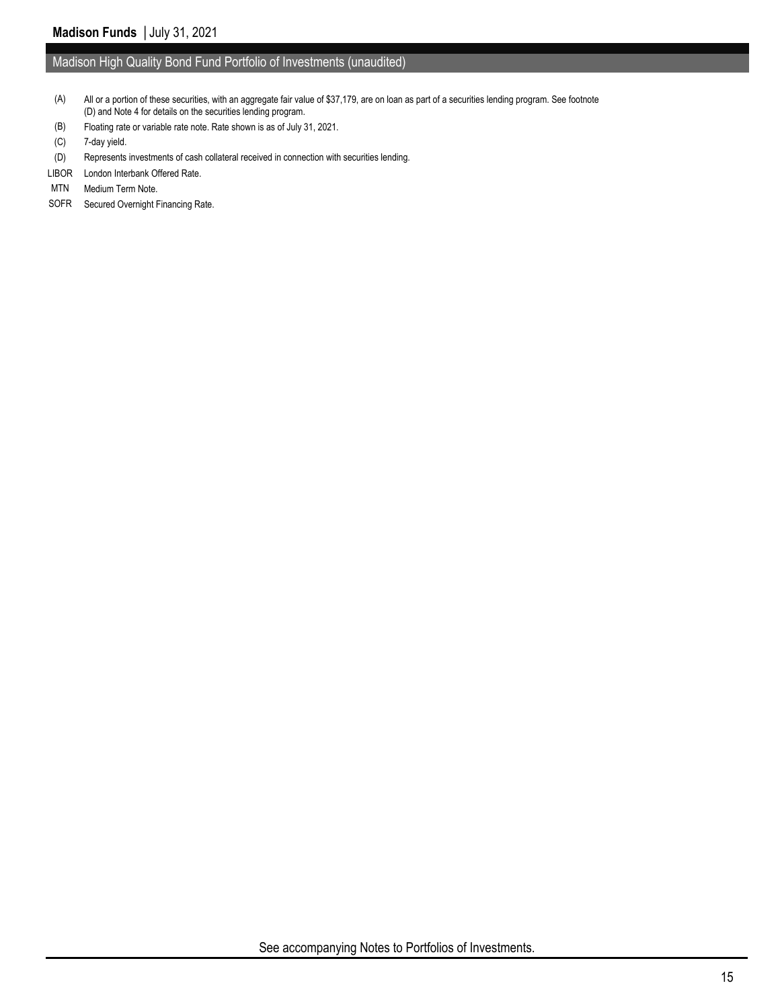#### Madison High Quality Bond Fund Portfolio of Investments (unaudited)

- (A) All or a portion of these securities, with an aggregate fair value of \$37,179, are on loan as part of a securities lending program. See footnote (D) and Note 4 for details on the securities lending program.
- (B) Floating rate or variable rate note. Rate shown is as of July 31, 2021.
- (C) 7-day yield.
- (D) Represents investments of cash collateral received in connection with securities lending.
- LIBOR London Interbank Offered Rate.
- MTN Medium Term Note.
- SOFR Secured Overnight Financing Rate.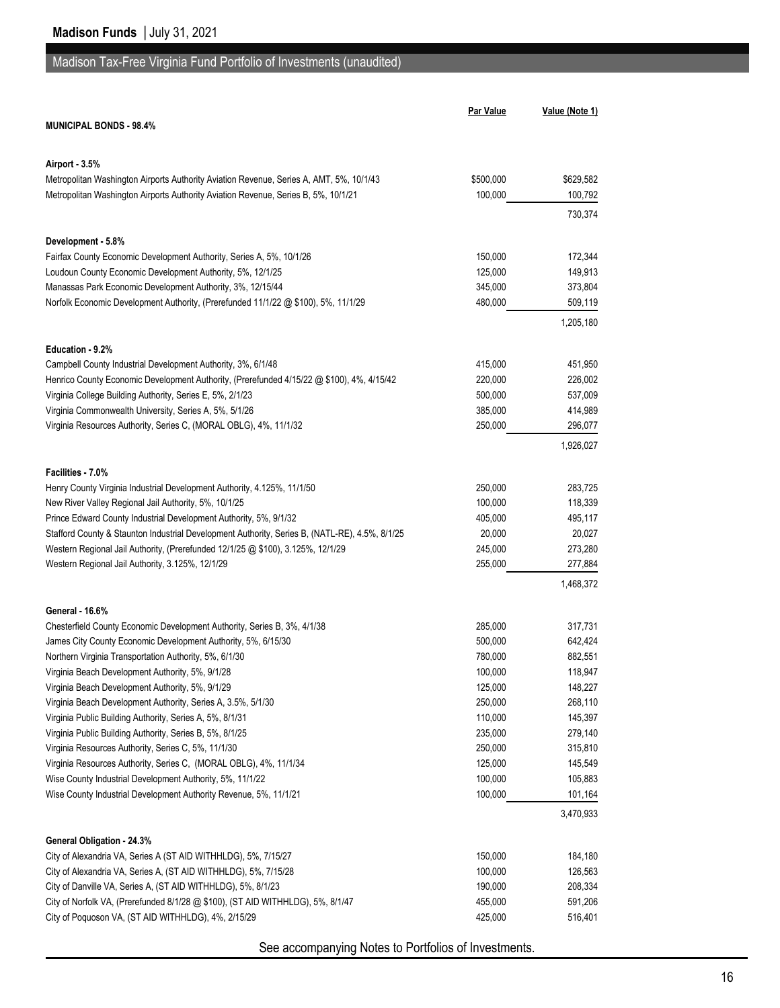# Madison Tax-Free Virginia Fund Portfolio of Investments (unaudited)

|                                                                                                                                   | Par Value          | Value (Note 1)     |
|-----------------------------------------------------------------------------------------------------------------------------------|--------------------|--------------------|
| <b>MUNICIPAL BONDS - 98.4%</b>                                                                                                    |                    |                    |
|                                                                                                                                   |                    |                    |
| Airport - 3.5%                                                                                                                    |                    |                    |
| Metropolitan Washington Airports Authority Aviation Revenue, Series A, AMT, 5%, 10/1/43                                           | \$500,000          | \$629,582          |
| Metropolitan Washington Airports Authority Aviation Revenue, Series B, 5%, 10/1/21                                                | 100,000            | 100,792            |
|                                                                                                                                   |                    | 730,374            |
|                                                                                                                                   |                    |                    |
| Development - 5.8%                                                                                                                |                    |                    |
| Fairfax County Economic Development Authority, Series A, 5%, 10/1/26                                                              | 150,000            | 172,344            |
| Loudoun County Economic Development Authority, 5%, 12/1/25                                                                        | 125,000            | 149,913            |
| Manassas Park Economic Development Authority, 3%, 12/15/44                                                                        | 345,000            | 373,804            |
| Norfolk Economic Development Authority, (Prerefunded 11/1/22 @ \$100), 5%, 11/1/29                                                | 480,000            | 509,119            |
|                                                                                                                                   |                    | 1,205,180          |
| Education - 9.2%                                                                                                                  |                    |                    |
| Campbell County Industrial Development Authority, 3%, 6/1/48                                                                      | 415,000            | 451,950            |
| Henrico County Economic Development Authority, (Prerefunded 4/15/22 @ \$100), 4%, 4/15/42                                         | 220,000            | 226,002            |
| Virginia College Building Authority, Series E, 5%, 2/1/23                                                                         | 500,000            | 537,009            |
| Virginia Commonwealth University, Series A, 5%, 5/1/26                                                                            | 385,000            | 414,989            |
| Virginia Resources Authority, Series C, (MORAL OBLG), 4%, 11/1/32                                                                 | 250,000            | 296,077            |
|                                                                                                                                   |                    | 1,926,027          |
|                                                                                                                                   |                    |                    |
| Facilities - 7.0%                                                                                                                 |                    |                    |
| Henry County Virginia Industrial Development Authority, 4.125%, 11/1/50                                                           | 250,000            | 283,725            |
| New River Valley Regional Jail Authority, 5%, 10/1/25                                                                             | 100,000            | 118,339            |
| Prince Edward County Industrial Development Authority, 5%, 9/1/32                                                                 | 405,000            | 495,117            |
| Stafford County & Staunton Industrial Development Authority, Series B, (NATL-RE), 4.5%, 8/1/25                                    | 20,000             | 20,027             |
| Western Regional Jail Authority, (Prerefunded 12/1/25 @ \$100), 3.125%, 12/1/29                                                   | 245,000            | 273,280            |
| Western Regional Jail Authority, 3.125%, 12/1/29                                                                                  | 255,000            | 277,884            |
|                                                                                                                                   |                    | 1,468,372          |
| General - 16.6%                                                                                                                   |                    |                    |
| Chesterfield County Economic Development Authority, Series B, 3%, 4/1/38                                                          | 285,000            | 317,731            |
| James City County Economic Development Authority, 5%, 6/15/30                                                                     | 500,000            | 642,424            |
| Northern Virginia Transportation Authority, 5%, 6/1/30                                                                            | 780,000            | 882,551            |
| Virginia Beach Development Authority, 5%, 9/1/28                                                                                  | 100,000            | 118,947            |
| Virginia Beach Development Authority, 5%, 9/1/29                                                                                  | 125,000            | 148,227            |
| Virginia Beach Development Authority, Series A, 3.5%, 5/1/30                                                                      | 250,000            | 268,110            |
| Virginia Public Building Authority, Series A, 5%, 8/1/31                                                                          | 110,000            | 145,397            |
| Virginia Public Building Authority, Series B, 5%, 8/1/25                                                                          | 235,000            | 279,140            |
| Virginia Resources Authority, Series C, 5%, 11/1/30                                                                               | 250,000            | 315,810            |
| Virginia Resources Authority, Series C, (MORAL OBLG), 4%, 11/1/34                                                                 | 125,000            | 145,549            |
| Wise County Industrial Development Authority, 5%, 11/1/22                                                                         | 100,000            | 105,883            |
| Wise County Industrial Development Authority Revenue, 5%, 11/1/21                                                                 | 100,000            | 101,164            |
|                                                                                                                                   |                    | 3,470,933          |
|                                                                                                                                   |                    |                    |
| General Obligation - 24.3%                                                                                                        |                    |                    |
| City of Alexandria VA, Series A (ST AID WITHHLDG), 5%, 7/15/27<br>City of Alexandria VA, Series A, (ST AID WITHHLDG), 5%, 7/15/28 | 150,000            | 184,180            |
| City of Danville VA, Series A, (ST AID WITHHLDG), 5%, 8/1/23                                                                      | 100,000<br>190,000 | 126,563<br>208,334 |
| City of Norfolk VA, (Prerefunded 8/1/28 @ \$100), (ST AID WITHHLDG), 5%, 8/1/47                                                   | 455,000            | 591,206            |
| City of Poquoson VA, (ST AID WITHHLDG), 4%, 2/15/29                                                                               | 425,000            | 516,401            |
|                                                                                                                                   |                    |                    |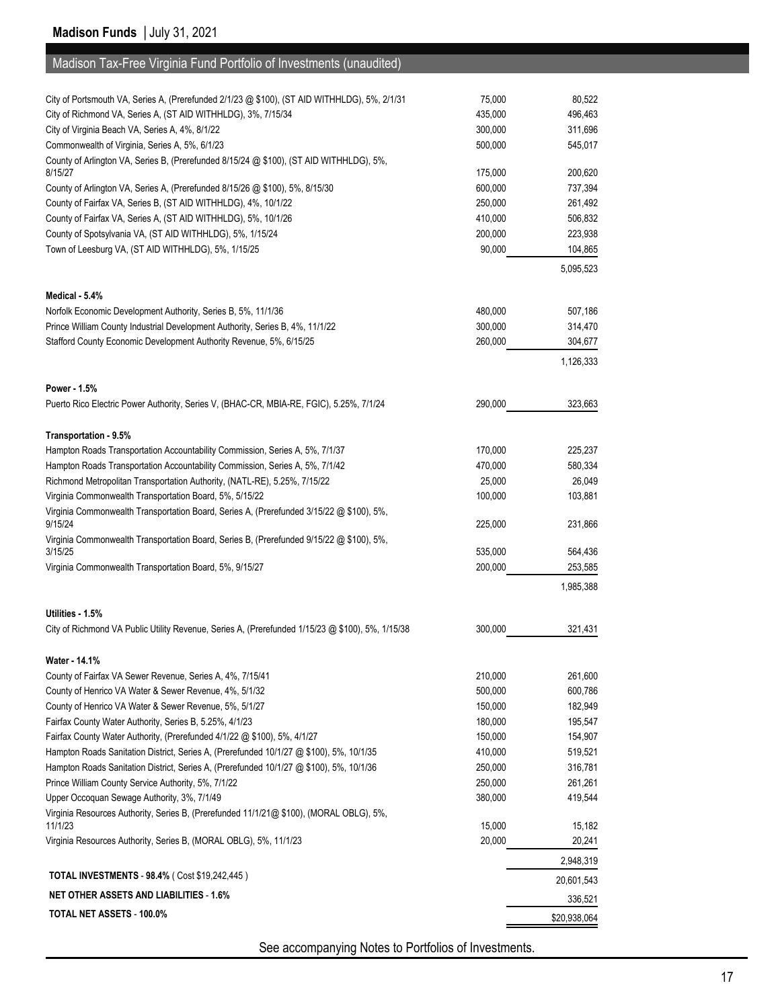| Madison Tax-Free Virginia Fund Portfolio of Investments (unaudited)                                                                    |         |            |
|----------------------------------------------------------------------------------------------------------------------------------------|---------|------------|
|                                                                                                                                        |         |            |
| City of Portsmouth VA, Series A, (Prerefunded 2/1/23 @ \$100), (ST AID WITHHLDG), 5%, 2/1/31                                           | 75,000  | 80,522     |
| City of Richmond VA, Series A, (ST AID WITHHLDG), 3%, 7/15/34                                                                          | 435,000 | 496,463    |
| City of Virginia Beach VA, Series A, 4%, 8/1/22                                                                                        | 300,000 | 311,696    |
| Commonwealth of Virginia, Series A, 5%, 6/1/23                                                                                         | 500,000 | 545,017    |
| County of Arlington VA, Series B, (Prerefunded 8/15/24 @ \$100), (ST AID WITHHLDG), 5%,                                                |         |            |
| 8/15/27                                                                                                                                | 175,000 | 200,620    |
| County of Arlington VA, Series A, (Prerefunded 8/15/26 @ \$100), 5%, 8/15/30                                                           | 600,000 | 737,394    |
| County of Fairfax VA, Series B, (ST AID WITHHLDG), 4%, 10/1/22                                                                         | 250,000 | 261,492    |
| County of Fairfax VA, Series A, (ST AID WITHHLDG), 5%, 10/1/26                                                                         | 410,000 | 506,832    |
| County of Spotsylvania VA, (ST AID WITHHLDG), 5%, 1/15/24                                                                              | 200,000 | 223,938    |
| Town of Leesburg VA, (ST AID WITHHLDG), 5%, 1/15/25                                                                                    | 90,000  | 104,865    |
|                                                                                                                                        |         | 5,095,523  |
|                                                                                                                                        |         |            |
| Medical - 5.4%                                                                                                                         |         |            |
| Norfolk Economic Development Authority, Series B, 5%, 11/1/36                                                                          | 480,000 | 507,186    |
| Prince William County Industrial Development Authority, Series B, 4%, 11/1/22                                                          | 300,000 | 314,470    |
| Stafford County Economic Development Authority Revenue, 5%, 6/15/25                                                                    | 260,000 | 304,677    |
|                                                                                                                                        |         | 1,126,333  |
|                                                                                                                                        |         |            |
| Power - 1.5%                                                                                                                           | 290,000 | 323,663    |
| Puerto Rico Electric Power Authority, Series V, (BHAC-CR, MBIA-RE, FGIC), 5.25%, 7/1/24                                                |         |            |
|                                                                                                                                        |         |            |
| Transportation - 9.5%<br>Hampton Roads Transportation Accountability Commission, Series A, 5%, 7/1/37                                  | 170,000 | 225,237    |
| Hampton Roads Transportation Accountability Commission, Series A, 5%, 7/1/42                                                           | 470,000 | 580,334    |
| Richmond Metropolitan Transportation Authority, (NATL-RE), 5.25%, 7/15/22                                                              | 25,000  | 26,049     |
| Virginia Commonwealth Transportation Board, 5%, 5/15/22                                                                                | 100,000 | 103,881    |
| Virginia Commonwealth Transportation Board, Series A, (Prerefunded 3/15/22 @ \$100), 5%,                                               |         |            |
| 9/15/24                                                                                                                                | 225,000 | 231,866    |
| Virginia Commonwealth Transportation Board, Series B, (Prerefunded 9/15/22 @ \$100), 5%,                                               |         |            |
| 3/15/25                                                                                                                                | 535,000 | 564,436    |
| Virginia Commonwealth Transportation Board, 5%, 9/15/27                                                                                | 200,000 | 253,585    |
|                                                                                                                                        |         | 1,985,388  |
|                                                                                                                                        |         |            |
| Utilities - 1.5%                                                                                                                       |         |            |
| City of Richmond VA Public Utility Revenue, Series A, (Prerefunded 1/15/23 @ \$100), 5%, 1/15/38                                       | 300,000 | 321,431    |
|                                                                                                                                        |         |            |
| Water - 14.1%                                                                                                                          |         |            |
| County of Fairfax VA Sewer Revenue, Series A, 4%, 7/15/41                                                                              | 210,000 | 261,600    |
| County of Henrico VA Water & Sewer Revenue, 4%, 5/1/32                                                                                 | 500,000 | 600,786    |
| County of Henrico VA Water & Sewer Revenue, 5%, 5/1/27                                                                                 | 150,000 | 182,949    |
| Fairfax County Water Authority, Series B, 5.25%, 4/1/23                                                                                | 180,000 | 195,547    |
| Fairfax County Water Authority, (Prerefunded 4/1/22 @ \$100), 5%, 4/1/27                                                               | 150,000 | 154,907    |
| Hampton Roads Sanitation District, Series A, (Prerefunded 10/1/27 @ \$100), 5%, 10/1/35                                                | 410,000 | 519,521    |
| Hampton Roads Sanitation District, Series A, (Prerefunded 10/1/27 @ \$100), 5%, 10/1/36                                                | 250,000 | 316,781    |
| Prince William County Service Authority, 5%, 7/1/22                                                                                    | 250,000 | 261,261    |
| Upper Occoquan Sewage Authority, 3%, 7/1/49<br>Virginia Resources Authority, Series B, (Prerefunded 11/1/21@ \$100), (MORAL OBLG), 5%, | 380,000 | 419,544    |
| 11/1/23                                                                                                                                | 15,000  | 15,182     |
| Virginia Resources Authority, Series B, (MORAL OBLG), 5%, 11/1/23                                                                      | 20,000  | 20,241     |
|                                                                                                                                        |         |            |
| TOTAL INVESTMENTS - 98.4% (Cost \$19,242,445)                                                                                          |         | 2,948,319  |
|                                                                                                                                        |         | 20,601,543 |

See accompanying Notes to Portfolios of Investments.

**NET OTHER ASSETS AND LIABILITIES - 1.6%** 336,521 **TOTAL NET ASSETS - 100.0%** \$20,938,064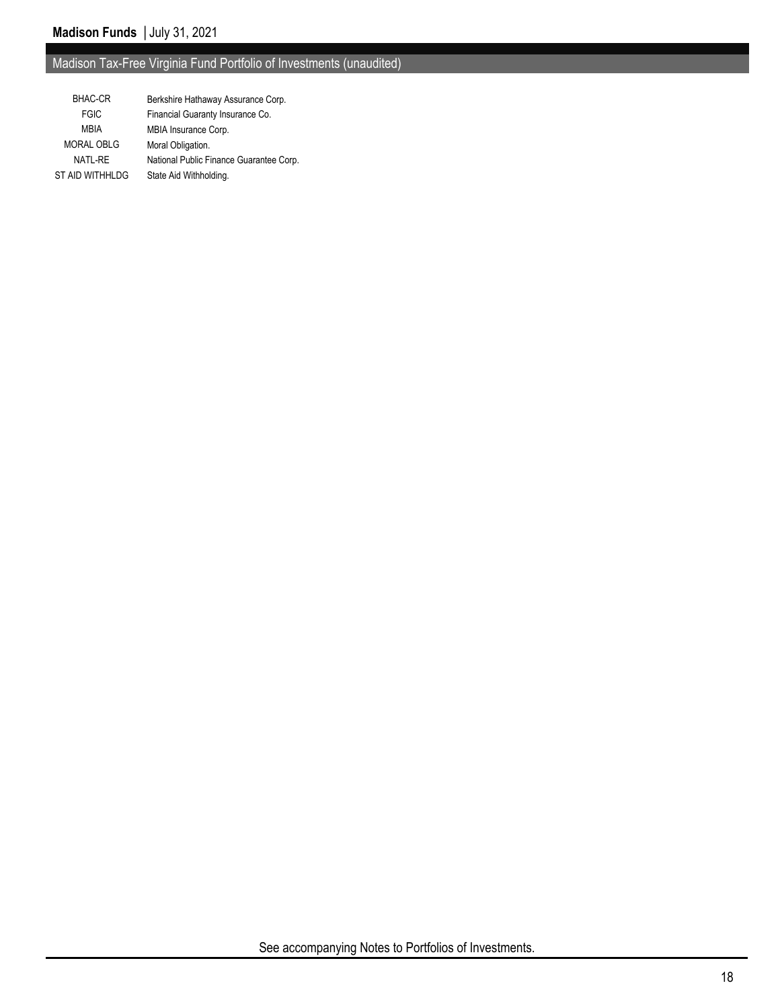# Madison Tax-Free Virginia Fund Portfolio of Investments (unaudited)

| <b>BHAC-CR</b>    | Berkshire Hathaway Assurance Corp.      |
|-------------------|-----------------------------------------|
| <b>FGIC</b>       | Financial Guaranty Insurance Co.        |
| <b>MBIA</b>       | MBIA Insurance Corp.                    |
| <b>MORAL OBLG</b> | Moral Obligation.                       |
| NATL-RE           | National Public Finance Guarantee Corp. |
| ST AID WITHHLDG   | State Aid Withholding.                  |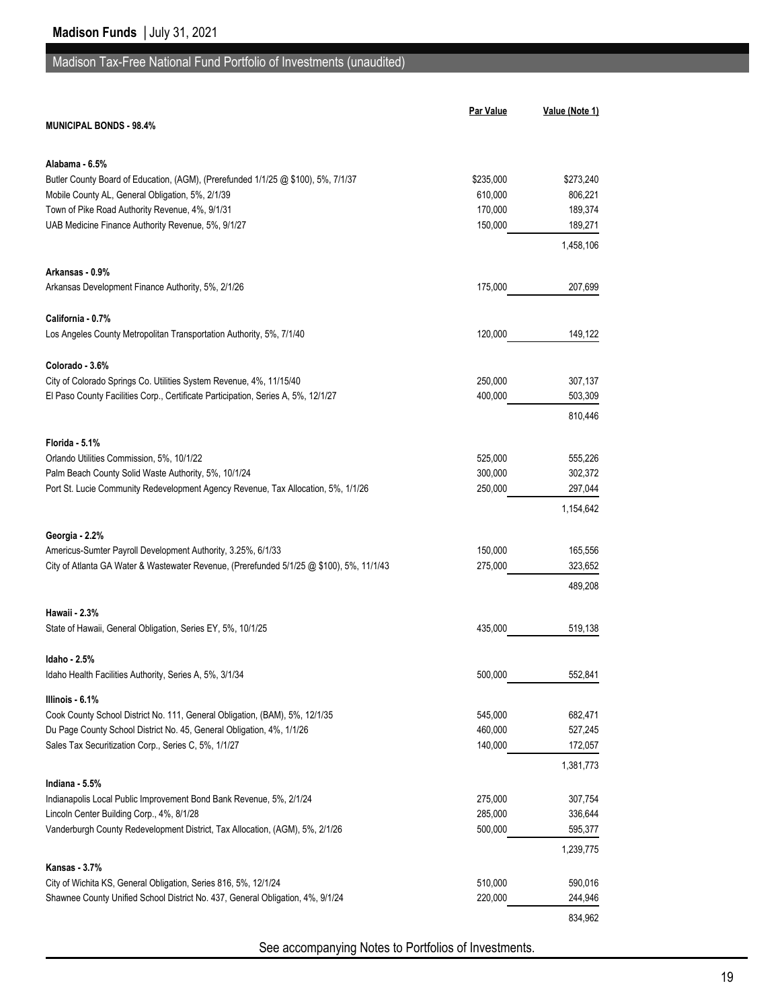## Madison Tax-Free National Fund Portfolio of Investments (unaudited)

|                                                                                                     | <b>Par Value</b> | Value (Note 1) |
|-----------------------------------------------------------------------------------------------------|------------------|----------------|
| <b>MUNICIPAL BONDS - 98.4%</b>                                                                      |                  |                |
|                                                                                                     |                  |                |
| Alabama - 6.5%<br>Butler County Board of Education, (AGM), (Prerefunded 1/1/25 @ \$100), 5%, 7/1/37 | \$235,000        | \$273,240      |
| Mobile County AL, General Obligation, 5%, 2/1/39                                                    | 610,000          | 806,221        |
| Town of Pike Road Authority Revenue, 4%, 9/1/31                                                     | 170,000          | 189,374        |
| UAB Medicine Finance Authority Revenue, 5%, 9/1/27                                                  | 150,000          | 189,271        |
|                                                                                                     |                  | 1,458,106      |
| Arkansas - 0.9%                                                                                     |                  |                |
| Arkansas Development Finance Authority, 5%, 2/1/26                                                  | 175,000          | 207,699        |
|                                                                                                     |                  |                |
| California - 0.7%<br>Los Angeles County Metropolitan Transportation Authority, 5%, 7/1/40           | 120,000          | 149,122        |
|                                                                                                     |                  |                |
| Colorado - 3.6%                                                                                     |                  |                |
| City of Colorado Springs Co. Utilities System Revenue, 4%, 11/15/40                                 | 250,000          | 307,137        |
| El Paso County Facilities Corp., Certificate Participation, Series A, 5%, 12/1/27                   | 400,000          | 503,309        |
|                                                                                                     |                  | 810,446        |
| Florida - 5.1%                                                                                      |                  |                |
| Orlando Utilities Commission, 5%, 10/1/22                                                           | 525,000          | 555,226        |
| Palm Beach County Solid Waste Authority, 5%, 10/1/24                                                | 300,000          | 302,372        |
| Port St. Lucie Community Redevelopment Agency Revenue, Tax Allocation, 5%, 1/1/26                   | 250,000          | 297,044        |
|                                                                                                     |                  | 1,154,642      |
| Georgia - 2.2%                                                                                      |                  |                |
| Americus-Sumter Payroll Development Authority, 3.25%, 6/1/33                                        | 150,000          | 165,556        |
| City of Atlanta GA Water & Wastewater Revenue, (Prerefunded 5/1/25 @ \$100), 5%, 11/1/43            | 275,000          | 323,652        |
|                                                                                                     |                  | 489,208        |
| Hawaii - 2.3%                                                                                       |                  |                |
| State of Hawaii, General Obligation, Series EY, 5%, 10/1/25                                         | 435,000          | 519,138        |
| Idaho - 2.5%                                                                                        |                  |                |
| Idaho Health Facilities Authority, Series A, 5%, 3/1/34                                             | 500,000          | 552,841        |
| Illinois - 6.1%                                                                                     |                  |                |
| Cook County School District No. 111, General Obligation, (BAM), 5%, 12/1/35                         | 545,000          | 682,471        |
| Du Page County School District No. 45, General Obligation, 4%, 1/1/26                               | 460,000          | 527,245        |
| Sales Tax Securitization Corp., Series C, 5%, 1/1/27                                                | 140,000          | 172,057        |
|                                                                                                     |                  | 1,381,773      |
| Indiana - 5.5%<br>Indianapolis Local Public Improvement Bond Bank Revenue, 5%, 2/1/24               | 275,000          | 307,754        |
| Lincoln Center Building Corp., 4%, 8/1/28                                                           | 285,000          | 336,644        |
| Vanderburgh County Redevelopment District, Tax Allocation, (AGM), 5%, 2/1/26                        | 500,000          | 595,377        |
|                                                                                                     |                  | 1,239,775      |
| Kansas 3.7%                                                                                         |                  |                |
| City of Wichita KS, General Obligation, Series 816, 5%, 12/1/24                                     | 510,000          | 590,016        |
| Shawnee County Unified School District No. 437, General Obligation, 4%, 9/1/24                      | 220,000          | 244,946        |
|                                                                                                     |                  | 834,962        |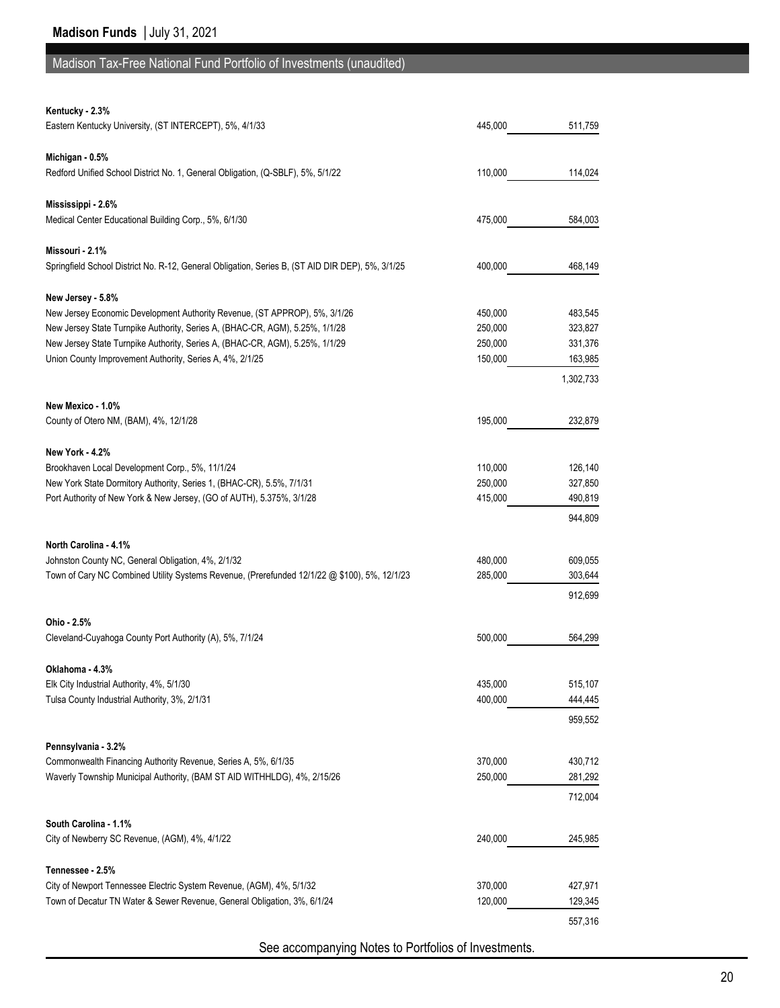## Madison Tax-Free National Fund Portfolio of Investments (unaudited)

#### **Kentucky - 2.3%**

| Eastern Kentucky University, (ST INTERCEPT), 5%, 4/1/33                                          | 445,000 | 511,759   |
|--------------------------------------------------------------------------------------------------|---------|-----------|
|                                                                                                  |         |           |
| Michigan - 0.5%                                                                                  |         |           |
| Redford Unified School District No. 1, General Obligation, (Q-SBLF), 5%, 5/1/22                  | 110,000 | 114,024   |
| Mississippi - 2.6%                                                                               |         |           |
| Medical Center Educational Building Corp., 5%, 6/1/30                                            | 475,000 | 584,003   |
|                                                                                                  |         |           |
| Missouri - 2.1%                                                                                  |         |           |
| Springfield School District No. R-12, General Obligation, Series B, (ST AID DIR DEP), 5%, 3/1/25 | 400,000 | 468,149   |
| New Jersey - 5.8%                                                                                |         |           |
| New Jersey Economic Development Authority Revenue, (ST APPROP), 5%, 3/1/26                       | 450,000 | 483,545   |
| New Jersey State Turnpike Authority, Series A, (BHAC-CR, AGM), 5.25%, 1/1/28                     | 250,000 | 323,827   |
| New Jersey State Turnpike Authority, Series A, (BHAC-CR, AGM), 5.25%, 1/1/29                     | 250,000 | 331,376   |
| Union County Improvement Authority, Series A, 4%, 2/1/25                                         | 150,000 | 163,985   |
|                                                                                                  |         | 1,302,733 |
|                                                                                                  |         |           |
| New Mexico - 1.0%                                                                                |         |           |
| County of Otero NM, (BAM), 4%, 12/1/28                                                           | 195,000 | 232,879   |
| <b>New York - 4.2%</b>                                                                           |         |           |
| Brookhaven Local Development Corp., 5%, 11/1/24                                                  | 110,000 | 126,140   |
| New York State Dormitory Authority, Series 1, (BHAC-CR), 5.5%, 7/1/31                            | 250,000 | 327,850   |
| Port Authority of New York & New Jersey, (GO of AUTH), 5.375%, 3/1/28                            | 415,000 | 490,819   |
|                                                                                                  |         | 944,809   |
| North Carolina - 4.1%                                                                            |         |           |
| Johnston County NC, General Obligation, 4%, 2/1/32                                               | 480,000 | 609,055   |
| Town of Cary NC Combined Utility Systems Revenue, (Prerefunded 12/1/22 @ \$100), 5%, 12/1/23     | 285,000 | 303,644   |
|                                                                                                  |         | 912,699   |
|                                                                                                  |         |           |
| Ohio - 2.5%<br>Cleveland-Cuyahoga County Port Authority (A), 5%, 7/1/24                          | 500,000 | 564,299   |
|                                                                                                  |         |           |
| Oklahoma - 4.3%                                                                                  |         |           |
| Elk City Industrial Authority, 4%, 5/1/30                                                        | 435,000 | 515,107   |
| Tulsa County Industrial Authority, 3%, 2/1/31                                                    | 400,000 | 444,445   |
|                                                                                                  |         | 959,552   |
| Pennsylvania - 3.2%                                                                              |         |           |
| Commonwealth Financing Authority Revenue, Series A, 5%, 6/1/35                                   | 370,000 | 430,712   |
| Waverly Township Municipal Authority, (BAM ST AID WITHHLDG), 4%, 2/15/26                         | 250,000 | 281,292   |
|                                                                                                  |         | 712,004   |
|                                                                                                  |         |           |
| South Carolina - 1.1%                                                                            |         |           |
| City of Newberry SC Revenue, (AGM), 4%, 4/1/22                                                   | 240,000 | 245,985   |
| Tennessee - 2.5%                                                                                 |         |           |
| City of Newport Tennessee Electric System Revenue, (AGM), 4%, 5/1/32                             | 370,000 | 427,971   |
| Town of Decatur TN Water & Sewer Revenue, General Obligation, 3%, 6/1/24                         | 120,000 | 129,345   |
|                                                                                                  |         | 557,316   |
|                                                                                                  |         |           |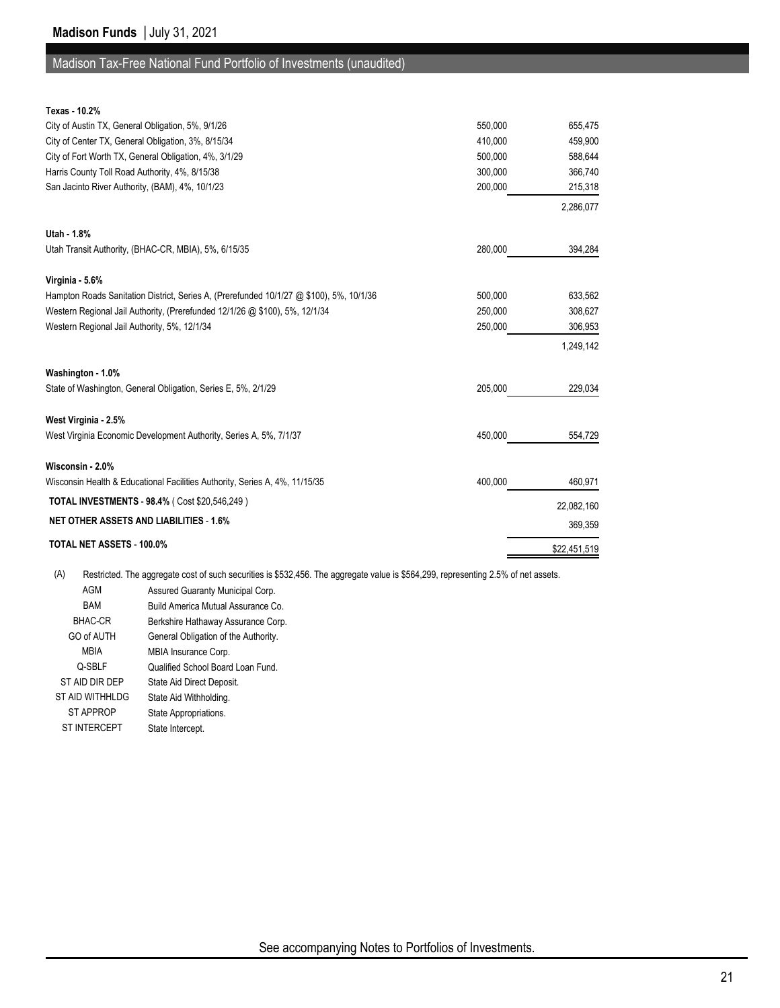#### Madison Tax-Free National Fund Portfolio of Investments (unaudited)

| Texas - 10.2%                                                                           |         |              |
|-----------------------------------------------------------------------------------------|---------|--------------|
| City of Austin TX, General Obligation, 5%, 9/1/26                                       | 550,000 | 655,475      |
| City of Center TX, General Obligation, 3%, 8/15/34                                      | 410,000 | 459,900      |
| City of Fort Worth TX, General Obligation, 4%, 3/1/29                                   | 500,000 | 588,644      |
| Harris County Toll Road Authority, 4%, 8/15/38                                          | 300,000 | 366,740      |
| San Jacinto River Authority, (BAM), 4%, 10/1/23                                         | 200,000 | 215,318      |
|                                                                                         |         | 2,286,077    |
| Utah - 1.8%                                                                             |         |              |
| Utah Transit Authority, (BHAC-CR, MBIA), 5%, 6/15/35                                    | 280,000 | 394,284      |
| Virginia - 5.6%                                                                         |         |              |
| Hampton Roads Sanitation District, Series A, (Prerefunded 10/1/27 @ \$100), 5%, 10/1/36 | 500,000 | 633,562      |
| Western Regional Jail Authority, (Prerefunded 12/1/26 @ \$100), 5%, 12/1/34             | 250,000 | 308,627      |
| Western Regional Jail Authority, 5%, 12/1/34                                            | 250,000 | 306,953      |
|                                                                                         |         | 1,249,142    |
| Washington - 1.0%                                                                       |         |              |
| State of Washington, General Obligation, Series E, 5%, 2/1/29                           | 205.000 | 229,034      |
| West Virginia - 2.5%                                                                    |         |              |
| West Virginia Economic Development Authority, Series A, 5%, 7/1/37                      | 450,000 | 554,729      |
| Wisconsin - 2.0%                                                                        |         |              |
| Wisconsin Health & Educational Facilities Authority, Series A, 4%, 11/15/35             | 400,000 | 460,971      |
| <b>TOTAL INVESTMENTS - 98.4% (Cost \$20,546,249)</b>                                    |         | 22,082,160   |
| <b>NET OTHER ASSETS AND LIABILITIES - 1.6%</b>                                          |         | 369,359      |
| TOTAL NET ASSETS - 100.0%                                                               |         | \$22,451,519 |

(A) Restricted. The aggregate cost of such securities is \$532,456. The aggregate value is \$564,299, representing 2.5% of net assets.

AGM Assured Guaranty Municipal Corp.

BAM Build America Mutual Assurance Co.

BHAC-CR Berkshire Hathaway Assurance Corp.

GO of AUTH General Obligation of the Authority.

MBIA MBIA Insurance Corp.

- Q-SBLF Qualified School Board Loan Fund.
- ST AID DIR DEP State Aid Direct Deposit.
- ST AID WITHHLDG State Aid Withholding.
- ST APPROP State Appropriations.
- ST INTERCEPT State Intercept.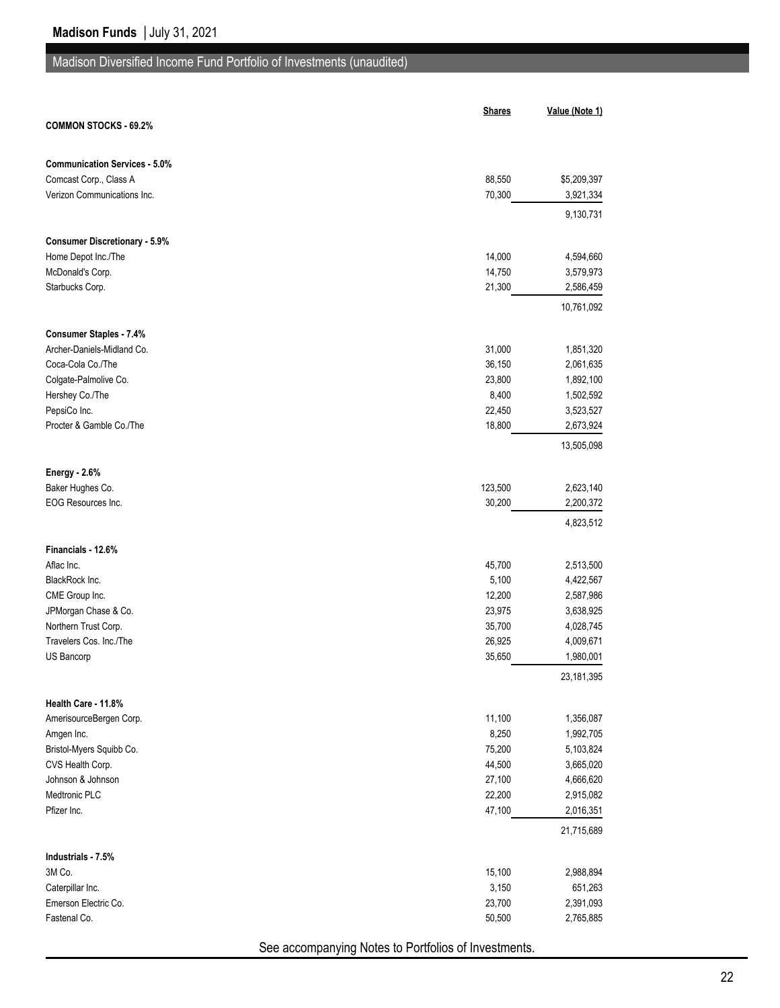|                                                              | <b>Shares</b> | Value (Note 1) |
|--------------------------------------------------------------|---------------|----------------|
| <b>COMMON STOCKS - 69.2%</b>                                 |               |                |
|                                                              |               |                |
| <b>Communication Services - 5.0%</b>                         |               |                |
| Comcast Corp., Class A                                       | 88,550        | \$5,209,397    |
| Verizon Communications Inc.                                  | 70,300        | 3,921,334      |
|                                                              |               | 9,130,731      |
| <b>Consumer Discretionary - 5.9%</b>                         |               |                |
| Home Depot Inc./The                                          | 14,000        | 4,594,660      |
| McDonald's Corp.                                             | 14,750        | 3,579,973      |
| Starbucks Corp.                                              | 21,300        | 2,586,459      |
|                                                              |               | 10,761,092     |
|                                                              |               |                |
| <b>Consumer Staples - 7.4%</b><br>Archer-Daniels-Midland Co. | 31,000        | 1,851,320      |
|                                                              |               |                |
| Coca-Cola Co./The                                            | 36,150        | 2,061,635      |
| Colgate-Palmolive Co.                                        | 23,800        | 1,892,100      |
| Hershey Co./The                                              | 8,400         | 1,502,592      |
| PepsiCo Inc.                                                 | 22,450        | 3,523,527      |
| Procter & Gamble Co./The                                     | 18,800        | 2,673,924      |
|                                                              |               | 13,505,098     |
| <b>Energy - 2.6%</b>                                         |               |                |
| Baker Hughes Co.                                             | 123,500       | 2,623,140      |
| EOG Resources Inc.                                           | 30,200        | 2,200,372      |
|                                                              |               | 4,823,512      |
| Financials - 12.6%                                           |               |                |
| Aflac Inc.                                                   | 45,700        | 2,513,500      |
| BlackRock Inc.                                               | 5,100         | 4,422,567      |
| CME Group Inc.                                               | 12,200        | 2,587,986      |
| JPMorgan Chase & Co.                                         | 23,975        | 3,638,925      |
| Northern Trust Corp.                                         | 35,700        | 4,028,745      |
| Travelers Cos. Inc./The                                      | 26,925        | 4,009,671      |
| US Bancorp                                                   | 35,650        | 1,980,001      |
|                                                              |               | 23,181,395     |
|                                                              |               |                |
| Health Care - 11.8%                                          |               |                |
| AmerisourceBergen Corp.                                      | 11,100        | 1,356,087      |
| Amgen Inc.                                                   | 8,250         | 1,992,705      |
| Bristol-Myers Squibb Co.                                     | 75,200        | 5,103,824      |
| CVS Health Corp.                                             | 44,500        | 3,665,020      |
| Johnson & Johnson                                            | 27,100        | 4,666,620      |
| Medtronic PLC                                                | 22,200        | 2,915,082      |
| Pfizer Inc.                                                  | 47,100        | 2,016,351      |
|                                                              |               | 21,715,689     |
| Industrials - 7.5%                                           |               |                |
| 3M Co.                                                       | 15,100        | 2,988,894      |
| Caterpillar Inc.                                             | 3,150         | 651,263        |
| Emerson Electric Co.                                         | 23,700        | 2,391,093      |
| Fastenal Co.                                                 | 50,500        | 2,765,885      |
|                                                              |               |                |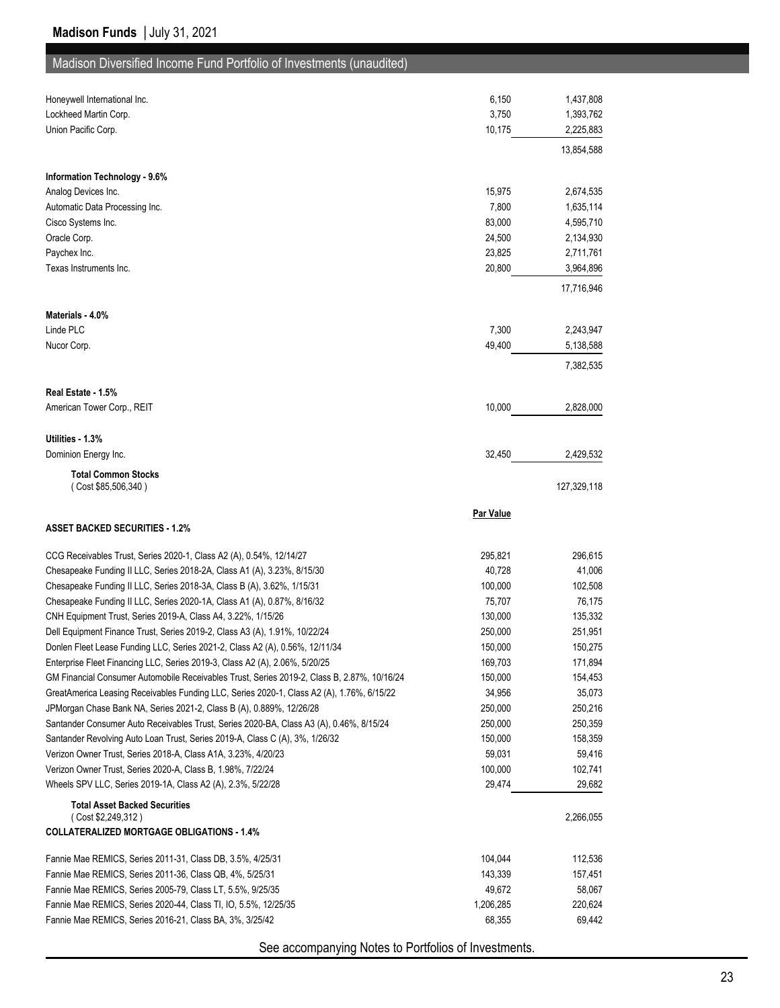| Honeywell International Inc.                                                                                                | 6,150             | 1,437,808         |
|-----------------------------------------------------------------------------------------------------------------------------|-------------------|-------------------|
| Lockheed Martin Corp.                                                                                                       | 3,750             | 1,393,762         |
| Union Pacific Corp.                                                                                                         | 10,175            | 2,225,883         |
|                                                                                                                             |                   | 13,854,588        |
| Information Technology - 9.6%                                                                                               |                   |                   |
| Analog Devices Inc.                                                                                                         | 15,975            | 2,674,535         |
| Automatic Data Processing Inc.                                                                                              | 7,800             | 1,635,114         |
| Cisco Systems Inc.                                                                                                          | 83,000            | 4,595,710         |
| Oracle Corp.                                                                                                                | 24,500            | 2,134,930         |
| Paychex Inc.                                                                                                                | 23,825            | 2,711,761         |
| Texas Instruments Inc.                                                                                                      | 20,800            | 3,964,896         |
|                                                                                                                             |                   | 17,716,946        |
| Materials - 4.0%                                                                                                            |                   |                   |
| Linde PLC                                                                                                                   | 7,300             | 2,243,947         |
| Nucor Corp.                                                                                                                 | 49,400            | 5,138,588         |
|                                                                                                                             |                   | 7,382,535         |
| Real Estate - 1.5%                                                                                                          |                   |                   |
| American Tower Corp., REIT                                                                                                  | 10,000            | 2,828,000         |
|                                                                                                                             |                   |                   |
| Utilities - 1.3%                                                                                                            |                   |                   |
| Dominion Energy Inc.                                                                                                        | 32,450            | 2,429,532         |
| <b>Total Common Stocks</b>                                                                                                  |                   |                   |
| (Cost \$85,506,340)                                                                                                         |                   | 127,329,118       |
|                                                                                                                             |                   |                   |
|                                                                                                                             |                   |                   |
|                                                                                                                             | <b>Par Value</b>  |                   |
| <b>ASSET BACKED SECURITIES 1.2%</b>                                                                                         |                   |                   |
| CCG Receivables Trust, Series 2020-1, Class A2 (A), 0.54%, 12/14/27                                                         | 295,821           | 296,615           |
| Chesapeake Funding II LLC, Series 2018-2A, Class A1 (A), 3.23%, 8/15/30                                                     | 40,728            | 41,006            |
| Chesapeake Funding II LLC, Series 2018-3A, Class B (A), 3.62%, 1/15/31                                                      | 100,000           | 102,508           |
| Chesapeake Funding II LLC, Series 2020-1A, Class A1 (A), 0.87%, 8/16/32                                                     | 75,707            | 76,175            |
| CNH Equipment Trust, Series 2019-A, Class A4, 3.22%, 1/15/26                                                                | 130,000           | 135,332           |
| Dell Equipment Finance Trust, Series 2019-2, Class A3 (A), 1.91%, 10/22/24                                                  | 250,000           | 251,951           |
| Donlen Fleet Lease Funding LLC, Series 2021-2, Class A2 (A), 0.56%, 12/11/34                                                | 150,000           | 150,275           |
| Enterprise Fleet Financing LLC, Series 2019-3, Class A2 (A), 2.06%, 5/20/25                                                 | 169,703           | 171,894           |
| GM Financial Consumer Automobile Receivables Trust, Series 2019-2, Class B, 2.87%, 10/16/24                                 | 150,000           | 154,453           |
| GreatAmerica Leasing Receivables Funding LLC, Series 2020-1, Class A2 (A), 1.76%, 6/15/22                                   | 34,956            | 35,073            |
| JPMorgan Chase Bank NA, Series 2021-2, Class B (A), 0.889%, 12/26/28                                                        | 250,000           | 250,216           |
| Santander Consumer Auto Receivables Trust, Series 2020-BA, Class A3 (A), 0.46%, 8/15/24                                     | 250,000           | 250,359           |
| Santander Revolving Auto Loan Trust, Series 2019-A, Class C (A), 3%, 1/26/32                                                | 150,000           | 158,359           |
| Verizon Owner Trust, Series 2018-A, Class A1A, 3.23%, 4/20/23                                                               | 59,031            | 59,416            |
| Verizon Owner Trust, Series 2020-A, Class B, 1.98%, 7/22/24                                                                 | 100,000           | 102,741           |
| Wheels SPV LLC, Series 2019-1A, Class A2 (A), 2.3%, 5/22/28                                                                 | 29,474            | 29,682            |
| <b>Total Asset Backed Securities</b>                                                                                        |                   |                   |
| (Cost \$2,249,312)<br><b>COLLATERALIZED MORTGAGE OBLIGATIONS - 1.4%</b>                                                     |                   | 2,266,055         |
|                                                                                                                             |                   |                   |
| Fannie Mae REMICS, Series 2011-31, Class DB, 3.5%, 4/25/31                                                                  | 104,044           | 112,536           |
| Fannie Mae REMICS, Series 2011-36, Class QB, 4%, 5/25/31                                                                    | 143,339<br>49,672 | 157,451           |
| Fannie Mae REMICS, Series 2005-79, Class LT, 5.5%, 9/25/35                                                                  | 1,206,285         | 58,067<br>220,624 |
| Fannie Mae REMICS, Series 2020-44, Class TI, IO, 5.5%, 12/25/35<br>Fannie Mae REMICS, Series 2016-21, Class BA, 3%, 3/25/42 | 68,355            | 69,442            |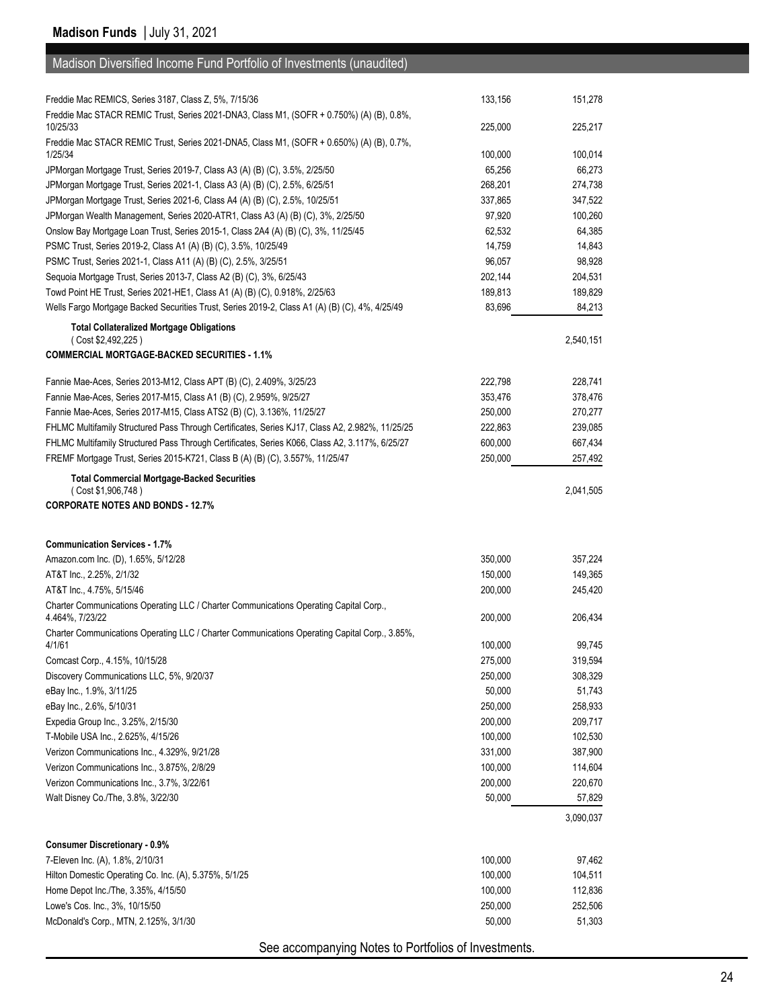| Madison Diversified Income Fund Portfolio of Investments (unaudited)                                                                                  |                    |                    |
|-------------------------------------------------------------------------------------------------------------------------------------------------------|--------------------|--------------------|
|                                                                                                                                                       |                    |                    |
| Freddie Mac REMICS, Series 3187, Class Z, 5%, 7/15/36                                                                                                 | 133,156            | 151,278            |
| Freddie Mac STACR REMIC Trust, Series 2021-DNA3, Class M1, (SOFR + 0.750%) (A) (B), 0.8%,                                                             |                    |                    |
| 10/25/33                                                                                                                                              | 225,000            | 225,217            |
| Freddie Mac STACR REMIC Trust, Series 2021-DNA5, Class M1, (SOFR + 0.650%) (A) (B), 0.7%,                                                             |                    |                    |
| 1/25/34                                                                                                                                               | 100,000            | 100,014            |
| JPMorgan Mortgage Trust, Series 2019-7, Class A3 (A) (B) (C), 3.5%, 2/25/50                                                                           | 65,256             | 66,273             |
| JPMorgan Mortgage Trust, Series 2021-1, Class A3 (A) (B) (C), 2.5%, 6/25/51                                                                           | 268,201            | 274,738            |
| JPMorgan Mortgage Trust, Series 2021-6, Class A4 (A) (B) (C), 2.5%, 10/25/51                                                                          | 337,865            | 347,522            |
| JPMorgan Wealth Management, Series 2020-ATR1, Class A3 (A) (B) (C), 3%, 2/25/50                                                                       | 97,920<br>62,532   | 100,260<br>64,385  |
| Onslow Bay Mortgage Loan Trust, Series 2015-1, Class 2A4 (A) (B) (C), 3%, 11/25/45<br>PSMC Trust, Series 2019-2, Class A1 (A) (B) (C), 3.5%, 10/25/49 | 14,759             | 14,843             |
| PSMC Trust, Series 2021-1, Class A11 (A) (B) (C), 2.5%, 3/25/51                                                                                       | 96,057             | 98,928             |
| Sequoia Mortgage Trust, Series 2013-7, Class A2 (B) (C), 3%, 6/25/43                                                                                  | 202,144            | 204,531            |
| Towd Point HE Trust, Series 2021-HE1, Class A1 (A) (B) (C), 0.918%, 2/25/63                                                                           | 189,813            | 189,829            |
| Wells Fargo Mortgage Backed Securities Trust, Series 2019-2, Class A1 (A) (B) (C), 4%, 4/25/49                                                        | 83,696             | 84,213             |
|                                                                                                                                                       |                    |                    |
| <b>Total Collateralized Mortgage Obligations</b><br>(Cost \$2,492,225)                                                                                |                    | 2,540,151          |
| <b>COMMERCIAL MORTGAGE-BACKED SECURITIES - 1.1%</b>                                                                                                   |                    |                    |
|                                                                                                                                                       |                    |                    |
| Fannie Mae-Aces, Series 2013-M12, Class APT (B) (C), 2.409%, 3/25/23                                                                                  | 222,798            | 228.741            |
| Fannie Mae-Aces, Series 2017-M15, Class A1 (B) (C), 2.959%, 9/25/27                                                                                   | 353,476            | 378,476            |
| Fannie Mae-Aces, Series 2017-M15, Class ATS2 (B) (C), 3.136%, 11/25/27                                                                                | 250,000            | 270,277            |
| FHLMC Multifamily Structured Pass Through Certificates, Series KJ17, Class A2, 2.982%, 11/25/25                                                       | 222,863            | 239,085            |
| FHLMC Multifamily Structured Pass Through Certificates, Series K066, Class A2, 3.117%, 6/25/27                                                        | 600,000            | 667,434            |
| FREMF Mortgage Trust, Series 2015-K721, Class B (A) (B) (C), 3.557%, 11/25/47                                                                         | 250,000            | 257,492            |
| <b>Total Commercial Mortgage-Backed Securities</b>                                                                                                    |                    |                    |
| (Cost \$1,906,748)<br><b>CORPORATE NOTES AND BONDS - 12.7%</b>                                                                                        |                    | 2,041,505          |
|                                                                                                                                                       |                    |                    |
|                                                                                                                                                       |                    |                    |
| <b>Communication Services - 1.7%</b>                                                                                                                  | 350,000            | 357.224            |
| Amazon.com Inc. (D), 1.65%, 5/12/28<br>AT&T Inc., 2.25%, 2/1/32                                                                                       | 150,000            | 149,365            |
| AT&T Inc., 4.75%, 5/15/46                                                                                                                             | 200,000            | 245,420            |
| Charter Communications Operating LLC / Charter Communications Operating Capital Corp.,                                                                |                    |                    |
| 4.464%, 7/23/22                                                                                                                                       | 200,000            | 206,434            |
| Charter Communications Operating LLC / Charter Communications Operating Capital Corp., 3.85%,                                                         |                    |                    |
| 4/1/61                                                                                                                                                | 100,000            | 99,745             |
| Comcast Corp., 4.15%, 10/15/28                                                                                                                        | 275,000            | 319,594            |
| Discovery Communications LLC, 5%, 9/20/37                                                                                                             | 250,000            | 308,329            |
| eBay Inc., 1.9%, 3/11/25                                                                                                                              | 50,000             | 51,743             |
| eBay Inc., 2.6%, 5/10/31                                                                                                                              | 250,000            | 258,933            |
| Expedia Group Inc., 3.25%, 2/15/30                                                                                                                    | 200,000            | 209,717            |
| T-Mobile USA Inc., 2.625%, 4/15/26<br>Verizon Communications Inc., 4.329%, 9/21/28                                                                    | 100,000<br>331,000 | 102,530            |
| Verizon Communications Inc., 3.875%, 2/8/29                                                                                                           | 100,000            | 387,900<br>114,604 |
| Verizon Communications Inc., 3.7%, 3/22/61                                                                                                            | 200,000            | 220,670            |
| Walt Disney Co./The, 3.8%, 3/22/30                                                                                                                    | 50,000             | 57,829             |
|                                                                                                                                                       |                    |                    |
|                                                                                                                                                       |                    | 3,090,037          |
| <b>Consumer Discretionary - 0.9%</b>                                                                                                                  |                    |                    |
| 7-Eleven Inc. (A), 1.8%, 2/10/31                                                                                                                      | 100,000            | 97,462             |
| Hilton Domestic Operating Co. Inc. (A), 5.375%, 5/1/25                                                                                                | 100,000            | 104,511            |
| Home Depot Inc./The, 3.35%, 4/15/50                                                                                                                   | 100,000            | 112,836            |
| Lowe's Cos. Inc., 3%, 10/15/50                                                                                                                        | 250,000            | 252,506            |
| McDonald's Corp., MTN, 2.125%, 3/1/30                                                                                                                 | 50,000             | 51,303             |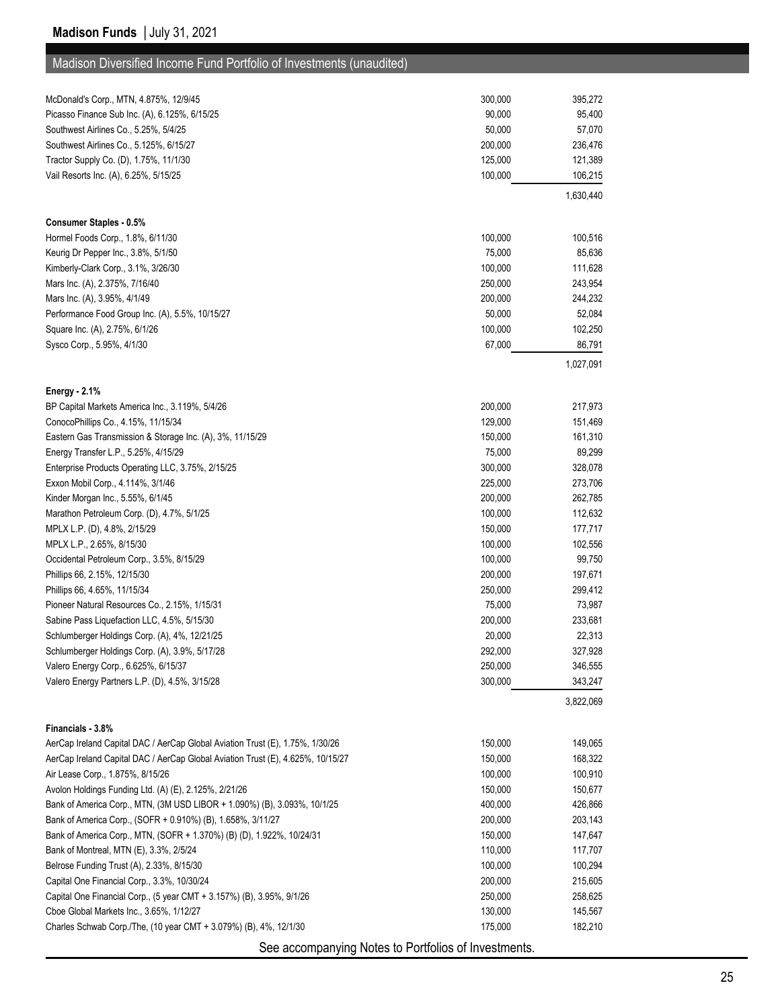# Madison Diversified Income Fund Portfolio of Investments (unaudited)

| McDonald's Corp., MTN, 4.875%, 12/9/45                                                             | 300,000 | 395,272              |
|----------------------------------------------------------------------------------------------------|---------|----------------------|
| Picasso Finance Sub Inc. (A), 6.125%, 6/15/25                                                      | 90,000  | 95,400               |
| Southwest Airlines Co., 5.25%, 5/4/25                                                              | 50,000  | 57,070               |
| Southwest Airlines Co., 5.125%, 6/15/27                                                            | 200,000 | 236,476              |
| Tractor Supply Co. (D), 1.75%, 11/1/30                                                             | 125,000 | 121,389              |
| Vail Resorts Inc. (A), 6.25%, 5/15/25                                                              | 100,000 | 106,215              |
|                                                                                                    |         | 1,630,440            |
| Consumer Staples - 0.5%                                                                            |         |                      |
| Hormel Foods Corp., 1.8%, 6/11/30                                                                  | 100,000 | 100,516              |
| Keurig Dr Pepper Inc., 3.8%, 5/1/50                                                                | 75,000  | 85,636               |
| Kimberly-Clark Corp., 3.1%, 3/26/30                                                                | 100,000 | 111,628              |
| Mars Inc. (A), 2.375%, 7/16/40                                                                     | 250,000 | 243,954              |
| Mars Inc. (A), 3.95%, 4/1/49                                                                       | 200,000 | 244,232              |
| Performance Food Group Inc. (A), 5.5%, 10/15/27                                                    | 50,000  | 52,084               |
| Square Inc. (A), 2.75%, 6/1/26                                                                     | 100,000 | 102,250              |
| Sysco Corp., 5.95%, 4/1/30                                                                         | 67,000  | 86,791               |
|                                                                                                    |         | 1,027,091            |
| Energy - 2.1%                                                                                      |         |                      |
| BP Capital Markets America Inc., 3.119%, 5/4/26                                                    | 200,000 | 217,973              |
| ConocoPhillips Co., 4.15%, 11/15/34                                                                | 129,000 | 151,469              |
| Eastern Gas Transmission & Storage Inc. (A), 3%, 11/15/29                                          | 150,000 | 161,310              |
| Energy Transfer L.P., 5.25%, 4/15/29                                                               | 75,000  | 89,299               |
| Enterprise Products Operating LLC, 3.75%, 2/15/25                                                  | 300,000 | 328,078              |
| Exxon Mobil Corp., 4.114%, 3/1/46                                                                  | 225,000 | 273,706              |
| Kinder Morgan Inc., 5.55%, 6/1/45                                                                  | 200,000 | 262,785              |
| Marathon Petroleum Corp. (D), 4.7%, 5/1/25                                                         | 100,000 | 112,632              |
| MPLX L.P. (D), 4.8%, 2/15/29                                                                       | 150,000 | 177,717              |
| MPLX L.P., 2.65%, 8/15/30                                                                          | 100,000 | 102,556              |
| Occidental Petroleum Corp., 3.5%, 8/15/29                                                          | 100,000 | 99,750               |
| Phillips 66, 2.15%, 12/15/30                                                                       | 200,000 | 197,671              |
| Phillips 66, 4.65%, 11/15/34                                                                       | 250,000 | 299,412              |
| Pioneer Natural Resources Co., 2.15%, 1/15/31                                                      | 75,000  | 73,987               |
| Sabine Pass Liquefaction LLC, 4.5%, 5/15/30                                                        | 200,000 | 233,681              |
| Schlumberger Holdings Corp. (A), 4%, 12/21/25                                                      | 20,000  | 22,313               |
| Schlumberger Holdings Corp. (A), 3.9%, 5/17/28                                                     | 292,000 | 327,928              |
| Valero Energy Corp., 6.625%, 6/15/37                                                               | 250,000 | 346,555              |
| Valero Energy Partners L.P. (D), 4.5%, 3/15/28                                                     | 300,000 | 343,247<br>3,822,069 |
|                                                                                                    |         |                      |
| Financials - 3.8%<br>AerCap Ireland Capital DAC / AerCap Global Aviation Trust (E), 1.75%, 1/30/26 | 150,000 | 149,065              |
| AerCap Ireland Capital DAC / AerCap Global Aviation Trust (E), 4.625%, 10/15/27                    | 150,000 | 168,322              |
| Air Lease Corp., 1.875%, 8/15/26                                                                   | 100,000 | 100,910              |
| Avolon Holdings Funding Ltd. (A) (E), 2.125%, 2/21/26                                              | 150,000 | 150,677              |
| Bank of America Corp., MTN, (3M USD LIBOR + 1.090%) (B), 3.093%, 10/1/25                           | 400,000 | 426,866              |
| Bank of America Corp., (SOFR + 0.910%) (B), 1.658%, 3/11/27                                        | 200,000 | 203,143              |
| Bank of America Corp., MTN, (SOFR + 1.370%) (B) (D), 1.922%, 10/24/31                              | 150,000 | 147,647              |
| Bank of Montreal, MTN (E), 3.3%, 2/5/24                                                            | 110,000 | 117,707              |
| Belrose Funding Trust (A), 2.33%, 8/15/30                                                          | 100,000 | 100,294              |
| Capital One Financial Corp., 3.3%, 10/30/24                                                        | 200,000 | 215,605              |
| Capital One Financial Corp., (5 year CMT + 3.157%) (B), 3.95%, 9/1/26                              | 250,000 | 258,625              |
| Cboe Global Markets Inc., 3.65%, 1/12/27                                                           | 130,000 | 145,567              |
| Charles Schwab Corp./The, (10 year CMT + 3.079%) (B), 4%, 12/1/30                                  | 175,000 | 182,210              |
| See accompanying Notes to Portfolios of Investments.                                               |         |                      |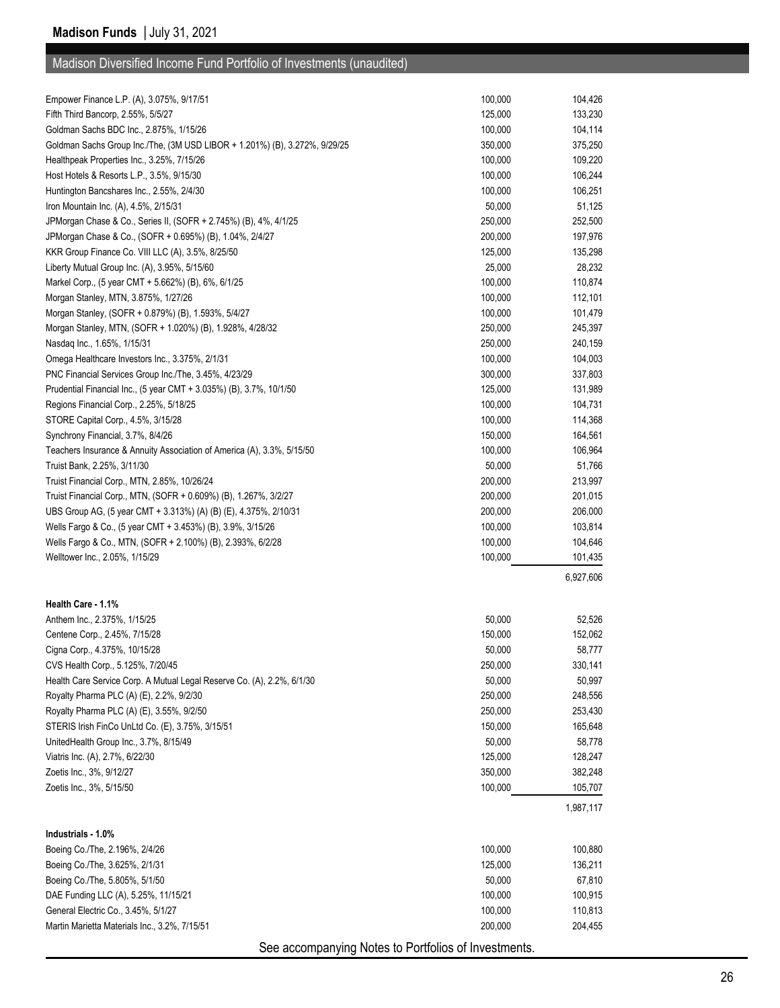| Empower Finance L.P. (A), 3.075%, 9/17/51                                  | 100,000 | 104,426   |
|----------------------------------------------------------------------------|---------|-----------|
| Fifth Third Bancorp, 2.55%, 5/5/27                                         | 125,000 | 133,230   |
| Goldman Sachs BDC Inc., 2.875%, 1/15/26                                    | 100,000 | 104,114   |
| Goldman Sachs Group Inc./The, (3M USD LIBOR + 1.201%) (B), 3.272%, 9/29/25 | 350,000 | 375,250   |
| Healthpeak Properties Inc., 3.25%, 7/15/26                                 | 100,000 | 109,220   |
| Host Hotels & Resorts L.P., 3.5%, 9/15/30                                  | 100,000 | 106,244   |
| Huntington Bancshares Inc., 2.55%, 2/4/30                                  | 100,000 | 106,251   |
| Iron Mountain Inc. (A), 4.5%, 2/15/31                                      | 50,000  | 51,125    |
| JPMorgan Chase & Co., Series II, (SOFR + 2.745%) (B), 4%, 4/1/25           | 250,000 | 252,500   |
| JPMorgan Chase & Co., (SOFR + 0.695%) (B), 1.04%, 2/4/27                   | 200,000 | 197,976   |
| KKR Group Finance Co. VIII LLC (A), 3.5%, 8/25/50                          | 125,000 | 135,298   |
| Liberty Mutual Group Inc. (A), 3.95%, 5/15/60                              | 25,000  | 28,232    |
| Markel Corp., (5 year CMT + 5.662%) (B), 6%, 6/1/25                        | 100,000 | 110,874   |
| Morgan Stanley, MTN, 3.875%, 1/27/26                                       | 100,000 | 112,101   |
| Morgan Stanley, (SOFR + 0.879%) (B), 1.593%, 5/4/27                        | 100,000 | 101,479   |
| Morgan Stanley, MTN, (SOFR + 1.020%) (B), 1.928%, 4/28/32                  | 250,000 | 245,397   |
| Nasdag Inc., 1.65%, 1/15/31                                                | 250,000 | 240,159   |
| Omega Healthcare Investors Inc., 3.375%, 2/1/31                            | 100,000 | 104,003   |
| PNC Financial Services Group Inc./The, 3.45%, 4/23/29                      | 300,000 | 337,803   |
| Prudential Financial Inc., (5 year CMT + 3.035%) (B), 3.7%, 10/1/50        | 125,000 | 131,989   |
| Regions Financial Corp., 2.25%, 5/18/25                                    | 100,000 | 104,731   |
| STORE Capital Corp., 4.5%, 3/15/28                                         | 100,000 | 114,368   |
| Synchrony Financial, 3.7%, 8/4/26                                          | 150,000 | 164,561   |
| Teachers Insurance & Annuity Association of America (A), 3.3%, 5/15/50     | 100,000 | 106,964   |
| Truist Bank, 2.25%, 3/11/30                                                | 50,000  | 51,766    |
| Truist Financial Corp., MTN, 2.85%, 10/26/24                               | 200,000 | 213,997   |
| Truist Financial Corp., MTN, (SOFR + 0.609%) (B), 1.267%, 3/2/27           | 200,000 | 201,015   |
| UBS Group AG, (5 year CMT + 3.313%) (A) (B) (E), 4.375%, 2/10/31           | 200,000 | 206,000   |
| Wells Fargo & Co., (5 year CMT + 3.453%) (B), 3.9%, 3/15/26                | 100,000 | 103,814   |
| Wells Fargo & Co., MTN, (SOFR + 2.100%) (B), 2.393%, 6/2/28                | 100,000 | 104,646   |
| Welltower Inc., 2.05%, 1/15/29                                             | 100,000 | 101,435   |
|                                                                            |         | 6,927,606 |
| Health Care 1.1%                                                           |         |           |
| Anthem Inc., 2.375%, 1/15/25                                               | 50,000  | 52,526    |
| Centene Corp., 2.45%, 7/15/28                                              | 150,000 | 152,062   |
| Cigna Corp., 4.375%, 10/15/28                                              | 50,000  | 58,777    |
| CVS Health Corp., 5.125%, 7/20/45                                          | 250,000 | 330,141   |
| Health Care Service Corp. A Mutual Legal Reserve Co. (A), 2.2%, 6/1/30     | 50,000  | 50,997    |
| Royalty Pharma PLC (A) (E), 2.2%, 9/2/30                                   | 250,000 | 248,556   |
| Royalty Pharma PLC (A) (E), 3.55%, 9/2/50                                  | 250,000 | 253,430   |
| STERIS Irish FinCo UnLtd Co. (E), 3.75%, 3/15/51                           | 150,000 | 165,648   |
| UnitedHealth Group Inc., 3.7%, 8/15/49                                     | 50,000  | 58,778    |
| Viatris Inc. (A), 2.7%, 6/22/30                                            | 125,000 | 128,247   |
| Zoetis Inc., 3%, 9/12/27                                                   | 350,000 | 382,248   |
| Zoetis Inc., 3%, 5/15/50                                                   | 100,000 | 105,707   |
|                                                                            |         | 1,987,117 |
|                                                                            |         |           |
| Industrials - 1.0%                                                         | 100,000 |           |
| Boeing Co./The, 2.196%, 2/4/26                                             |         | 100,880   |
| Boeing Co./The, 3.625%, 2/1/31                                             | 125,000 | 136,211   |
| Boeing Co./The, 5.805%, 5/1/50                                             | 50,000  | 67,810    |
| DAE Funding LLC (A), 5.25%, 11/15/21                                       | 100,000 | 100,915   |
| General Electric Co., 3.45%, 5/1/27                                        | 100,000 | 110,813   |
| Martin Marietta Materials Inc., 3.2%, 7/15/51                              | 200,000 | 204,455   |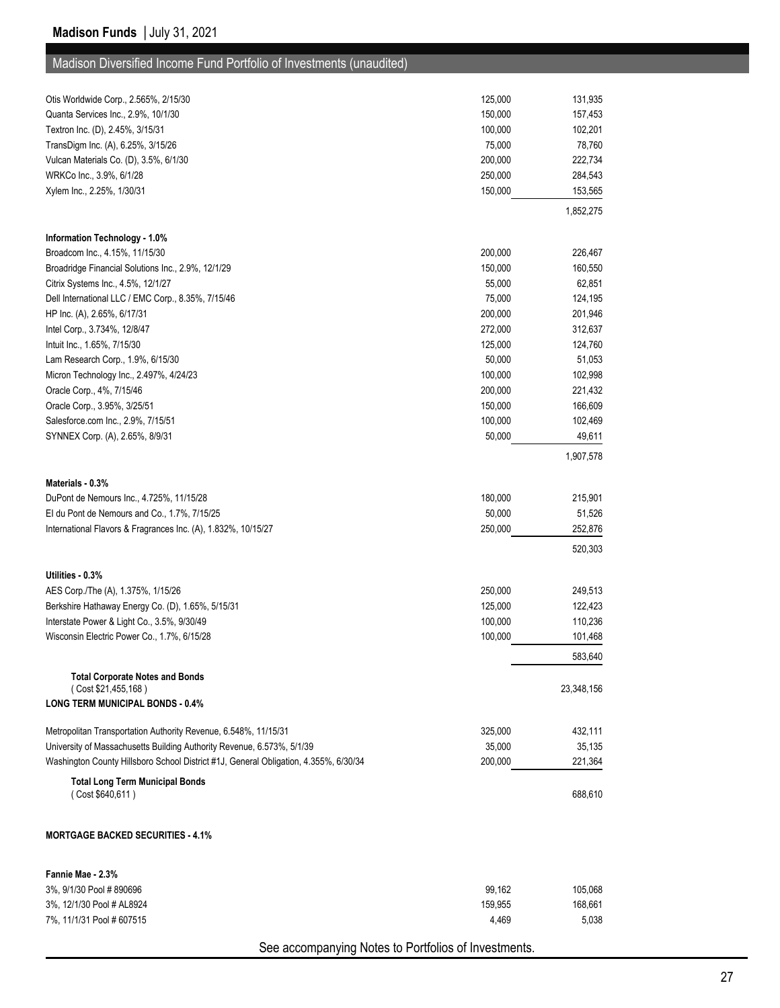| 150,000<br>Quanta Services Inc., 2.9%, 10/1/30<br>157,453<br>102,201<br>Textron Inc. (D), 2.45%, 3/15/31<br>100,000<br>78,760<br>TransDigm Inc. (A), 6.25%, 3/15/26<br>75,000<br>200,000<br>222,734<br>Vulcan Materials Co. (D), 3.5%, 6/1/30<br>WRKCo Inc., 3.9%, 6/1/28<br>250,000<br>284,543<br>150,000<br>Xylem Inc., 2.25%, 1/30/31<br>153,565<br>1,852,275<br>Information Technology - 1.0%<br>200,000<br>Broadcom Inc., 4.15%, 11/15/30<br>226,467<br>Broadridge Financial Solutions Inc., 2.9%, 12/1/29<br>150,000<br>160,550<br>Citrix Systems Inc., 4.5%, 12/1/27<br>55,000<br>62,851<br>Dell International LLC / EMC Corp., 8.35%, 7/15/46<br>75,000<br>124,195<br>HP Inc. (A), 2.65%, 6/17/31<br>200,000<br>201,946<br>Intel Corp., 3.734%, 12/8/47<br>272,000<br>Intuit Inc., 1.65%, 7/15/30<br>125,000<br>124,760<br>Lam Research Corp., 1.9%, 6/15/30<br>50,000<br>51,053<br>100,000<br>102,998<br>Micron Technology Inc., 2.497%, 4/24/23<br>Oracle Corp., 4%, 7/15/46<br>200,000<br>221,432<br>Oracle Corp., 3.95%, 3/25/51<br>150,000<br>166,609<br>Salesforce.com Inc., 2.9%, 7/15/51<br>100,000<br>102,469<br>50,000<br>SYNNEX Corp. (A), 2.65%, 8/9/31<br>49,611<br>1,907,578<br>Materials - 0.3%<br>180,000<br>215,901<br>DuPont de Nemours Inc., 4.725%, 11/15/28<br>El du Pont de Nemours and Co., 1.7%, 7/15/25<br>50,000<br>51,526<br>250,000<br>252,876<br>International Flavors & Fragrances Inc. (A), 1.832%, 10/15/27<br>520,303<br>Utilities - 0.3%<br>AES Corp./The (A), 1.375%, 1/15/26<br>250,000<br>249,513<br>Berkshire Hathaway Energy Co. (D), 1.65%, 5/15/31<br>125,000<br>122,423<br>Interstate Power & Light Co., 3.5%, 9/30/49<br>100,000<br>110,236<br>100,000<br>101,468<br>Wisconsin Electric Power Co., 1.7%, 6/15/28<br>583,640<br><b>Total Corporate Notes and Bonds</b><br>(Cost \$21,455,168)<br>23,348,156<br><b>LONG TERM MUNICIPAL BONDS - 0.4%</b><br>Metropolitan Transportation Authority Revenue, 6.548%, 11/15/31<br>325,000<br>University of Massachusetts Building Authority Revenue, 6.573%, 5/1/39<br>35,000<br>Washington County Hillsboro School District #1J, General Obligation, 4.355%, 6/30/34<br>200,000<br>221,364<br><b>Total Long Term Municipal Bonds</b><br>(Cost \$640,611)<br>688,610<br><b>MORTGAGE BACKED SECURITIES - 4.1%</b><br>Fannie Mae - 2.3%<br>3%, 9/1/30 Pool #890696<br>99,162<br>105,068<br>3%, 12/1/30 Pool # AL8924<br>159,955<br>7%, 11/1/31 Pool # 607515<br>4,469<br>5,038 | Otis Worldwide Corp., 2.565%, 2/15/30 | 125,000 | 131,935 |
|---------------------------------------------------------------------------------------------------------------------------------------------------------------------------------------------------------------------------------------------------------------------------------------------------------------------------------------------------------------------------------------------------------------------------------------------------------------------------------------------------------------------------------------------------------------------------------------------------------------------------------------------------------------------------------------------------------------------------------------------------------------------------------------------------------------------------------------------------------------------------------------------------------------------------------------------------------------------------------------------------------------------------------------------------------------------------------------------------------------------------------------------------------------------------------------------------------------------------------------------------------------------------------------------------------------------------------------------------------------------------------------------------------------------------------------------------------------------------------------------------------------------------------------------------------------------------------------------------------------------------------------------------------------------------------------------------------------------------------------------------------------------------------------------------------------------------------------------------------------------------------------------------------------------------------------------------------------------------------------------------------------------------------------------------------------------------------------------------------------------------------------------------------------------------------------------------------------------------------------------------------------------------------------------------------------------------------------------------------------------------------------------------------------------------------------------------------------------------|---------------------------------------|---------|---------|
|                                                                                                                                                                                                                                                                                                                                                                                                                                                                                                                                                                                                                                                                                                                                                                                                                                                                                                                                                                                                                                                                                                                                                                                                                                                                                                                                                                                                                                                                                                                                                                                                                                                                                                                                                                                                                                                                                                                                                                                                                                                                                                                                                                                                                                                                                                                                                                                                                                                                           |                                       |         |         |
|                                                                                                                                                                                                                                                                                                                                                                                                                                                                                                                                                                                                                                                                                                                                                                                                                                                                                                                                                                                                                                                                                                                                                                                                                                                                                                                                                                                                                                                                                                                                                                                                                                                                                                                                                                                                                                                                                                                                                                                                                                                                                                                                                                                                                                                                                                                                                                                                                                                                           |                                       |         |         |
|                                                                                                                                                                                                                                                                                                                                                                                                                                                                                                                                                                                                                                                                                                                                                                                                                                                                                                                                                                                                                                                                                                                                                                                                                                                                                                                                                                                                                                                                                                                                                                                                                                                                                                                                                                                                                                                                                                                                                                                                                                                                                                                                                                                                                                                                                                                                                                                                                                                                           |                                       |         |         |
|                                                                                                                                                                                                                                                                                                                                                                                                                                                                                                                                                                                                                                                                                                                                                                                                                                                                                                                                                                                                                                                                                                                                                                                                                                                                                                                                                                                                                                                                                                                                                                                                                                                                                                                                                                                                                                                                                                                                                                                                                                                                                                                                                                                                                                                                                                                                                                                                                                                                           |                                       |         |         |
|                                                                                                                                                                                                                                                                                                                                                                                                                                                                                                                                                                                                                                                                                                                                                                                                                                                                                                                                                                                                                                                                                                                                                                                                                                                                                                                                                                                                                                                                                                                                                                                                                                                                                                                                                                                                                                                                                                                                                                                                                                                                                                                                                                                                                                                                                                                                                                                                                                                                           |                                       |         |         |
|                                                                                                                                                                                                                                                                                                                                                                                                                                                                                                                                                                                                                                                                                                                                                                                                                                                                                                                                                                                                                                                                                                                                                                                                                                                                                                                                                                                                                                                                                                                                                                                                                                                                                                                                                                                                                                                                                                                                                                                                                                                                                                                                                                                                                                                                                                                                                                                                                                                                           |                                       |         |         |
|                                                                                                                                                                                                                                                                                                                                                                                                                                                                                                                                                                                                                                                                                                                                                                                                                                                                                                                                                                                                                                                                                                                                                                                                                                                                                                                                                                                                                                                                                                                                                                                                                                                                                                                                                                                                                                                                                                                                                                                                                                                                                                                                                                                                                                                                                                                                                                                                                                                                           |                                       |         |         |
|                                                                                                                                                                                                                                                                                                                                                                                                                                                                                                                                                                                                                                                                                                                                                                                                                                                                                                                                                                                                                                                                                                                                                                                                                                                                                                                                                                                                                                                                                                                                                                                                                                                                                                                                                                                                                                                                                                                                                                                                                                                                                                                                                                                                                                                                                                                                                                                                                                                                           |                                       |         |         |
|                                                                                                                                                                                                                                                                                                                                                                                                                                                                                                                                                                                                                                                                                                                                                                                                                                                                                                                                                                                                                                                                                                                                                                                                                                                                                                                                                                                                                                                                                                                                                                                                                                                                                                                                                                                                                                                                                                                                                                                                                                                                                                                                                                                                                                                                                                                                                                                                                                                                           |                                       |         |         |
|                                                                                                                                                                                                                                                                                                                                                                                                                                                                                                                                                                                                                                                                                                                                                                                                                                                                                                                                                                                                                                                                                                                                                                                                                                                                                                                                                                                                                                                                                                                                                                                                                                                                                                                                                                                                                                                                                                                                                                                                                                                                                                                                                                                                                                                                                                                                                                                                                                                                           |                                       |         |         |
|                                                                                                                                                                                                                                                                                                                                                                                                                                                                                                                                                                                                                                                                                                                                                                                                                                                                                                                                                                                                                                                                                                                                                                                                                                                                                                                                                                                                                                                                                                                                                                                                                                                                                                                                                                                                                                                                                                                                                                                                                                                                                                                                                                                                                                                                                                                                                                                                                                                                           |                                       |         |         |
|                                                                                                                                                                                                                                                                                                                                                                                                                                                                                                                                                                                                                                                                                                                                                                                                                                                                                                                                                                                                                                                                                                                                                                                                                                                                                                                                                                                                                                                                                                                                                                                                                                                                                                                                                                                                                                                                                                                                                                                                                                                                                                                                                                                                                                                                                                                                                                                                                                                                           |                                       |         |         |
| 312,637<br>432,111<br>35,135<br>168,661                                                                                                                                                                                                                                                                                                                                                                                                                                                                                                                                                                                                                                                                                                                                                                                                                                                                                                                                                                                                                                                                                                                                                                                                                                                                                                                                                                                                                                                                                                                                                                                                                                                                                                                                                                                                                                                                                                                                                                                                                                                                                                                                                                                                                                                                                                                                                                                                                                   |                                       |         |         |
|                                                                                                                                                                                                                                                                                                                                                                                                                                                                                                                                                                                                                                                                                                                                                                                                                                                                                                                                                                                                                                                                                                                                                                                                                                                                                                                                                                                                                                                                                                                                                                                                                                                                                                                                                                                                                                                                                                                                                                                                                                                                                                                                                                                                                                                                                                                                                                                                                                                                           |                                       |         |         |
|                                                                                                                                                                                                                                                                                                                                                                                                                                                                                                                                                                                                                                                                                                                                                                                                                                                                                                                                                                                                                                                                                                                                                                                                                                                                                                                                                                                                                                                                                                                                                                                                                                                                                                                                                                                                                                                                                                                                                                                                                                                                                                                                                                                                                                                                                                                                                                                                                                                                           |                                       |         |         |
|                                                                                                                                                                                                                                                                                                                                                                                                                                                                                                                                                                                                                                                                                                                                                                                                                                                                                                                                                                                                                                                                                                                                                                                                                                                                                                                                                                                                                                                                                                                                                                                                                                                                                                                                                                                                                                                                                                                                                                                                                                                                                                                                                                                                                                                                                                                                                                                                                                                                           |                                       |         |         |
|                                                                                                                                                                                                                                                                                                                                                                                                                                                                                                                                                                                                                                                                                                                                                                                                                                                                                                                                                                                                                                                                                                                                                                                                                                                                                                                                                                                                                                                                                                                                                                                                                                                                                                                                                                                                                                                                                                                                                                                                                                                                                                                                                                                                                                                                                                                                                                                                                                                                           |                                       |         |         |
|                                                                                                                                                                                                                                                                                                                                                                                                                                                                                                                                                                                                                                                                                                                                                                                                                                                                                                                                                                                                                                                                                                                                                                                                                                                                                                                                                                                                                                                                                                                                                                                                                                                                                                                                                                                                                                                                                                                                                                                                                                                                                                                                                                                                                                                                                                                                                                                                                                                                           |                                       |         |         |
|                                                                                                                                                                                                                                                                                                                                                                                                                                                                                                                                                                                                                                                                                                                                                                                                                                                                                                                                                                                                                                                                                                                                                                                                                                                                                                                                                                                                                                                                                                                                                                                                                                                                                                                                                                                                                                                                                                                                                                                                                                                                                                                                                                                                                                                                                                                                                                                                                                                                           |                                       |         |         |
|                                                                                                                                                                                                                                                                                                                                                                                                                                                                                                                                                                                                                                                                                                                                                                                                                                                                                                                                                                                                                                                                                                                                                                                                                                                                                                                                                                                                                                                                                                                                                                                                                                                                                                                                                                                                                                                                                                                                                                                                                                                                                                                                                                                                                                                                                                                                                                                                                                                                           |                                       |         |         |
|                                                                                                                                                                                                                                                                                                                                                                                                                                                                                                                                                                                                                                                                                                                                                                                                                                                                                                                                                                                                                                                                                                                                                                                                                                                                                                                                                                                                                                                                                                                                                                                                                                                                                                                                                                                                                                                                                                                                                                                                                                                                                                                                                                                                                                                                                                                                                                                                                                                                           |                                       |         |         |
|                                                                                                                                                                                                                                                                                                                                                                                                                                                                                                                                                                                                                                                                                                                                                                                                                                                                                                                                                                                                                                                                                                                                                                                                                                                                                                                                                                                                                                                                                                                                                                                                                                                                                                                                                                                                                                                                                                                                                                                                                                                                                                                                                                                                                                                                                                                                                                                                                                                                           |                                       |         |         |
|                                                                                                                                                                                                                                                                                                                                                                                                                                                                                                                                                                                                                                                                                                                                                                                                                                                                                                                                                                                                                                                                                                                                                                                                                                                                                                                                                                                                                                                                                                                                                                                                                                                                                                                                                                                                                                                                                                                                                                                                                                                                                                                                                                                                                                                                                                                                                                                                                                                                           |                                       |         |         |
|                                                                                                                                                                                                                                                                                                                                                                                                                                                                                                                                                                                                                                                                                                                                                                                                                                                                                                                                                                                                                                                                                                                                                                                                                                                                                                                                                                                                                                                                                                                                                                                                                                                                                                                                                                                                                                                                                                                                                                                                                                                                                                                                                                                                                                                                                                                                                                                                                                                                           |                                       |         |         |
|                                                                                                                                                                                                                                                                                                                                                                                                                                                                                                                                                                                                                                                                                                                                                                                                                                                                                                                                                                                                                                                                                                                                                                                                                                                                                                                                                                                                                                                                                                                                                                                                                                                                                                                                                                                                                                                                                                                                                                                                                                                                                                                                                                                                                                                                                                                                                                                                                                                                           |                                       |         |         |
|                                                                                                                                                                                                                                                                                                                                                                                                                                                                                                                                                                                                                                                                                                                                                                                                                                                                                                                                                                                                                                                                                                                                                                                                                                                                                                                                                                                                                                                                                                                                                                                                                                                                                                                                                                                                                                                                                                                                                                                                                                                                                                                                                                                                                                                                                                                                                                                                                                                                           |                                       |         |         |
|                                                                                                                                                                                                                                                                                                                                                                                                                                                                                                                                                                                                                                                                                                                                                                                                                                                                                                                                                                                                                                                                                                                                                                                                                                                                                                                                                                                                                                                                                                                                                                                                                                                                                                                                                                                                                                                                                                                                                                                                                                                                                                                                                                                                                                                                                                                                                                                                                                                                           |                                       |         |         |
|                                                                                                                                                                                                                                                                                                                                                                                                                                                                                                                                                                                                                                                                                                                                                                                                                                                                                                                                                                                                                                                                                                                                                                                                                                                                                                                                                                                                                                                                                                                                                                                                                                                                                                                                                                                                                                                                                                                                                                                                                                                                                                                                                                                                                                                                                                                                                                                                                                                                           |                                       |         |         |
|                                                                                                                                                                                                                                                                                                                                                                                                                                                                                                                                                                                                                                                                                                                                                                                                                                                                                                                                                                                                                                                                                                                                                                                                                                                                                                                                                                                                                                                                                                                                                                                                                                                                                                                                                                                                                                                                                                                                                                                                                                                                                                                                                                                                                                                                                                                                                                                                                                                                           |                                       |         |         |
|                                                                                                                                                                                                                                                                                                                                                                                                                                                                                                                                                                                                                                                                                                                                                                                                                                                                                                                                                                                                                                                                                                                                                                                                                                                                                                                                                                                                                                                                                                                                                                                                                                                                                                                                                                                                                                                                                                                                                                                                                                                                                                                                                                                                                                                                                                                                                                                                                                                                           |                                       |         |         |
|                                                                                                                                                                                                                                                                                                                                                                                                                                                                                                                                                                                                                                                                                                                                                                                                                                                                                                                                                                                                                                                                                                                                                                                                                                                                                                                                                                                                                                                                                                                                                                                                                                                                                                                                                                                                                                                                                                                                                                                                                                                                                                                                                                                                                                                                                                                                                                                                                                                                           |                                       |         |         |
|                                                                                                                                                                                                                                                                                                                                                                                                                                                                                                                                                                                                                                                                                                                                                                                                                                                                                                                                                                                                                                                                                                                                                                                                                                                                                                                                                                                                                                                                                                                                                                                                                                                                                                                                                                                                                                                                                                                                                                                                                                                                                                                                                                                                                                                                                                                                                                                                                                                                           |                                       |         |         |
|                                                                                                                                                                                                                                                                                                                                                                                                                                                                                                                                                                                                                                                                                                                                                                                                                                                                                                                                                                                                                                                                                                                                                                                                                                                                                                                                                                                                                                                                                                                                                                                                                                                                                                                                                                                                                                                                                                                                                                                                                                                                                                                                                                                                                                                                                                                                                                                                                                                                           |                                       |         |         |
|                                                                                                                                                                                                                                                                                                                                                                                                                                                                                                                                                                                                                                                                                                                                                                                                                                                                                                                                                                                                                                                                                                                                                                                                                                                                                                                                                                                                                                                                                                                                                                                                                                                                                                                                                                                                                                                                                                                                                                                                                                                                                                                                                                                                                                                                                                                                                                                                                                                                           |                                       |         |         |
|                                                                                                                                                                                                                                                                                                                                                                                                                                                                                                                                                                                                                                                                                                                                                                                                                                                                                                                                                                                                                                                                                                                                                                                                                                                                                                                                                                                                                                                                                                                                                                                                                                                                                                                                                                                                                                                                                                                                                                                                                                                                                                                                                                                                                                                                                                                                                                                                                                                                           |                                       |         |         |
|                                                                                                                                                                                                                                                                                                                                                                                                                                                                                                                                                                                                                                                                                                                                                                                                                                                                                                                                                                                                                                                                                                                                                                                                                                                                                                                                                                                                                                                                                                                                                                                                                                                                                                                                                                                                                                                                                                                                                                                                                                                                                                                                                                                                                                                                                                                                                                                                                                                                           |                                       |         |         |
|                                                                                                                                                                                                                                                                                                                                                                                                                                                                                                                                                                                                                                                                                                                                                                                                                                                                                                                                                                                                                                                                                                                                                                                                                                                                                                                                                                                                                                                                                                                                                                                                                                                                                                                                                                                                                                                                                                                                                                                                                                                                                                                                                                                                                                                                                                                                                                                                                                                                           |                                       |         |         |
|                                                                                                                                                                                                                                                                                                                                                                                                                                                                                                                                                                                                                                                                                                                                                                                                                                                                                                                                                                                                                                                                                                                                                                                                                                                                                                                                                                                                                                                                                                                                                                                                                                                                                                                                                                                                                                                                                                                                                                                                                                                                                                                                                                                                                                                                                                                                                                                                                                                                           |                                       |         |         |
|                                                                                                                                                                                                                                                                                                                                                                                                                                                                                                                                                                                                                                                                                                                                                                                                                                                                                                                                                                                                                                                                                                                                                                                                                                                                                                                                                                                                                                                                                                                                                                                                                                                                                                                                                                                                                                                                                                                                                                                                                                                                                                                                                                                                                                                                                                                                                                                                                                                                           |                                       |         |         |
|                                                                                                                                                                                                                                                                                                                                                                                                                                                                                                                                                                                                                                                                                                                                                                                                                                                                                                                                                                                                                                                                                                                                                                                                                                                                                                                                                                                                                                                                                                                                                                                                                                                                                                                                                                                                                                                                                                                                                                                                                                                                                                                                                                                                                                                                                                                                                                                                                                                                           |                                       |         |         |
|                                                                                                                                                                                                                                                                                                                                                                                                                                                                                                                                                                                                                                                                                                                                                                                                                                                                                                                                                                                                                                                                                                                                                                                                                                                                                                                                                                                                                                                                                                                                                                                                                                                                                                                                                                                                                                                                                                                                                                                                                                                                                                                                                                                                                                                                                                                                                                                                                                                                           |                                       |         |         |
|                                                                                                                                                                                                                                                                                                                                                                                                                                                                                                                                                                                                                                                                                                                                                                                                                                                                                                                                                                                                                                                                                                                                                                                                                                                                                                                                                                                                                                                                                                                                                                                                                                                                                                                                                                                                                                                                                                                                                                                                                                                                                                                                                                                                                                                                                                                                                                                                                                                                           |                                       |         |         |
|                                                                                                                                                                                                                                                                                                                                                                                                                                                                                                                                                                                                                                                                                                                                                                                                                                                                                                                                                                                                                                                                                                                                                                                                                                                                                                                                                                                                                                                                                                                                                                                                                                                                                                                                                                                                                                                                                                                                                                                                                                                                                                                                                                                                                                                                                                                                                                                                                                                                           |                                       |         |         |
|                                                                                                                                                                                                                                                                                                                                                                                                                                                                                                                                                                                                                                                                                                                                                                                                                                                                                                                                                                                                                                                                                                                                                                                                                                                                                                                                                                                                                                                                                                                                                                                                                                                                                                                                                                                                                                                                                                                                                                                                                                                                                                                                                                                                                                                                                                                                                                                                                                                                           |                                       |         |         |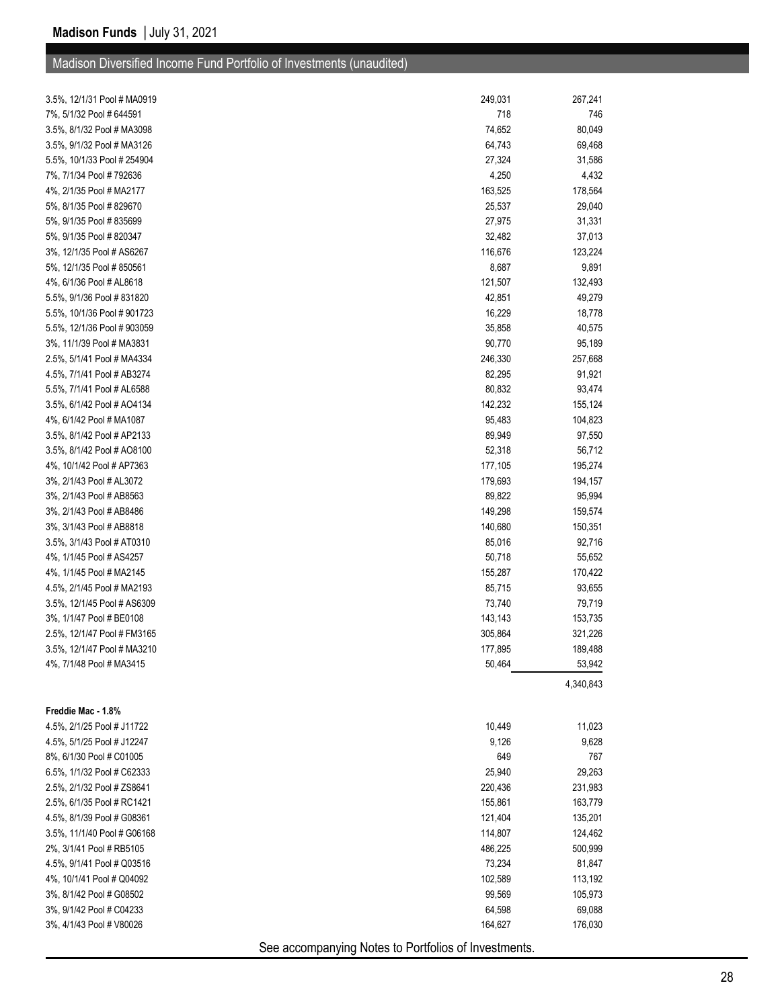| 3.5%, 12/1/31 Pool # MA0919 | 249,031                                              | 267,241   |
|-----------------------------|------------------------------------------------------|-----------|
| 7%, 5/1/32 Pool # 644591    | 718                                                  | 746       |
| 3.5%, 8/1/32 Pool # MA3098  | 74,652                                               | 80,049    |
| 3.5%, 9/1/32 Pool # MA3126  | 64,743                                               | 69,468    |
| 5.5%, 10/1/33 Pool # 254904 | 27,324                                               | 31,586    |
| 7%, 7/1/34 Pool # 792636    | 4,250                                                | 4,432     |
| 4%, 2/1/35 Pool # MA2177    | 163,525                                              | 178,564   |
| 5%, 8/1/35 Pool # 829670    | 25,537                                               | 29,040    |
| 5%, 9/1/35 Pool # 835699    | 27,975                                               | 31,331    |
| 5%, 9/1/35 Pool # 820347    | 32,482                                               | 37,013    |
| 3%, 12/1/35 Pool # AS6267   | 116,676                                              | 123,224   |
| 5%, 12/1/35 Pool #850561    | 8,687                                                | 9,891     |
| 4%, 6/1/36 Pool # AL8618    | 121,507                                              | 132,493   |
| 5.5%, 9/1/36 Pool # 831820  | 42,851                                               | 49,279    |
| 5.5%, 10/1/36 Pool # 901723 | 16,229                                               | 18,778    |
| 5.5%, 12/1/36 Pool # 903059 | 35,858                                               | 40,575    |
| 3%, 11/1/39 Pool # MA3831   | 90,770                                               | 95,189    |
| 2.5%, 5/1/41 Pool # MA4334  | 246,330                                              | 257,668   |
| 4.5%, 7/1/41 Pool # AB3274  | 82,295                                               | 91,921    |
| 5.5%, 7/1/41 Pool # AL6588  | 80,832                                               | 93,474    |
| 3.5%, 6/1/42 Pool # AO4134  | 142,232                                              | 155,124   |
| 4%, 6/1/42 Pool # MA1087    | 95,483                                               | 104,823   |
| 3.5%, 8/1/42 Pool # AP2133  | 89,949                                               | 97,550    |
| 3.5%, 8/1/42 Pool # AO8100  | 52,318                                               | 56,712    |
| 4%, 10/1/42 Pool # AP7363   | 177,105                                              | 195,274   |
| 3%, 2/1/43 Pool # AL3072    | 179,693                                              | 194,157   |
| 3%, 2/1/43 Pool # AB8563    | 89,822                                               | 95,994    |
| 3%, 2/1/43 Pool # AB8486    | 149,298                                              | 159,574   |
| 3%, 3/1/43 Pool # AB8818    | 140,680                                              | 150,351   |
| 3.5%, 3/1/43 Pool # AT0310  | 85,016                                               | 92,716    |
| 4%, 1/1/45 Pool # AS4257    | 50,718                                               | 55,652    |
| 4%, 1/1/45 Pool # MA2145    | 155,287                                              | 170,422   |
| 4.5%, 2/1/45 Pool # MA2193  | 85,715                                               | 93,655    |
| 3.5%, 12/1/45 Pool # AS6309 | 73,740                                               | 79,719    |
| 3%, 1/1/47 Pool # BE0108    | 143,143                                              | 153,735   |
| 2.5%, 12/1/47 Pool # FM3165 | 305,864                                              | 321,226   |
| 3.5%, 12/1/47 Pool # MA3210 | 177,895                                              | 189,488   |
| 4%, 7/1/48 Pool # MA3415    | 50,464                                               | 53,942    |
|                             |                                                      | 4,340,843 |
| Freddie Mac - 1.8%          |                                                      |           |
| 4.5%, 2/1/25 Pool # J11722  | 10,449                                               | 11,023    |
| 4.5%, 5/1/25 Pool # J12247  | 9,126                                                | 9,628     |
| 8%, 6/1/30 Pool # C01005    | 649                                                  | 767       |
| 6.5%, 1/1/32 Pool # C62333  | 25,940                                               | 29,263    |
| 2.5%, 2/1/32 Pool # ZS8641  | 220,436                                              | 231,983   |
| 2.5%, 6/1/35 Pool # RC1421  | 155,861                                              | 163,779   |
| 4.5%, 8/1/39 Pool # G08361  | 121,404                                              | 135,201   |
| 3.5%, 11/1/40 Pool # G06168 | 114,807                                              | 124,462   |
| 2%, 3/1/41 Pool # RB5105    | 486,225                                              | 500,999   |
| 4.5%, 9/1/41 Pool # Q03516  | 73,234                                               | 81,847    |
| 4%, 10/1/41 Pool # Q04092   | 102,589                                              | 113,192   |
| 3%, 8/1/42 Pool # G08502    | 99,569                                               | 105,973   |
| 3%, 9/1/42 Pool # C04233    | 64,598                                               | 69,088    |
| 3%, 4/1/43 Pool # V80026    | 164,627                                              | 176,030   |
|                             | See accompanying Notes to Portfolios of Investments. |           |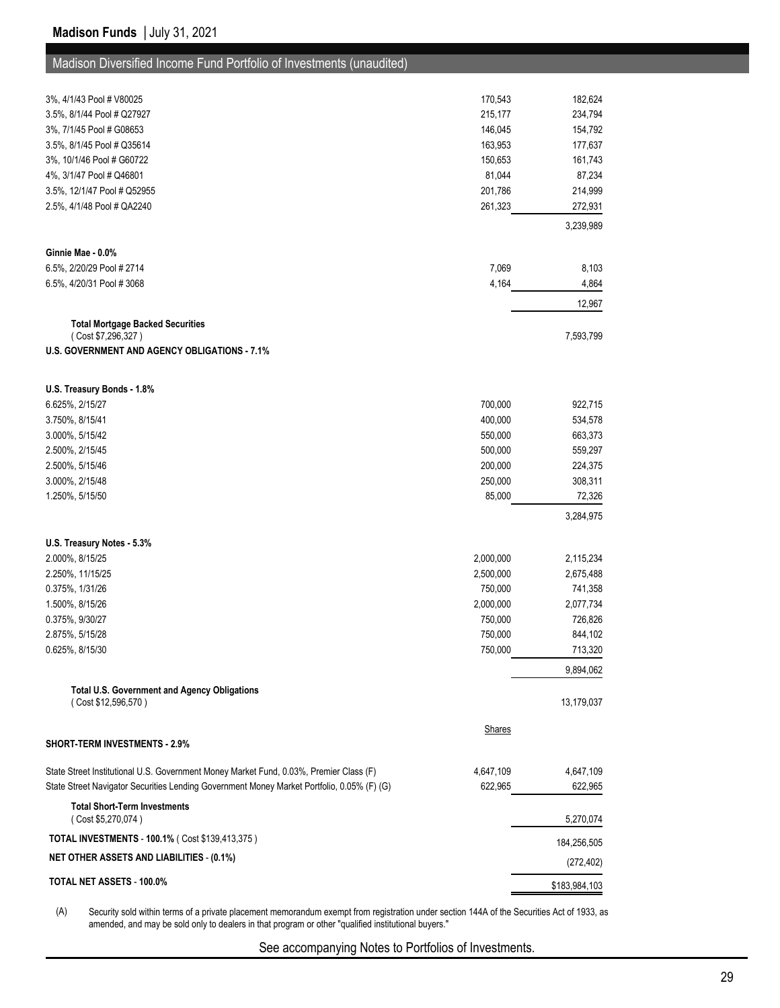| Madison Diversified Income Fund Portfolio of Investments (unaudited) |  |  |
|----------------------------------------------------------------------|--|--|
|----------------------------------------------------------------------|--|--|

| 3%, 4/1/43 Pool # V80025                                                                   | 170,543   | 182,624       |
|--------------------------------------------------------------------------------------------|-----------|---------------|
| 3.5%, 8/1/44 Pool # Q27927                                                                 | 215,177   | 234,794       |
| 3%, 7/1/45 Pool # G08653                                                                   | 146,045   | 154,792       |
| 3.5%, 8/1/45 Pool # Q35614                                                                 | 163,953   | 177,637       |
| 3%, 10/1/46 Pool # G60722                                                                  | 150,653   | 161,743       |
| 4%, 3/1/47 Pool # Q46801                                                                   | 81,044    | 87,234        |
| 3.5%, 12/1/47 Pool # Q52955                                                                | 201,786   | 214,999       |
| 2.5%, 4/1/48 Pool # QA2240                                                                 | 261,323   | 272,931       |
|                                                                                            |           | 3,239,989     |
| Ginnie Mae - 0.0%                                                                          |           |               |
| 6.5%, 2/20/29 Pool # 2714                                                                  | 7,069     | 8,103         |
| 6.5%, 4/20/31 Pool #3068                                                                   | 4,164     | 4,864         |
|                                                                                            |           | 12,967        |
| <b>Total Mortgage Backed Securities</b>                                                    |           |               |
| (Cost \$7,296,327)                                                                         |           | 7,593,799     |
| <b>U.S. GOVERNMENT AND AGENCY OBLIGATIONS - 7.1%</b>                                       |           |               |
|                                                                                            |           |               |
| U.S. Treasury Bonds - 1.8%                                                                 |           |               |
| 6.625%, 2/15/27                                                                            | 700,000   | 922,715       |
| 3.750%, 8/15/41                                                                            | 400,000   | 534,578       |
| 3.000%, 5/15/42                                                                            | 550,000   | 663,373       |
| 2.500%, 2/15/45                                                                            | 500,000   | 559,297       |
| 2.500%, 5/15/46                                                                            | 200,000   | 224,375       |
| 3.000%, 2/15/48                                                                            | 250,000   | 308,311       |
| 1.250%, 5/15/50                                                                            | 85,000    | 72,326        |
|                                                                                            |           | 3,284,975     |
| U.S. Treasury Notes - 5.3%                                                                 |           |               |
| 2.000%, 8/15/25                                                                            | 2,000,000 | 2,115,234     |
| 2.250%, 11/15/25                                                                           | 2,500,000 | 2,675,488     |
| 0.375%, 1/31/26                                                                            | 750,000   | 741,358       |
| 1.500%, 8/15/26                                                                            | 2,000,000 | 2,077,734     |
| 0.375%, 9/30/27                                                                            | 750,000   | 726,826       |
| 2.875%, 5/15/28                                                                            | 750,000   | 844,102       |
| 0.625%, 8/15/30                                                                            | 750,000   | 713,320       |
|                                                                                            |           | 9,894,062     |
| <b>Total U.S. Government and Agency Obligations</b>                                        |           |               |
| (Cost \$12,596,570)                                                                        |           | 13,179,037    |
| <b>SHORT-TERM INVESTMENTS - 2.9%</b>                                                       | Shares    |               |
|                                                                                            |           |               |
| State Street Institutional U.S. Government Money Market Fund, 0.03%, Premier Class (F)     | 4,647,109 | 4,647,109     |
| State Street Navigator Securities Lending Government Money Market Portfolio, 0.05% (F) (G) | 622,965   | 622,965       |
| <b>Total Short-Term Investments</b><br>(Cost \$5,270,074)                                  |           | 5,270,074     |
| <b>TOTAL INVESTMENTS - 100.1% (Cost \$139,413,375)</b>                                     |           | 184,256,505   |
| <b>NET OTHER ASSETS AND LIABILITIES - (0.1%)</b>                                           |           | (272, 402)    |
| TOTAL NET ASSETS - 100.0%                                                                  |           | \$183,984,103 |
|                                                                                            |           |               |

(A) Security sold within terms of a private placement memorandum exempt from registration under section 144A of the Securities Act of 1933, as amended, and may be sold only to dealers in that program or other "qualified institutional buyers."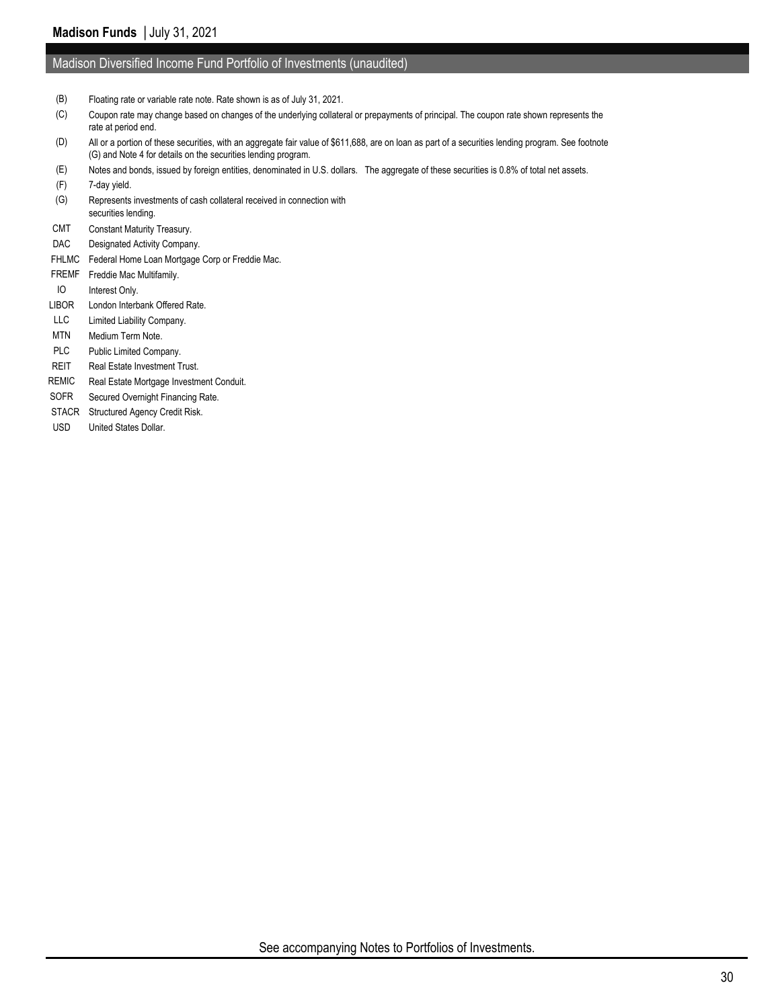#### Madison Diversified Income Fund Portfolio of Investments (unaudited)

- (B) Floating rate or variable rate note. Rate shown is as of July 31, 2021.
- (C) Coupon rate may change based on changes of the underlying collateral or prepayments of principal. The coupon rate shown represents the rate at period end.
- (D) All or a portion of these securities, with an aggregate fair value of \$611,688, are on loan as part of a securities lending program. See footnote (G) and Note 4 for details on the securities lending program.
- (E) Notes and bonds, issued by foreign entities, denominated in U.S. dollars. The aggregate of these securities is 0.8% of total net assets.
- (F) 7-day yield.
- (G) Represents investments of cash collateral received in connection with securities lending.
- CMT Constant Maturity Treasury.
- DAC Designated Activity Company.
- FHLMC Federal Home Loan Mortgage Corp or Freddie Mac.
- FREMF Freddie Mac Multifamily.
- IO Interest Only.
- LIBOR London Interbank Offered Rate.
- LLC Limited Liability Company.
- MTN Medium Term Note.
- PLC Public Limited Company.
- REIT Real Estate Investment Trust.
- REMIC Real Estate Mortgage Investment Conduit.
- SOFR Secured Overnight Financing Rate.
- STACR Structured Agency Credit Risk.
- USD United States Dollar.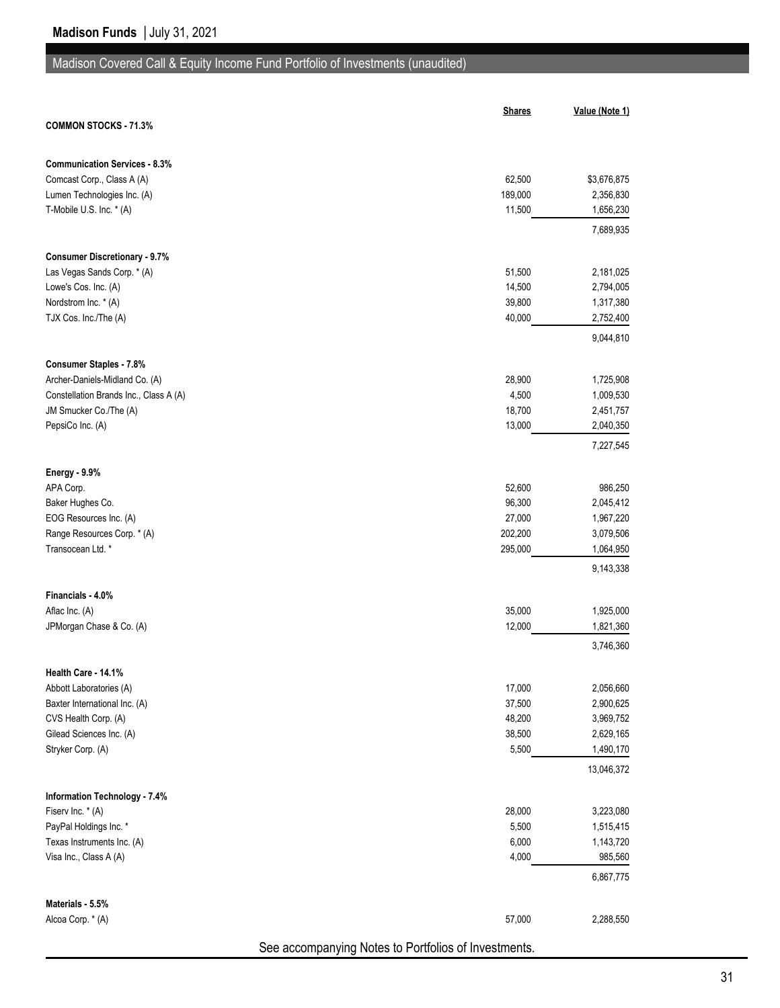# Madison Covered Call & Equity Income Fund Portfolio of Investments (unaudited)

|                                                                  | <b>Shares</b> | Value (Note 1)          |
|------------------------------------------------------------------|---------------|-------------------------|
| <b>COMMON STOCKS - 71.3%</b>                                     |               |                         |
| <b>Communication Services - 8.3%</b>                             |               |                         |
| Comcast Corp., Class A (A)                                       | 62,500        | \$3,676,875             |
| Lumen Technologies Inc. (A)                                      | 189,000       | 2,356,830               |
| T-Mobile U.S. Inc. * (A)                                         | 11,500        | 1,656,230               |
|                                                                  |               | 7,689,935               |
| <b>Consumer Discretionary - 9.7%</b>                             |               |                         |
| Las Vegas Sands Corp. * (A)                                      | 51,500        | 2,181,025               |
| Lowe's Cos. Inc. (A)                                             | 14,500        | 2,794,005               |
| Nordstrom Inc. * (A)                                             | 39,800        | 1,317,380               |
| TJX Cos. Inc./The (A)                                            | 40,000        | 2,752,400               |
|                                                                  |               | 9,044,810               |
| <b>Consumer Staples - 7.8%</b><br>Archer-Daniels-Midland Co. (A) | 28,900        | 1,725,908               |
| Constellation Brands Inc., Class A (A)                           | 4,500         | 1,009,530               |
| JM Smucker Co./The (A)                                           | 18,700        | 2,451,757               |
| PepsiCo Inc. (A)                                                 | 13,000        | 2,040,350               |
|                                                                  |               | 7,227,545               |
| <b>Energy - 9.9%</b>                                             |               |                         |
| APA Corp.                                                        | 52,600        | 986,250                 |
| Baker Hughes Co.                                                 | 96,300        | 2,045,412               |
| EOG Resources Inc. (A)                                           | 27,000        | 1,967,220               |
| Range Resources Corp. * (A)                                      | 202,200       | 3,079,506               |
| Transocean Ltd. *                                                | 295,000       | 1,064,950               |
|                                                                  |               | 9,143,338               |
| Financials - 4.0%                                                |               |                         |
| Aflac Inc. (A)                                                   | 35,000        | 1,925,000               |
| JPMorgan Chase & Co. (A)                                         | 12,000        | 1,821,360               |
|                                                                  |               | 3,746,360               |
| Health Care - 14.1%                                              |               |                         |
| Abbott Laboratories (A)                                          | 17,000        | 2,056,660               |
| Baxter International Inc. (A)                                    | 37,500        | 2,900,625               |
| CVS Health Corp. (A)                                             | 48,200        | 3,969,752               |
| Gilead Sciences Inc. (A)                                         | 38,500        | 2,629,165               |
| Stryker Corp. (A)                                                | 5,500         | 1,490,170<br>13,046,372 |
|                                                                  |               |                         |
| <b>Information Technology - 7.4%</b><br>Fiserv Inc. * (A)        | 28,000        | 3,223,080               |
| PayPal Holdings Inc. *                                           | 5,500         | 1,515,415               |
| Texas Instruments Inc. (A)                                       | 6,000         | 1,143,720               |
| Visa Inc., Class A (A)                                           | 4,000         | 985,560                 |
|                                                                  |               | 6,867,775               |
| Materials - 5.5%                                                 |               |                         |
| Alcoa Corp. * (A)                                                | 57,000        | 2,288,550               |
|                                                                  |               |                         |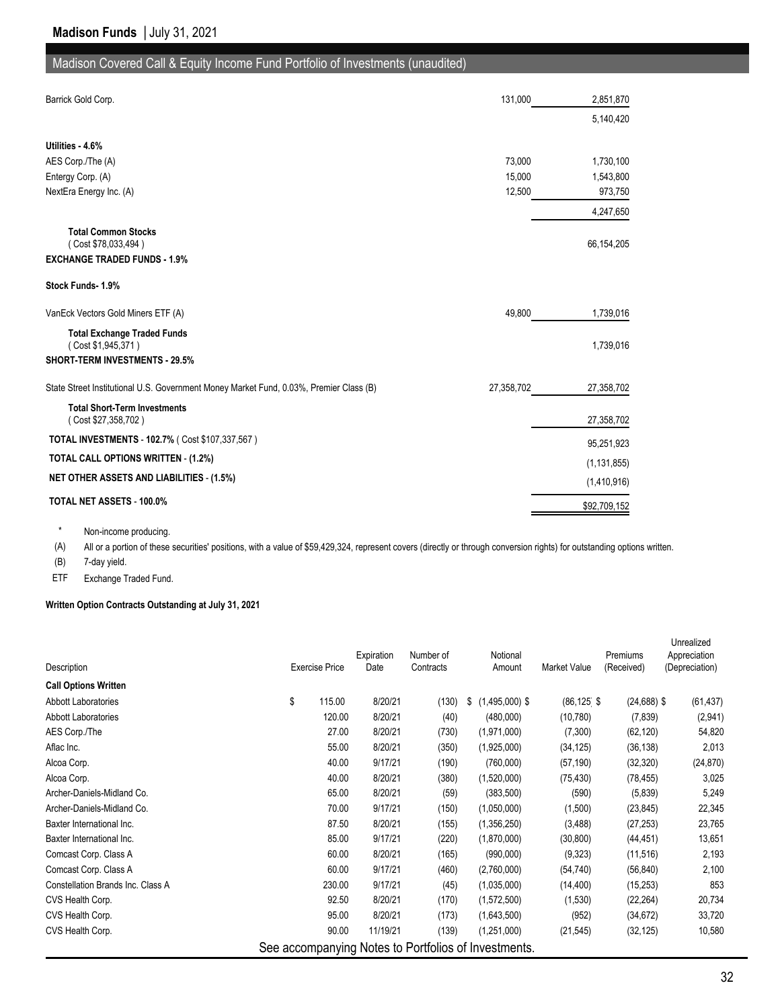## Madison Covered Call & Equity Income Fund Portfolio of Investments (unaudited)

| Barrick Gold Corp.                                                                     | 131,000    | 2,851,870     |
|----------------------------------------------------------------------------------------|------------|---------------|
|                                                                                        |            | 5,140,420     |
| Utilities - 4.6%                                                                       |            |               |
| AES Corp./The (A)                                                                      | 73,000     | 1,730,100     |
| Entergy Corp. (A)                                                                      | 15,000     | 1,543,800     |
| NextEra Energy Inc. (A)                                                                | 12,500     | 973,750       |
|                                                                                        |            | 4,247,650     |
| <b>Total Common Stocks</b><br>(Cost \$78,033,494)                                      |            | 66,154,205    |
| <b>EXCHANGE TRADED FUNDS - 1.9%</b>                                                    |            |               |
| Stock Funds 1.9%                                                                       |            |               |
| VanEck Vectors Gold Miners ETF (A)                                                     | 49.800     | 1,739,016     |
| <b>Total Exchange Traded Funds</b><br>(Cost \$1,945,371)                               |            | 1,739,016     |
| <b>SHORT-TERM INVESTMENTS - 29.5%</b>                                                  |            |               |
| State Street Institutional U.S. Government Money Market Fund, 0.03%, Premier Class (B) | 27,358,702 | 27,358,702    |
| <b>Total Short-Term Investments</b><br>(Cost \$27,358,702)                             |            | 27,358,702    |
| TOTAL INVESTMENTS - 102.7% ( Cost \$107,337,567)                                       |            | 95,251,923    |
| TOTAL CALL OPTIONS WRITTEN - (1.2%)                                                    |            | (1, 131, 855) |
| <b>NET OTHER ASSETS AND LIABILITIES - (1.5%)</b>                                       |            |               |
|                                                                                        |            | (1,410,916)   |
| <b>TOTAL NET ASSETS - 100.0%</b>                                                       |            | \$92,709,152  |

\* Non-income producing.

(A) All or a portion of these securities' positions, with a value of \$59,429,324, represent covers (directly or through conversion rights) for outstanding options written.

(B) 7-day yield.

ETF Exchange Traded Fund.

#### **Written Option Contracts Outstanding at July 31, 2021**

|                                   |                       |        | Expiration | Number of | Notional                                             |                       | Premiums       | Unrealized<br>Appreciation |
|-----------------------------------|-----------------------|--------|------------|-----------|------------------------------------------------------|-----------------------|----------------|----------------------------|
| Description                       | <b>Exercise Price</b> |        | Date       | Contracts | Amount                                               | Market Value          | (Received)     | (Depreciation)             |
| <b>Call Options Written</b>       |                       |        |            |           |                                                      |                       |                |                            |
| <b>Abbott Laboratories</b>        | \$                    | 115.00 | 8/20/21    | (130)     | $(1,495,000)$ \$<br>\$                               | $(86, 125 \text{ } $$ | $(24, 688)$ \$ | (61, 437)                  |
| Abbott Laboratories               |                       | 120.00 | 8/20/21    | (40)      | (480,000)                                            | (10, 780)             | (7, 839)       | (2,941)                    |
| AES Corp./The                     |                       | 27.00  | 8/20/21    | (730)     | (1,971,000)                                          | (7,300)               | (62, 120)      | 54,820                     |
| Aflac Inc.                        |                       | 55.00  | 8/20/21    | (350)     | (1,925,000)                                          | (34, 125)             | (36, 138)      | 2,013                      |
| Alcoa Corp.                       |                       | 40.00  | 9/17/21    | (190)     | (760,000)                                            | (57, 190)             | (32, 320)      | (24, 870)                  |
| Alcoa Corp.                       |                       | 40.00  | 8/20/21    | (380)     | (1,520,000)                                          | (75, 430)             | (78, 455)      | 3,025                      |
| Archer-Daniels-Midland Co.        |                       | 65.00  | 8/20/21    | (59)      | (383,500)                                            | (590)                 | (5,839)        | 5,249                      |
| Archer-Daniels-Midland Co.        |                       | 70.00  | 9/17/21    | (150)     | (1,050,000)                                          | (1,500)               | (23, 845)      | 22,345                     |
| Baxter International Inc.         |                       | 87.50  | 8/20/21    | (155)     | (1,356,250)                                          | (3, 488)              | (27, 253)      | 23,765                     |
| Baxter International Inc.         |                       | 85.00  | 9/17/21    | (220)     | (1,870,000)                                          | (30, 800)             | (44, 451)      | 13,651                     |
| Comcast Corp. Class A             |                       | 60.00  | 8/20/21    | (165)     | (990,000)                                            | (9,323)               | (11, 516)      | 2,193                      |
| Comcast Corp. Class A             |                       | 60.00  | 9/17/21    | (460)     | (2,760,000)                                          | (54, 740)             | (56, 840)      | 2,100                      |
| Constellation Brands Inc. Class A |                       | 230.00 | 9/17/21    | (45)      | (1,035,000)                                          | (14, 400)             | (15, 253)      | 853                        |
| CVS Health Corp.                  |                       | 92.50  | 8/20/21    | (170)     | (1,572,500)                                          | (1,530)               | (22, 264)      | 20,734                     |
| CVS Health Corp.                  |                       | 95.00  | 8/20/21    | (173)     | (1,643,500)                                          | (952)                 | (34, 672)      | 33,720                     |
| CVS Health Corp.                  |                       | 90.00  | 11/19/21   | (139)     | (1,251,000)                                          | (21, 545)             | (32, 125)      | 10,580                     |
|                                   |                       |        |            |           | See accompanying Notes to Portfolios of Investments. |                       |                |                            |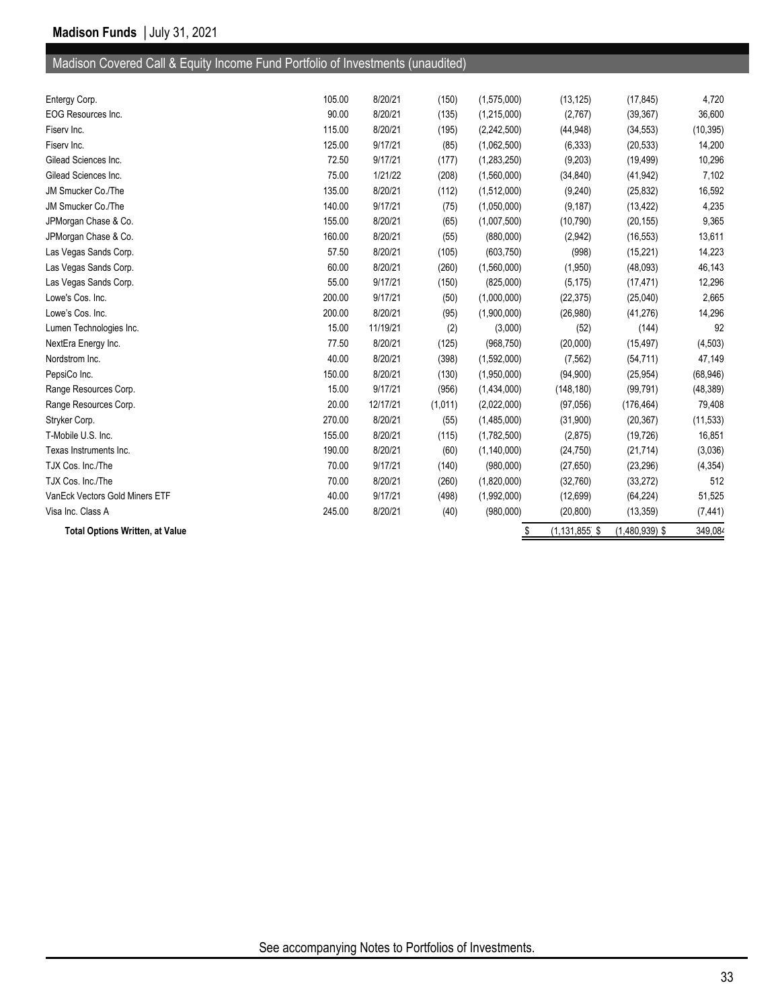# Madison Covered Call & Equity Income Fund Portfolio of Investments (unaudited)

| <b>Total Options Written, at Value</b> |        |          |         | \$          | $(1, 131, 855$ \$ | $(1,480,939)$ \$ | 349,084   |
|----------------------------------------|--------|----------|---------|-------------|-------------------|------------------|-----------|
| Visa Inc. Class A                      | 245.00 | 8/20/21  | (40)    | (980,000)   | (20, 800)         | (13, 359)        | (7, 441)  |
| VanEck Vectors Gold Miners ETF         | 40.00  | 9/17/21  | (498)   | (1,992,000) | (12, 699)         | (64, 224)        | 51,525    |
| TJX Cos. Inc./The                      | 70.00  | 8/20/21  | (260)   | (1,820,000) | (32,760)          | (33, 272)        | 512       |
| TJX Cos. Inc./The                      | 70.00  | 9/17/21  | (140)   | (980,000)   | (27, 650)         | (23, 296)        | (4, 354)  |
| Texas Instruments Inc.                 | 190.00 | 8/20/21  | (60)    | (1,140,000) | (24, 750)         | (21, 714)        | (3,036)   |
| T-Mobile U.S. Inc.                     | 155.00 | 8/20/21  | (115)   | (1,782,500) | (2,875)           | (19, 726)        | 16,851    |
| Stryker Corp.                          | 270.00 | 8/20/21  | (55)    | (1,485,000) | (31,900)          | (20, 367)        | (11, 533) |
| Range Resources Corp.                  | 20.00  | 12/17/21 | (1,011) | (2,022,000) | (97,056)          | (176, 464)       | 79,408    |
| Range Resources Corp.                  | 15.00  | 9/17/21  | (956)   | (1,434,000) | (148, 180)        | (99, 791)        | (48, 389) |
| PepsiCo Inc.                           | 150.00 | 8/20/21  | (130)   | (1,950,000) | (94,900)          | (25, 954)        | (68, 946) |
| Nordstrom Inc.                         | 40.00  | 8/20/21  | (398)   | (1,592,000) | (7, 562)          | (54, 711)        | 47,149    |
| NextEra Energy Inc.                    | 77.50  | 8/20/21  | (125)   | (968, 750)  | (20,000)          | (15, 497)        | (4, 503)  |
| Lumen Technologies Inc.                | 15.00  | 11/19/21 | (2)     | (3,000)     | (52)              | (144)            | 92        |
| Lowe's Cos. Inc.                       | 200.00 | 8/20/21  | (95)    | (1,900,000) | (26,980)          | (41, 276)        | 14,296    |
| Lowe's Cos. Inc.                       | 200.00 | 9/17/21  | (50)    | (1,000,000) | (22, 375)         | (25,040)         | 2,665     |
| Las Vegas Sands Corp.                  | 55.00  | 9/17/21  | (150)   | (825,000)   | (5, 175)          | (17, 471)        | 12,296    |
| Las Vegas Sands Corp.                  | 60.00  | 8/20/21  | (260)   | (1,560,000) | (1,950)           | (48,093)         | 46,143    |
| Las Vegas Sands Corp.                  | 57.50  | 8/20/21  | (105)   | (603, 750)  | (998)             | (15, 221)        | 14,223    |
| JPMorgan Chase & Co.                   | 160.00 | 8/20/21  | (55)    | (880,000)   | (2,942)           | (16, 553)        | 13,611    |
| JPMorgan Chase & Co.                   | 155.00 | 8/20/21  | (65)    | (1,007,500) | (10, 790)         | (20, 155)        | 9,365     |
| JM Smucker Co./The                     | 140.00 | 9/17/21  | (75)    | (1,050,000) | (9, 187)          | (13, 422)        | 4,235     |
| JM Smucker Co./The                     | 135.00 | 8/20/21  | (112)   | (1,512,000) | (9,240)           | (25, 832)        | 16,592    |
| Gilead Sciences Inc.                   | 75.00  | 1/21/22  | (208)   | (1,560,000) | (34, 840)         | (41, 942)        | 7,102     |
| Gilead Sciences Inc.                   | 72.50  | 9/17/21  | (177)   | (1,283,250) | (9,203)           | (19, 499)        | 10,296    |
| Fiserv Inc.                            | 125.00 | 9/17/21  | (85)    | (1,062,500) | (6, 333)          | (20, 533)        | 14,200    |
| Fisery Inc.                            | 115.00 | 8/20/21  | (195)   | (2,242,500) | (44, 948)         | (34, 553)        | (10, 395) |
| EOG Resources Inc.                     | 90.00  | 8/20/21  | (135)   | (1,215,000) | (2,767)           | (39, 367)        | 36,600    |
| Entergy Corp.                          | 105.00 | 8/20/21  | (150)   | (1,575,000) | (13, 125)         | (17, 845)        | 4,720     |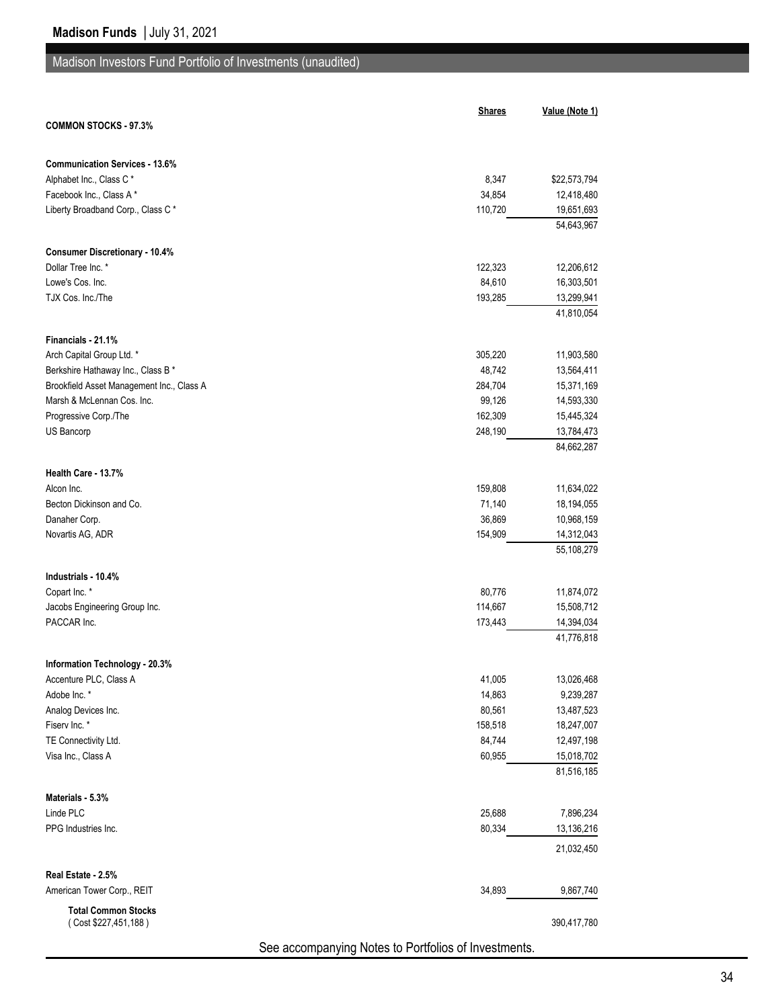## Madison Investors Fund Portfolio of Investments (unaudited)

|                                                          | <b>Shares</b>                                        | Value (Note 1)           |
|----------------------------------------------------------|------------------------------------------------------|--------------------------|
| <b>COMMON STOCKS - 97.3%</b>                             |                                                      |                          |
| <b>Communication Services - 13.6%</b>                    |                                                      |                          |
| Alphabet Inc., Class C*                                  | 8,347                                                | \$22,573,794             |
| Facebook Inc., Class A*                                  | 34,854                                               | 12,418,480               |
| Liberty Broadband Corp., Class C*                        | 110,720                                              | 19,651,693               |
|                                                          |                                                      | 54,643,967               |
| <b>Consumer Discretionary - 10.4%</b>                    |                                                      |                          |
| Dollar Tree Inc. *                                       | 122,323                                              | 12,206,612               |
| Lowe's Cos. Inc.                                         | 84,610                                               | 16,303,501               |
| TJX Cos. Inc./The                                        | 193,285                                              | 13,299,941<br>41,810,054 |
|                                                          |                                                      |                          |
| Financials - 21.1%<br>Arch Capital Group Ltd. *          | 305,220                                              |                          |
| Berkshire Hathaway Inc., Class B *                       | 48,742                                               | 11,903,580<br>13,564,411 |
| Brookfield Asset Management Inc., Class A                | 284,704                                              | 15,371,169               |
| Marsh & McLennan Cos. Inc.                               | 99,126                                               | 14,593,330               |
| Progressive Corp./The                                    | 162,309                                              | 15,445,324               |
| US Bancorp                                               | 248,190                                              | 13,784,473               |
|                                                          |                                                      | 84,662,287               |
| Health Care - 13.7%                                      |                                                      |                          |
| Alcon Inc.                                               | 159,808                                              | 11,634,022               |
| Becton Dickinson and Co.                                 | 71,140                                               | 18,194,055               |
| Danaher Corp.                                            | 36,869                                               | 10,968,159               |
| Novartis AG, ADR                                         | 154,909                                              | 14,312,043               |
|                                                          |                                                      | 55,108,279               |
| Industrials - 10.4%                                      |                                                      |                          |
| Copart Inc. *                                            | 80,776                                               | 11,874,072               |
| Jacobs Engineering Group Inc.                            | 114,667                                              | 15,508,712               |
| PACCAR Inc.                                              | 173,443                                              | 14,394,034<br>41,776,818 |
|                                                          |                                                      |                          |
| Information Technology - 20.3%<br>Accenture PLC, Class A | 41,005                                               | 13,026,468               |
| Adobe Inc. *                                             | 14,863                                               | 9,239,287                |
| Analog Devices Inc.                                      | 80,561                                               | 13,487,523               |
| Fiserv Inc. *                                            | 158,518                                              | 18,247,007               |
| TE Connectivity Ltd.                                     | 84,744                                               | 12,497,198               |
| Visa Inc., Class A                                       | 60,955                                               | 15,018,702               |
|                                                          |                                                      | 81,516,185               |
| Materials - 5.3%                                         |                                                      |                          |
| Linde PLC                                                | 25,688                                               | 7,896,234                |
| PPG Industries Inc.                                      | 80,334                                               | 13,136,216               |
|                                                          |                                                      | 21,032,450               |
| Real Estate - 2.5%                                       |                                                      |                          |
| American Tower Corp., REIT                               | 34,893                                               | 9,867,740                |
| <b>Total Common Stocks</b><br>(Cost \$227,451,188)       |                                                      | 390,417,780              |
|                                                          | See accompanying Notes to Portfolios of Investments. |                          |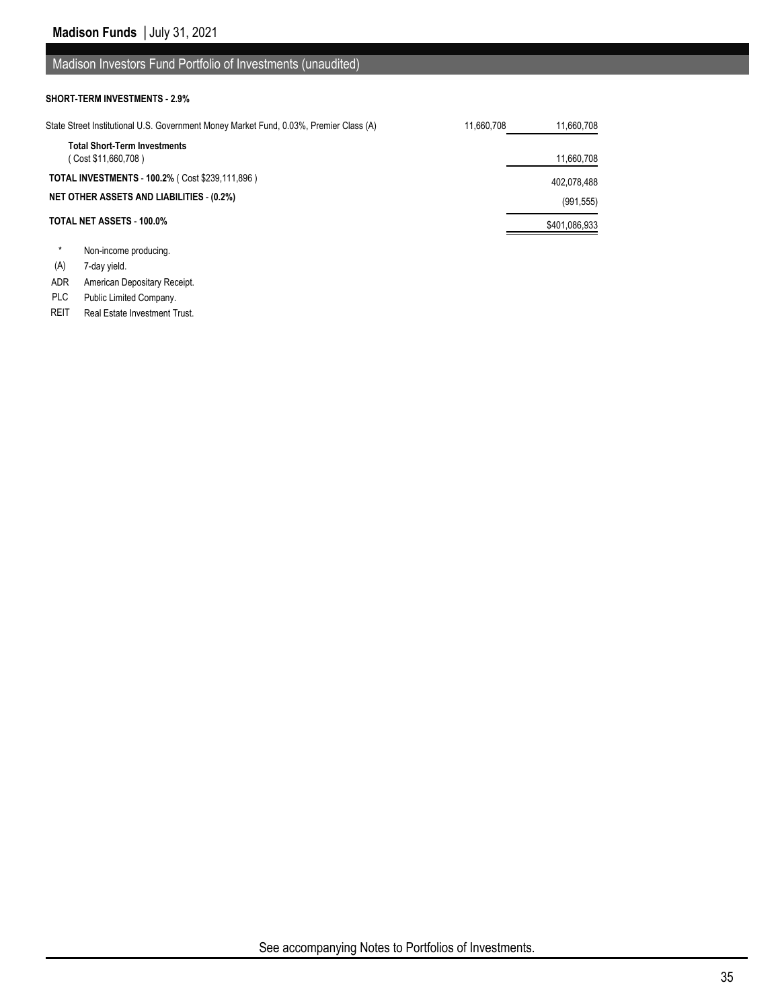### Madison Investors Fund Portfolio of Investments (unaudited)

#### **SHORT-TERM INVESTMENTS - 2.9%**

| State Street Institutional U.S. Government Money Market Fund, 0.03%, Premier Class (A) | 11.660.708 | 11,660,708    |
|----------------------------------------------------------------------------------------|------------|---------------|
| <b>Total Short-Term Investments</b><br>(Cost \$11,660,708)                             |            | 11,660,708    |
| <b>TOTAL INVESTMENTS - 100.2% (Cost \$239,111,896)</b>                                 |            | 402,078,488   |
| <b>NET OTHER ASSETS AND LIABILITIES - (0.2%)</b>                                       |            | (991, 555)    |
| TOTAL NET ASSETS - 100.0%                                                              |            | \$401,086,933 |
|                                                                                        |            |               |

- Non-income producing.
- (A) 7-day yield.
- ADR American Depositary Receipt.
- PLC Public Limited Company.
- REIT Real Estate Investment Trust.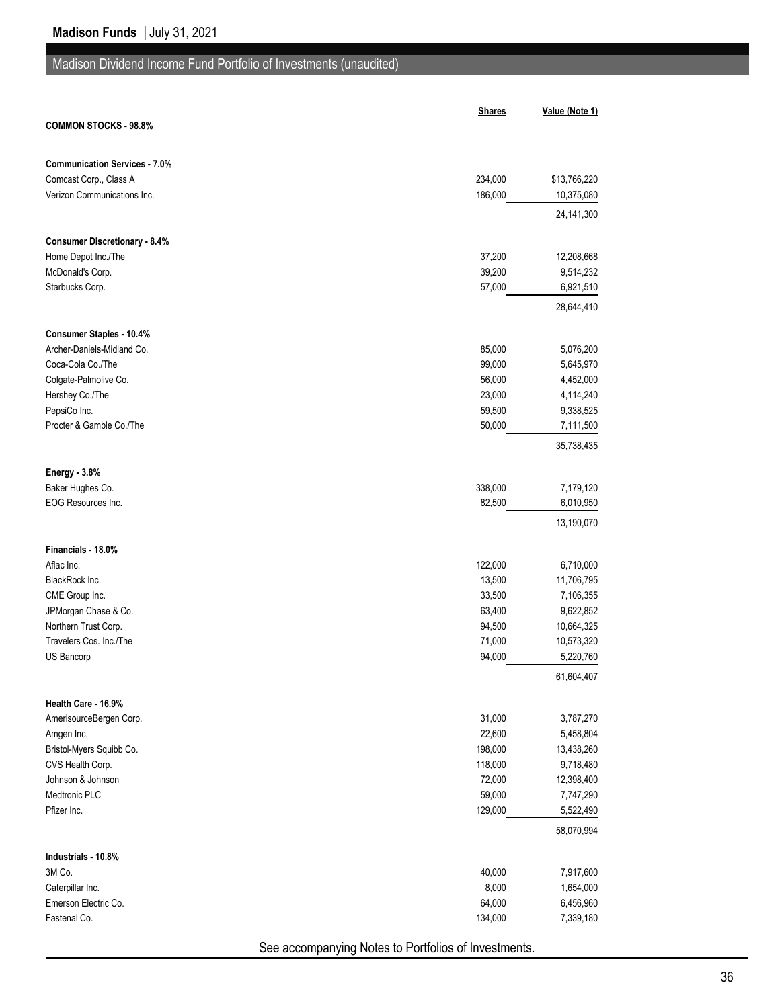|                                            | <b>Shares</b>    | Value (Note 1)          |
|--------------------------------------------|------------------|-------------------------|
| <b>COMMON STOCKS - 98.8%</b>               |                  |                         |
| <b>Communication Services - 7.0%</b>       |                  |                         |
| Comcast Corp., Class A                     | 234,000          | \$13,766,220            |
| Verizon Communications Inc.                | 186,000          | 10,375,080              |
|                                            |                  | 24,141,300              |
| <b>Consumer Discretionary - 8.4%</b>       |                  |                         |
| Home Depot Inc./The                        | 37,200           | 12,208,668              |
| McDonald's Corp.                           | 39,200           | 9,514,232               |
| Starbucks Corp.                            | 57,000           | 6,921,510               |
|                                            |                  | 28,644,410              |
| Consumer Staples - 10.4%                   |                  |                         |
| Archer-Daniels-Midland Co.                 | 85,000           | 5,076,200               |
| Coca-Cola Co./The<br>Colgate-Palmolive Co. | 99,000<br>56,000 | 5,645,970<br>4,452,000  |
| Hershey Co./The                            | 23,000           | 4,114,240               |
| PepsiCo Inc.                               | 59,500           | 9,338,525               |
| Procter & Gamble Co./The                   | 50,000           | 7,111,500               |
|                                            |                  | 35,738,435              |
| <b>Energy - 3.8%</b>                       |                  |                         |
| Baker Hughes Co.                           | 338,000          | 7,179,120               |
| EOG Resources Inc.                         | 82,500           | 6,010,950               |
|                                            |                  | 13,190,070              |
| Financials - 18.0%                         |                  |                         |
| Aflac Inc.                                 | 122,000          | 6,710,000               |
| BlackRock Inc.                             | 13,500           | 11,706,795              |
| CME Group Inc.                             | 33,500           | 7,106,355               |
| JPMorgan Chase & Co.                       | 63,400           | 9,622,852               |
| Northern Trust Corp.                       | 94,500           | 10,664,325              |
| Travelers Cos. Inc./The                    | 71,000           | 10,573,320              |
| US Bancorp                                 | 94,000           | 5,220,760               |
|                                            |                  | 61,604,407              |
| Health Care - 16.9%                        |                  |                         |
| AmerisourceBergen Corp.                    | 31,000           | 3,787,270               |
| Amgen Inc.                                 | 22,600           | 5,458,804               |
| Bristol-Myers Squibb Co.                   | 198,000          | 13,438,260              |
| CVS Health Corp.                           | 118,000          | 9,718,480               |
| Johnson & Johnson                          | 72,000           | 12,398,400              |
| Medtronic PLC                              | 59,000           | 7,747,290               |
| Pfizer Inc.                                | 129,000          | 5,522,490<br>58,070,994 |
|                                            |                  |                         |
| Industrials - 10.8%<br>3M Co.              | 40,000           | 7,917,600               |
| Caterpillar Inc.                           | 8,000            | 1,654,000               |
| Emerson Electric Co.                       | 64,000           | 6,456,960               |
| Fastenal Co.                               | 134,000          | 7,339,180               |
|                                            |                  |                         |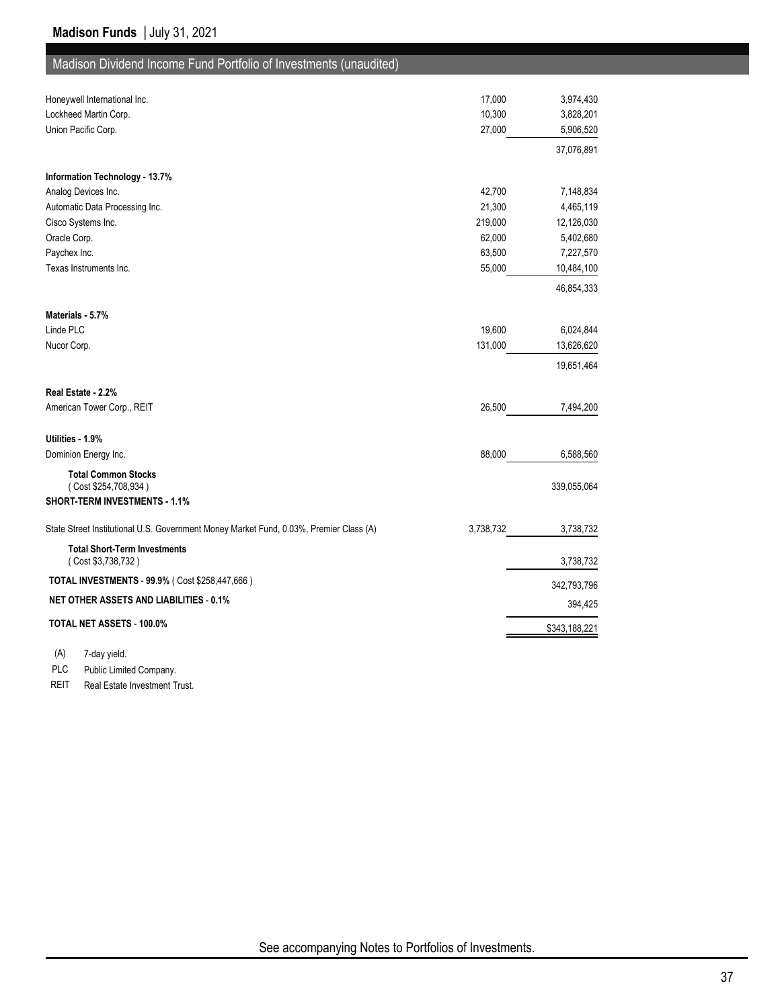| Honeywell International Inc.                                                           | 17,000    | 3,974,430     |
|----------------------------------------------------------------------------------------|-----------|---------------|
| Lockheed Martin Corp.                                                                  | 10,300    | 3,828,201     |
| Union Pacific Corp.                                                                    | 27,000    | 5,906,520     |
|                                                                                        |           | 37,076,891    |
| Information Technology - 13.7%                                                         |           |               |
| Analog Devices Inc.                                                                    | 42,700    | 7,148,834     |
| Automatic Data Processing Inc.                                                         | 21,300    | 4,465,119     |
| Cisco Systems Inc.                                                                     | 219,000   | 12,126,030    |
| Oracle Corp.                                                                           | 62,000    | 5,402,680     |
| Paychex Inc.                                                                           | 63,500    | 7,227,570     |
| Texas Instruments Inc.                                                                 | 55,000    | 10,484,100    |
|                                                                                        |           | 46,854,333    |
| Materials - 5.7%                                                                       |           |               |
| Linde PLC                                                                              | 19,600    | 6,024,844     |
| Nucor Corp.                                                                            | 131,000   | 13,626,620    |
|                                                                                        |           | 19,651,464    |
| Real Estate - 2.2%                                                                     |           |               |
| American Tower Corp., REIT                                                             | 26,500    | 7,494,200     |
| Utilities - 1.9%                                                                       |           |               |
| Dominion Energy Inc.                                                                   | 88,000    | 6,588,560     |
| <b>Total Common Stocks</b>                                                             |           |               |
| (Cost \$254,708,934)<br><b>SHORT-TERM INVESTMENTS - 1.1%</b>                           |           | 339,055,064   |
| State Street Institutional U.S. Government Money Market Fund, 0.03%, Premier Class (A) | 3,738,732 | 3,738,732     |
|                                                                                        |           |               |
| <b>Total Short-Term Investments</b><br>(Cost \$3,738,732)                              |           | 3,738,732     |
| TOTAL INVESTMENTS - 99.9% (Cost \$258,447,666)                                         |           | 342,793,796   |
| <b>NET OTHER ASSETS AND LIABILITIES - 0.1%</b>                                         |           | 394,425       |
| TOTAL NET ASSETS - 100.0%                                                              |           | \$343,188,221 |
|                                                                                        |           |               |

(A) 7-day yield.

PLC Public Limited Company.

REIT Real Estate Investment Trust.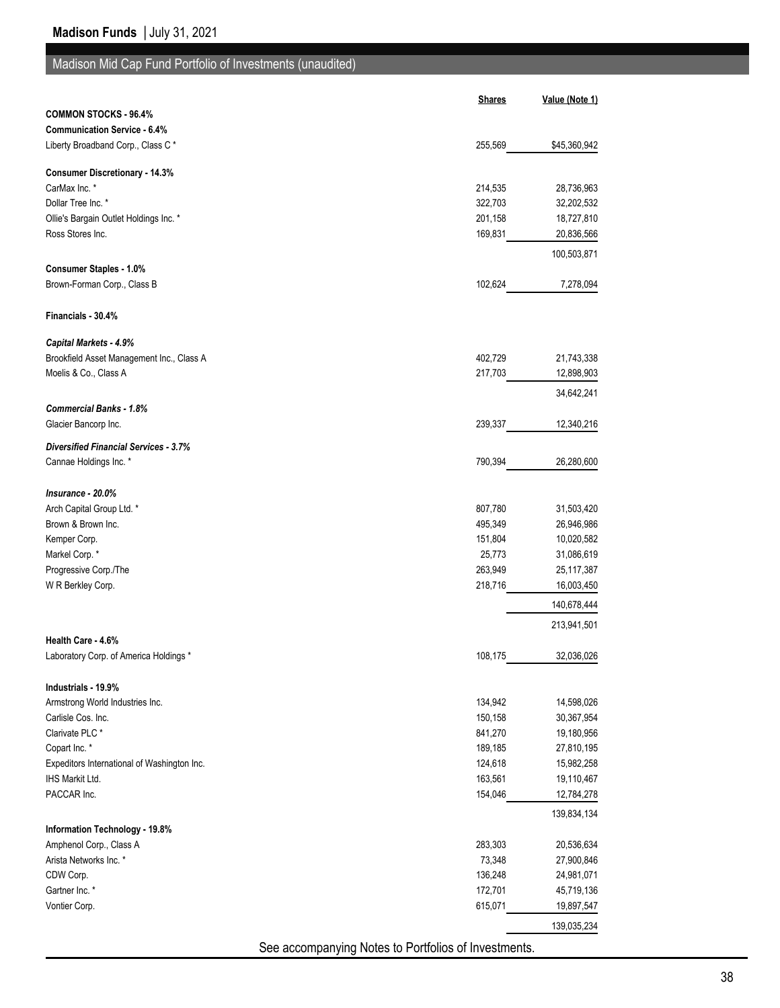# Madison Mid Cap Fund Portfolio of Investments (unaudited)

|                                                               | <b>Shares</b>                                       | Value (Note 1) |
|---------------------------------------------------------------|-----------------------------------------------------|----------------|
| <b>COMMON STOCKS - 96.4%</b>                                  |                                                     |                |
| <b>Communication Service - 6.4%</b>                           |                                                     |                |
| Liberty Broadband Corp., Class C*                             | 255,569                                             | \$45,360,942   |
| <b>Consumer Discretionary - 14.3%</b>                         |                                                     |                |
| CarMax Inc. *                                                 | 214,535                                             | 28,736,963     |
| Dollar Tree Inc. *                                            | 322,703                                             | 32,202,532     |
| Ollie's Bargain Outlet Holdings Inc. *                        | 201,158                                             | 18,727,810     |
| Ross Stores Inc.                                              | 169,831                                             | 20,836,566     |
|                                                               |                                                     | 100,503,871    |
| <b>Consumer Staples - 1.0%</b><br>Brown-Forman Corp., Class B | 102,624                                             | 7,278,094      |
|                                                               |                                                     |                |
| Financials - 30.4%                                            |                                                     |                |
| Capital Markets - 4.9%                                        |                                                     |                |
| Brookfield Asset Management Inc., Class A                     | 402,729                                             | 21,743,338     |
| Moelis & Co., Class A                                         | 217,703                                             | 12,898,903     |
| <b>Commercial Banks - 1.8%</b>                                |                                                     | 34,642,241     |
| Glacier Bancorp Inc.                                          | 239,337                                             | 12,340,216     |
| <b>Diversified Financial Services - 3.7%</b>                  |                                                     |                |
| Cannae Holdings Inc. *                                        | 790,394                                             | 26,280,600     |
|                                                               |                                                     |                |
| Insurance - 20.0%                                             |                                                     |                |
| Arch Capital Group Ltd. *                                     | 807,780                                             | 31,503,420     |
| Brown & Brown Inc.                                            | 495,349                                             | 26,946,986     |
| Kemper Corp.                                                  | 151,804                                             | 10,020,582     |
| Markel Corp.*                                                 | 25,773                                              | 31,086,619     |
| Progressive Corp./The                                         | 263,949                                             | 25,117,387     |
| W R Berkley Corp.                                             | 218,716                                             | 16,003,450     |
|                                                               |                                                     | 140,678,444    |
|                                                               |                                                     | 213,941,501    |
| Health Care - 4.6%                                            |                                                     |                |
| Laboratory Corp. of America Holdings *                        | 108,175                                             | 32,036,026     |
| Industrials - 19.9%                                           |                                                     |                |
| Armstrong World Industries Inc.                               | 134,942                                             | 14,598,026     |
| Carlisle Cos. Inc.                                            | 150,158                                             | 30,367,954     |
| Clarivate PLC <sup>*</sup>                                    | 841,270                                             | 19,180,956     |
| Copart Inc. *                                                 | 189,185                                             | 27,810,195     |
| Expeditors International of Washington Inc.                   | 124,618                                             | 15,982,258     |
| IHS Markit Ltd.                                               | 163,561                                             | 19,110,467     |
| PACCAR Inc.                                                   | 154,046                                             | 12,784,278     |
|                                                               |                                                     | 139,834,134    |
| Information Technology - 19.8%                                |                                                     |                |
| Amphenol Corp., Class A                                       | 283,303                                             | 20,536,634     |
| Arista Networks Inc. *                                        | 73,348                                              | 27,900,846     |
| CDW Corp.                                                     | 136,248                                             | 24,981,071     |
| Gartner Inc. *                                                | 172,701                                             | 45,719,136     |
| Vontier Corp.                                                 | 615,071                                             | 19,897,547     |
|                                                               |                                                     | 139,035,234    |
|                                                               | See assempanzing Nates to Dertfolias of Investments |                |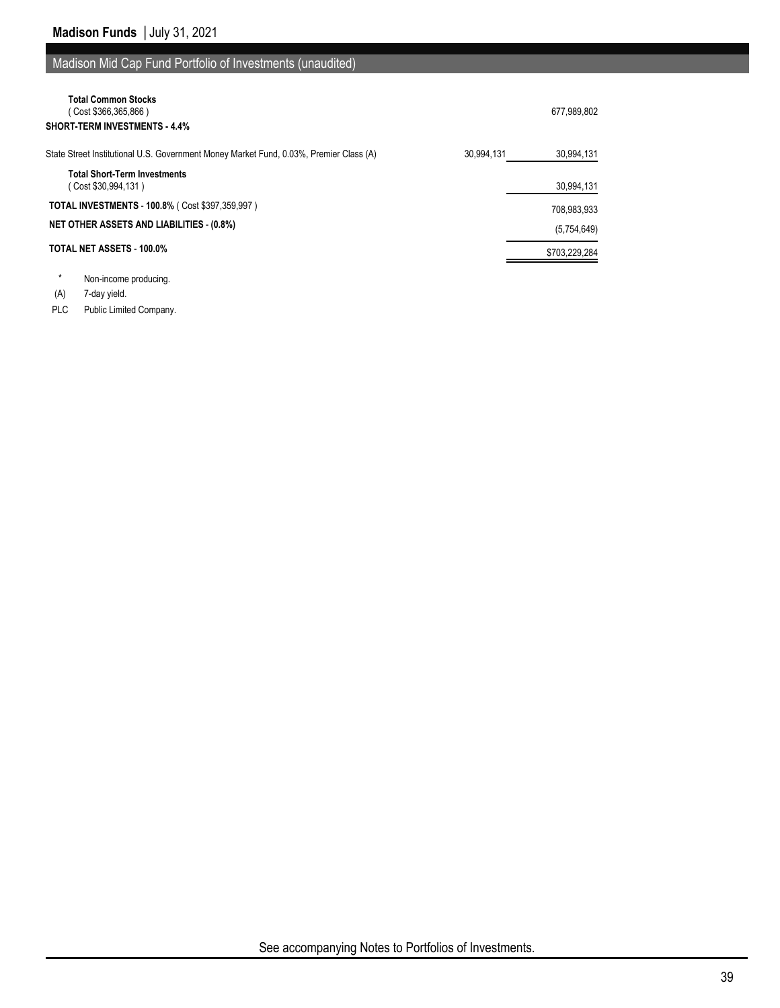## Madison Mid Cap Fund Portfolio of Investments (unaudited)

| <b>Total Common Stocks</b><br>Cost \$366,365,866)<br><b>SHORT-TERM INVESTMENTS - 4.4%</b>            | 677,989,802   |
|------------------------------------------------------------------------------------------------------|---------------|
| State Street Institutional U.S. Government Money Market Fund, 0.03%, Premier Class (A)<br>30.994.131 | 30,994,131    |
| <b>Total Short-Term Investments</b><br>Cost \$30,994,131)                                            | 30,994,131    |
| <b>TOTAL INVESTMENTS - 100.8% (Cost \$397,359,997)</b>                                               | 708,983,933   |
| <b>NET OTHER ASSETS AND LIABILITIES - (0.8%)</b>                                                     | (5,754,649)   |
| <b>TOTAL NET ASSETS - 100.0%</b>                                                                     | \$703,229,284 |

\* Non-income producing.

(A) 7-day yield.

PLC Public Limited Company.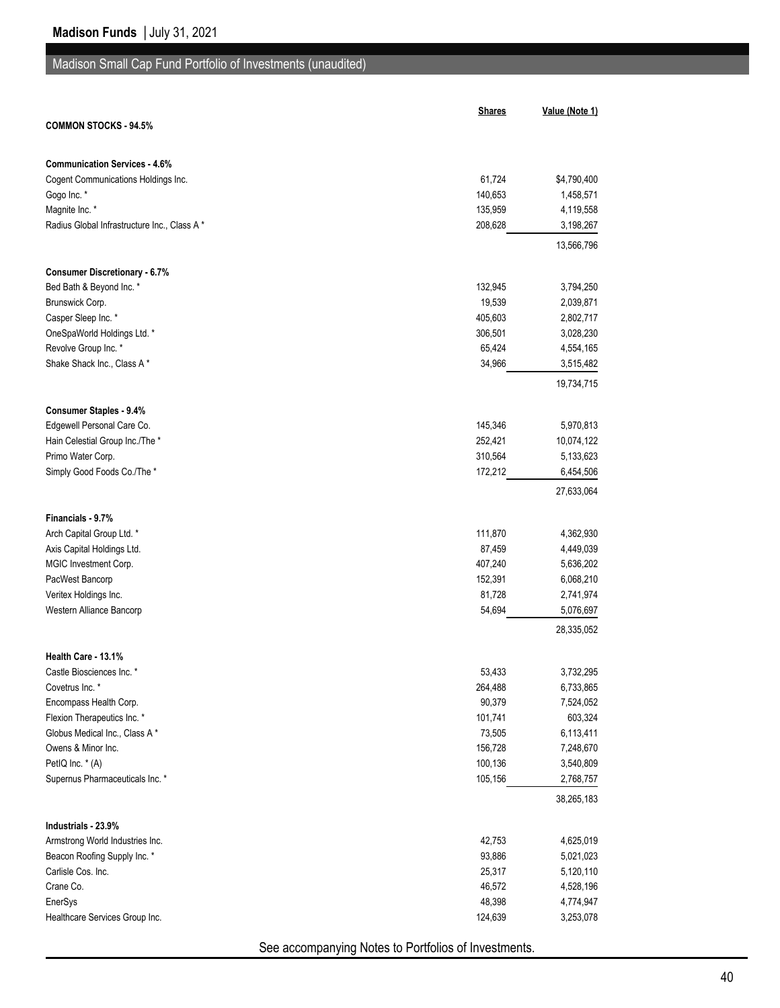## Madison Small Cap Fund Portfolio of Investments (unaudited)

|                                              | <b>Shares</b> | Value (Note 1) |
|----------------------------------------------|---------------|----------------|
| <b>COMMON STOCKS - 94.5%</b>                 |               |                |
|                                              |               |                |
| <b>Communication Services - 4.6%</b>         |               |                |
| Cogent Communications Holdings Inc.          | 61,724        | \$4,790,400    |
| Gogo Inc. *                                  | 140,653       | 1,458,571      |
| Magnite Inc. *                               | 135,959       | 4,119,558      |
| Radius Global Infrastructure Inc., Class A * | 208,628       | 3,198,267      |
|                                              |               | 13,566,796     |
|                                              |               |                |
| <b>Consumer Discretionary - 6.7%</b>         |               |                |
| Bed Bath & Beyond Inc. *                     | 132,945       | 3,794,250      |
| Brunswick Corp.                              | 19,539        | 2,039,871      |
| Casper Sleep Inc. *                          | 405,603       | 2,802,717      |
| OneSpaWorld Holdings Ltd. *                  | 306,501       | 3,028,230      |
| Revolve Group Inc. *                         | 65,424        | 4,554,165      |
| Shake Shack Inc., Class A*                   | 34,966        | 3,515,482      |
|                                              |               | 19,734,715     |
| <b>Consumer Staples - 9.4%</b>               |               |                |
| Edgewell Personal Care Co.                   | 145,346       | 5,970,813      |
| Hain Celestial Group Inc./The *              | 252,421       | 10,074,122     |
| Primo Water Corp.                            | 310,564       | 5,133,623      |
| Simply Good Foods Co./The *                  | 172,212       | 6,454,506      |
|                                              |               | 27,633,064     |
|                                              |               |                |
| Financials - 9.7%                            |               |                |
| Arch Capital Group Ltd. *                    | 111,870       | 4,362,930      |
| Axis Capital Holdings Ltd.                   | 87,459        | 4,449,039      |
| MGIC Investment Corp.                        | 407,240       | 5,636,202      |
| PacWest Bancorp                              | 152,391       | 6,068,210      |
| Veritex Holdings Inc.                        | 81,728        | 2,741,974      |
| Western Alliance Bancorp                     | 54,694        | 5,076,697      |
|                                              |               | 28,335,052     |
| Health Care - 13.1%                          |               |                |
| Castle Biosciences Inc. *                    | 53,433        | 3,732,295      |
| Covetrus Inc. *                              | 264,488       | 6,733,865      |
| Encompass Health Corp.                       | 90,379        | 7,524,052      |
| Flexion Therapeutics Inc. *                  | 101,741       | 603,324        |
| Globus Medical Inc., Class A*                | 73,505        | 6,113,411      |
| Owens & Minor Inc.                           | 156,728       | 7,248,670      |
| PetIQ Inc. * (A)                             | 100,136       | 3,540,809      |
| Supernus Pharmaceuticals Inc. *              | 105,156       | 2,768,757      |
|                                              |               | 38,265,183     |
| Industrials - 23.9%                          |               |                |
| Armstrong World Industries Inc.              | 42,753        | 4,625,019      |
| Beacon Roofing Supply Inc. *                 | 93,886        | 5,021,023      |
| Carlisle Cos. Inc.                           | 25,317        | 5,120,110      |
| Crane Co.                                    | 46,572        | 4,528,196      |
| EnerSys                                      | 48,398        | 4,774,947      |
| Healthcare Services Group Inc.               | 124,639       | 3,253,078      |
|                                              |               |                |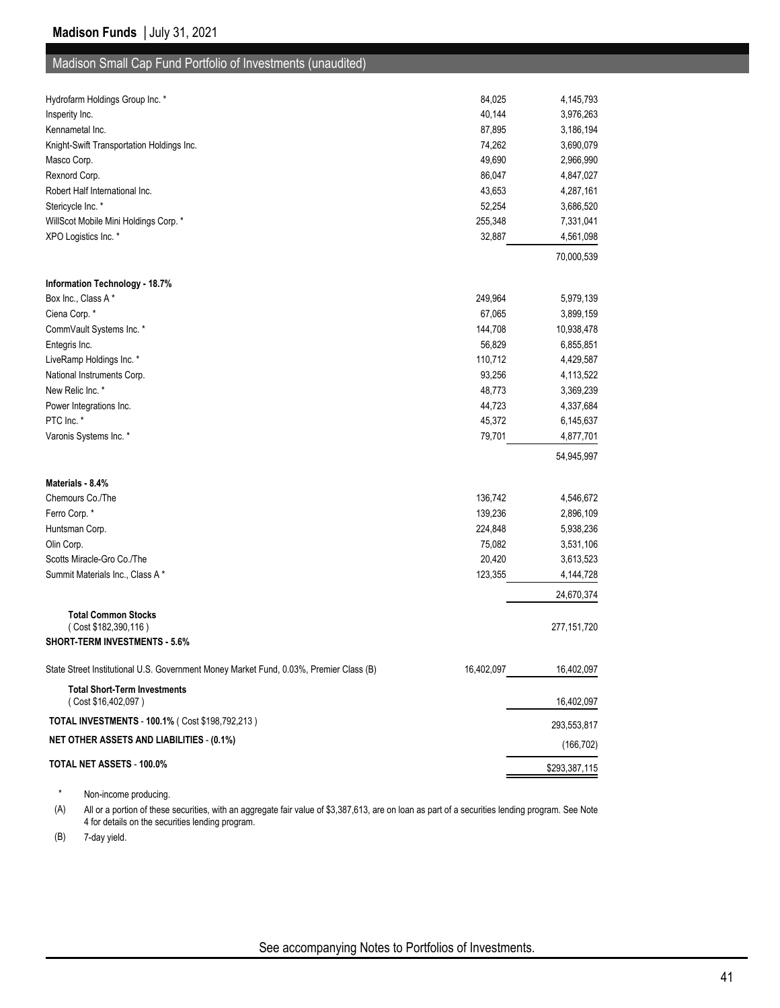| Madison Small Cap Fund Portfolio of Investments (unaudited)                            |            |               |
|----------------------------------------------------------------------------------------|------------|---------------|
|                                                                                        |            |               |
| Hydrofarm Holdings Group Inc. *                                                        | 84,025     | 4,145,793     |
| Insperity Inc.                                                                         | 40,144     | 3,976,263     |
| Kennametal Inc.                                                                        | 87,895     | 3,186,194     |
| Knight-Swift Transportation Holdings Inc.                                              | 74,262     | 3,690,079     |
| Masco Corp.                                                                            | 49,690     | 2,966,990     |
| Rexnord Corp.                                                                          | 86,047     | 4,847,027     |
| Robert Half International Inc.                                                         | 43,653     | 4,287,161     |
| Stericycle Inc. *                                                                      | 52,254     | 3,686,520     |
| WillScot Mobile Mini Holdings Corp. *                                                  | 255,348    | 7,331,041     |
| XPO Logistics Inc. *                                                                   | 32,887     | 4,561,098     |
|                                                                                        |            | 70,000,539    |
| Information Technology - 18.7%                                                         |            |               |
| Box Inc., Class A*                                                                     | 249,964    | 5,979,139     |
| Ciena Corp.*                                                                           | 67,065     | 3,899,159     |
| CommVault Systems Inc. *                                                               | 144,708    | 10,938,478    |
| Entegris Inc.                                                                          | 56,829     | 6,855,851     |
| LiveRamp Holdings Inc. *                                                               | 110,712    | 4,429,587     |
| National Instruments Corp.                                                             | 93,256     | 4,113,522     |
| New Relic Inc. *                                                                       | 48,773     | 3,369,239     |
| Power Integrations Inc.                                                                | 44,723     | 4,337,684     |
| PTC Inc. *                                                                             | 45,372     | 6,145,637     |
| Varonis Systems Inc. *                                                                 | 79,701     | 4,877,701     |
|                                                                                        |            | 54,945,997    |
| Materials - 8.4%                                                                       |            |               |
| Chemours Co./The                                                                       | 136,742    | 4,546,672     |
| Ferro Corp.*                                                                           | 139,236    | 2,896,109     |
| Huntsman Corp.                                                                         | 224,848    | 5,938,236     |
| Olin Corp.                                                                             | 75,082     | 3,531,106     |
| Scotts Miracle-Gro Co./The                                                             | 20,420     | 3,613,523     |
| Summit Materials Inc., Class A*                                                        | 123,355    | 4,144,728     |
|                                                                                        |            | 24,670,374    |
| <b>Total Common Stocks</b>                                                             |            |               |
| (Cost \$182,390,116)<br>SHORT-TERM INVESTMENTS - 5.6%                                  |            | 277, 151, 720 |
|                                                                                        |            |               |
| State Street Institutional U.S. Government Money Market Fund, 0.03%, Premier Class (B) | 16,402,097 | 16,402,097    |
| <b>Total Short-Term Investments</b><br>(Cost \$16,402,097)                             |            | 16,402,097    |
| TOTAL INVESTMENTS - 100.1% ( Cost \$198,792,213 )                                      |            | 293,553,817   |
| <b>NET OTHER ASSETS AND LIABILITIES - (0.1%)</b>                                       |            | (166, 702)    |

# **TOTAL NET ASSETS - 100.0%** \$293,387,115

\* Non-income producing.

(A) All or a portion of these securities, with an aggregate fair value of \$3,387,613, are on loan as part of a securities lending program. See Note 4 for details on the securities lending program.

(B) 7-day yield.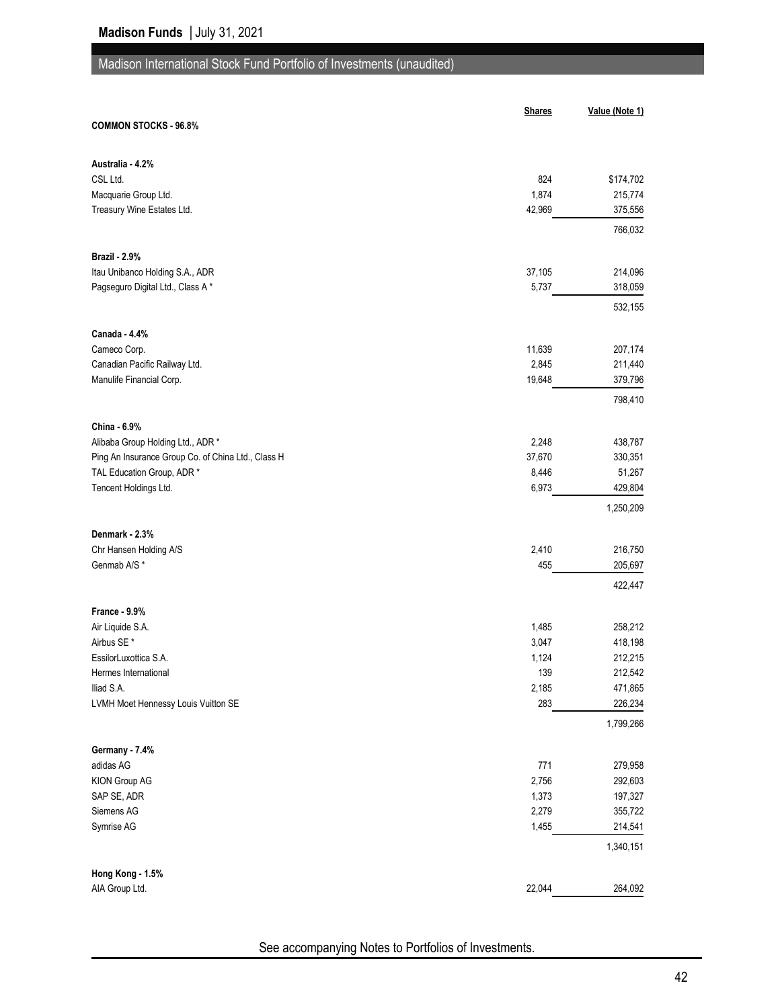## Madison International Stock Fund Portfolio of Investments (unaudited)

|                                                    | <b>Shares</b> | Value (Note 1) |
|----------------------------------------------------|---------------|----------------|
| <b>COMMON STOCKS - 96.8%</b>                       |               |                |
|                                                    |               |                |
| Australia - 4.2%                                   |               |                |
| CSL Ltd.                                           | 824           | \$174,702      |
| Macquarie Group Ltd.                               | 1,874         | 215,774        |
| Treasury Wine Estates Ltd.                         | 42,969        | 375,556        |
|                                                    |               | 766,032        |
| <b>Brazil - 2.9%</b>                               |               |                |
| Itau Unibanco Holding S.A., ADR                    | 37,105        | 214,096        |
| Pagseguro Digital Ltd., Class A*                   | 5,737         | 318,059        |
|                                                    |               | 532,155        |
|                                                    |               |                |
| Canada - 4.4%                                      |               |                |
| Cameco Corp.                                       | 11,639        | 207,174        |
| Canadian Pacific Railway Ltd.                      | 2,845         | 211,440        |
| Manulife Financial Corp.                           | 19,648        | 379,796        |
|                                                    |               | 798,410        |
| China - 6.9%                                       |               |                |
| Alibaba Group Holding Ltd., ADR *                  | 2,248         | 438,787        |
| Ping An Insurance Group Co. of China Ltd., Class H | 37,670        | 330,351        |
| TAL Education Group, ADR *                         | 8,446         | 51,267         |
| Tencent Holdings Ltd.                              | 6,973         | 429,804        |
|                                                    |               | 1,250,209      |
| Denmark - 2.3%                                     |               |                |
| Chr Hansen Holding A/S                             | 2,410         | 216,750        |
| Genmab A/S*                                        | 455           | 205,697        |
|                                                    |               | 422,447        |
|                                                    |               |                |
| France - 9.9%                                      |               |                |
| Air Liquide S.A.                                   | 1,485         | 258,212        |
| Airbus SE*                                         | 3,047         | 418,198        |
| EssilorLuxottica S.A.                              | 1,124         | 212,215        |
| Hermes International                               | 139           | 212,542        |
| Iliad S.A.<br>LVMH Moet Hennessy Louis Vuitton SE  | 2,185<br>283  | 471,865        |
|                                                    |               | 226,234        |
|                                                    |               | 1,799,266      |
| Germany - 7.4%                                     |               |                |
| adidas AG                                          | 771           | 279,958        |
| KION Group AG                                      | 2,756         | 292,603        |
| SAP SE, ADR                                        | 1,373         | 197,327        |
| Siemens AG                                         | 2,279         | 355,722        |
| Symrise AG                                         | 1,455         | 214,541        |
|                                                    |               | 1,340,151      |
| Hong Kong - 1.5%                                   |               |                |
| AIA Group Ltd.                                     | 22,044        | 264,092        |
|                                                    |               |                |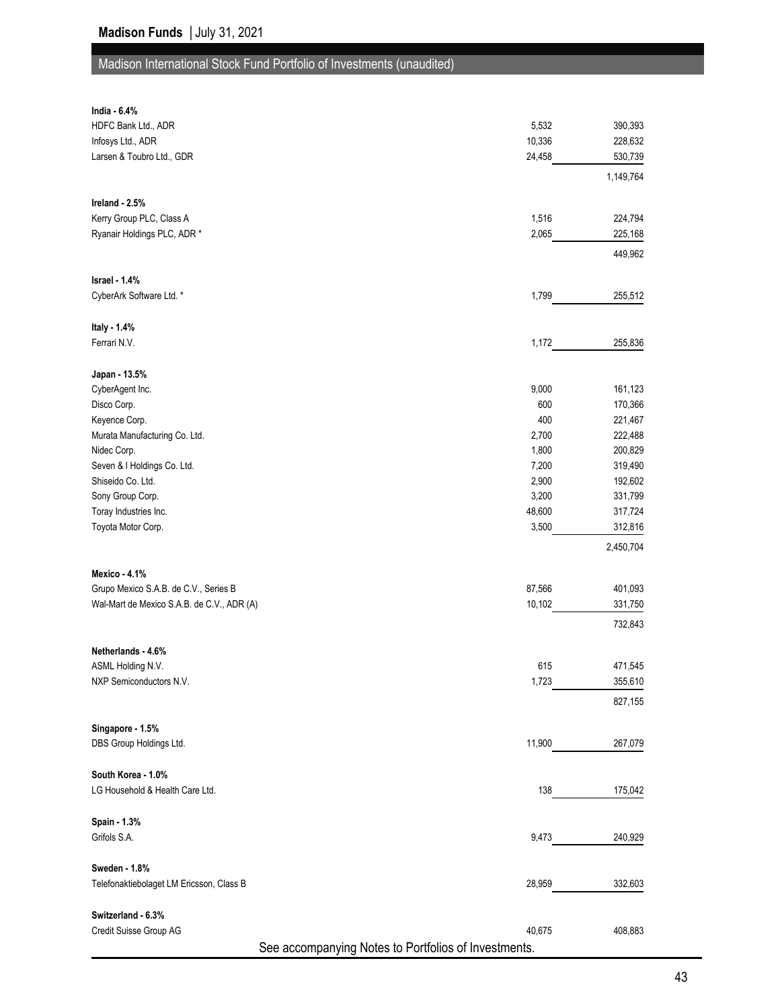# Madison International Stock Fund Portfolio of Investments (unaudited)

| India - 6.4%                                         |        |           |
|------------------------------------------------------|--------|-----------|
| HDFC Bank Ltd., ADR                                  | 5,532  | 390,393   |
| Infosys Ltd., ADR                                    | 10,336 | 228,632   |
| Larsen & Toubro Ltd., GDR                            | 24,458 | 530,739   |
|                                                      |        | 1,149,764 |
|                                                      |        |           |
| Ireland - 2.5%                                       |        |           |
| Kerry Group PLC, Class A                             | 1,516  | 224,794   |
| Ryanair Holdings PLC, ADR *                          | 2,065  | 225,168   |
|                                                      |        | 449,962   |
|                                                      |        |           |
| Israel - 1.4%                                        |        |           |
| CyberArk Software Ltd. *                             | 1,799  | 255,512   |
|                                                      |        |           |
| Italy - 1.4%                                         |        |           |
| Ferrari N.V.                                         | 1,172  | 255,836   |
|                                                      |        |           |
| Japan - 13.5%                                        |        |           |
| CyberAgent Inc.                                      | 9,000  | 161,123   |
| Disco Corp.                                          | 600    | 170,366   |
| Keyence Corp.                                        | 400    | 221,467   |
| Murata Manufacturing Co. Ltd.                        | 2,700  | 222,488   |
| Nidec Corp.                                          | 1,800  | 200,829   |
| Seven & I Holdings Co. Ltd.                          | 7,200  | 319,490   |
| Shiseido Co. Ltd.                                    | 2,900  | 192,602   |
| Sony Group Corp.                                     | 3,200  | 331,799   |
| Toray Industries Inc.                                | 48,600 | 317,724   |
| Toyota Motor Corp.                                   | 3,500  | 312,816   |
|                                                      |        | 2,450,704 |
| Mexico - 4.1%                                        |        |           |
| Grupo Mexico S.A.B. de C.V., Series B                | 87,566 | 401,093   |
| Wal-Mart de Mexico S.A.B. de C.V., ADR (A)           | 10,102 | 331,750   |
|                                                      |        |           |
|                                                      |        | 732,843   |
| Netherlands - 4.6%                                   |        |           |
| ASML Holding N.V.                                    | 615    | 471,545   |
| NXP Semiconductors N.V.                              | 1,723  | 355,610   |
|                                                      |        |           |
|                                                      |        | 827,155   |
| Singapore - 1.5%                                     |        |           |
| DBS Group Holdings Ltd.                              | 11,900 | 267,079   |
|                                                      |        |           |
| South Korea - 1.0%                                   |        |           |
| LG Household & Health Care Ltd.                      | 138    | 175,042   |
|                                                      |        |           |
| Spain - 1.3%                                         |        |           |
| Grifols S.A.                                         | 9,473  | 240,929   |
|                                                      |        |           |
| Sweden - 1.8%                                        |        |           |
| Telefonaktiebolaget LM Ericsson, Class B             | 28,959 | 332,603   |
|                                                      |        |           |
| Switzerland - 6.3%                                   |        |           |
| Credit Suisse Group AG                               | 40,675 | 408,883   |
| See accompanying Notes to Portfolios of Investments. |        |           |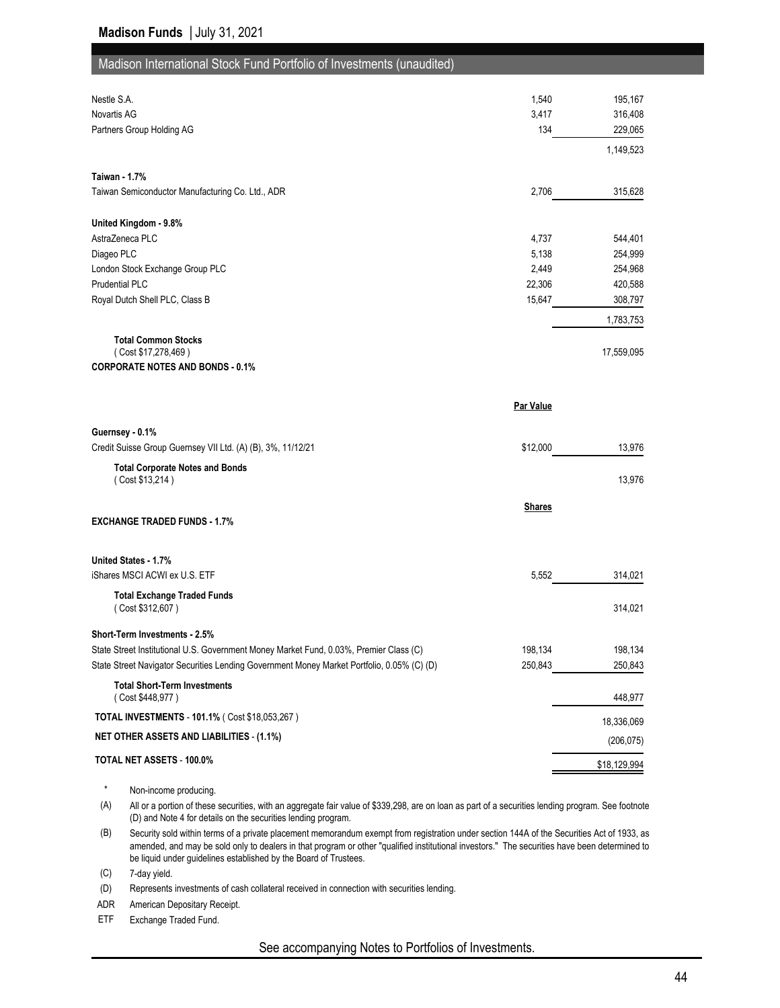| Madison International Stock Fund Portfolio of Investments (unaudited)                      |               |            |
|--------------------------------------------------------------------------------------------|---------------|------------|
| Nestle S.A.                                                                                | 1,540         | 195,167    |
| Novartis AG                                                                                | 3,417         | 316,408    |
| Partners Group Holding AG                                                                  | 134           | 229,065    |
|                                                                                            |               | 1,149,523  |
| <b>Taiwan - 1.7%</b>                                                                       |               |            |
| Taiwan Semiconductor Manufacturing Co. Ltd., ADR                                           | 2,706         | 315,628    |
| United Kingdom - 9.8%                                                                      |               |            |
| AstraZeneca PLC                                                                            | 4,737         | 544,401    |
| Diageo PLC                                                                                 | 5,138         | 254,999    |
| London Stock Exchange Group PLC                                                            | 2,449         | 254,968    |
| <b>Prudential PLC</b>                                                                      | 22,306        | 420,588    |
| Royal Dutch Shell PLC, Class B                                                             | 15,647        | 308,797    |
|                                                                                            |               | 1,783,753  |
| <b>Total Common Stocks</b><br>(Cost \$17,278,469)                                          |               | 17,559,095 |
| <b>CORPORATE NOTES AND BONDS - 0.1%</b>                                                    |               |            |
|                                                                                            | Par Value     |            |
| Guernsey - 0.1%                                                                            |               |            |
| Credit Suisse Group Guernsey VII Ltd. (A) (B), 3%, 11/12/21                                | \$12,000      | 13,976     |
| <b>Total Corporate Notes and Bonds</b><br>(Cost \$13,214)                                  |               | 13,976     |
|                                                                                            | <b>Shares</b> |            |
| <b>EXCHANGE TRADED FUNDS - 1.7%</b>                                                        |               |            |
| United States - 1.7%                                                                       |               |            |
| iShares MSCI ACWI ex U.S. ETF                                                              | 5,552         | 314,021    |
| <b>Total Exchange Traded Funds</b><br>(Cost \$312,607)                                     |               | 314,021    |
| Short-Term Investments - 2.5%                                                              |               |            |
| State Street Institutional U.S. Government Money Market Fund, 0.03%, Premier Class (C)     | 198,134       | 198,134    |
| State Street Navigator Securities Lending Government Money Market Portfolio, 0.05% (C) (D) | 250,843       | 250,843    |
| <b>Total Short-Term Investments</b><br>(Cost \$448,977)                                    |               | 448,977    |
| TOTAL INVESTMENTS - 101.1% ( Cost \$18,053,267 )                                           |               |            |
|                                                                                            |               | 18,336,069 |
|                                                                                            |               |            |
| <b>NET OTHER ASSETS AND LIABILITIES - (1.1%)</b><br>TOTAL NET ASSETS - 100.0%              |               | (206, 075) |

\* Non-income producing.

(A) All or a portion of these securities, with an aggregate fair value of \$339,298, are on loan as part of a securities lending program. See footnote (D) and Note 4 for details on the securities lending program.

(B) Security sold within terms of a private placement memorandum exempt from registration under section 144A of the Securities Act of 1933, as amended, and may be sold only to dealers in that program or other "qualified institutional investors." The securities have been determined to be liquid under guidelines established by the Board of Trustees.

(C) 7-day yield.

(D) Represents investments of cash collateral received in connection with securities lending.

ADR American Depositary Receipt.

ETF Exchange Traded Fund.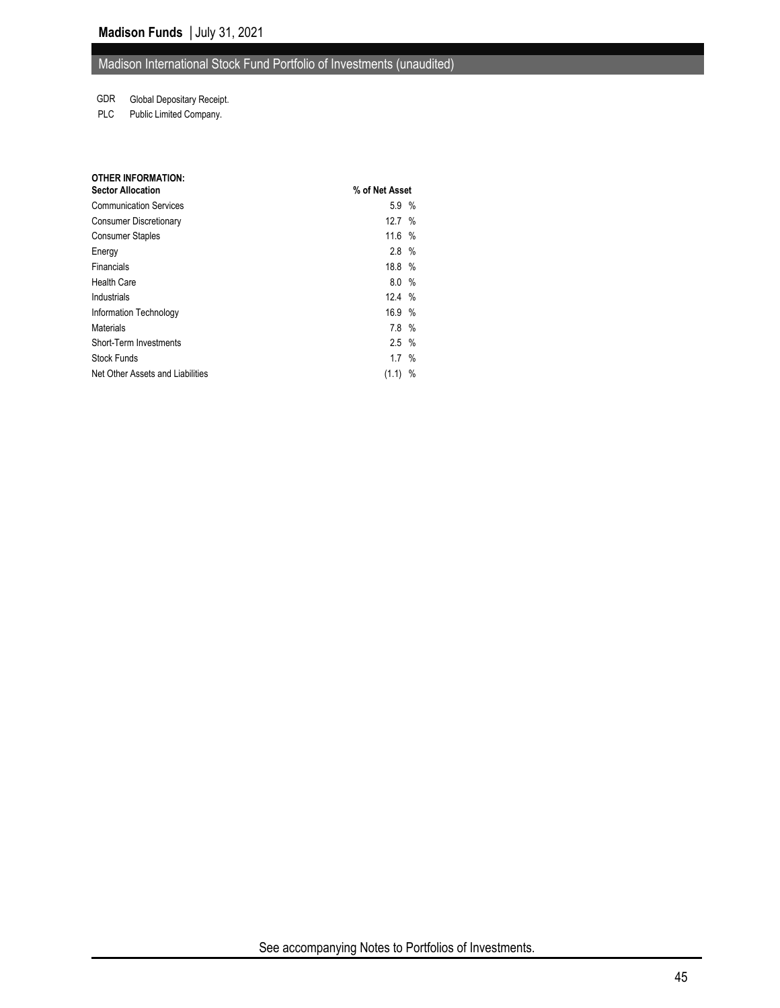#### Madison International Stock Fund Portfolio of Investments (unaudited)

#### GDR Global Depositary Receipt.

PLC Public Limited Company.

| <b>OTHER INFORMATION:</b>        |                   |   |
|----------------------------------|-------------------|---|
| <b>Sector Allocation</b>         | % of Net Asset    |   |
| <b>Communication Services</b>    | 5.9 %             |   |
| <b>Consumer Discretionary</b>    | 12.7 %            |   |
| <b>Consumer Staples</b>          | 11.6%             |   |
| Energy                           | 2.8%              |   |
| Financials                       | 18.8 %            |   |
| <b>Health Care</b>               | 8.0%              |   |
| Industrials                      | 12.4%             |   |
| Information Technology           | 16.9%             |   |
| Materials                        | 7.8%              |   |
| Short-Term Investments           | $2.5\%$           |   |
| <b>Stock Funds</b>               | $1.7 \frac{9}{6}$ |   |
| Net Other Assets and Liabilities | (1.1)             | % |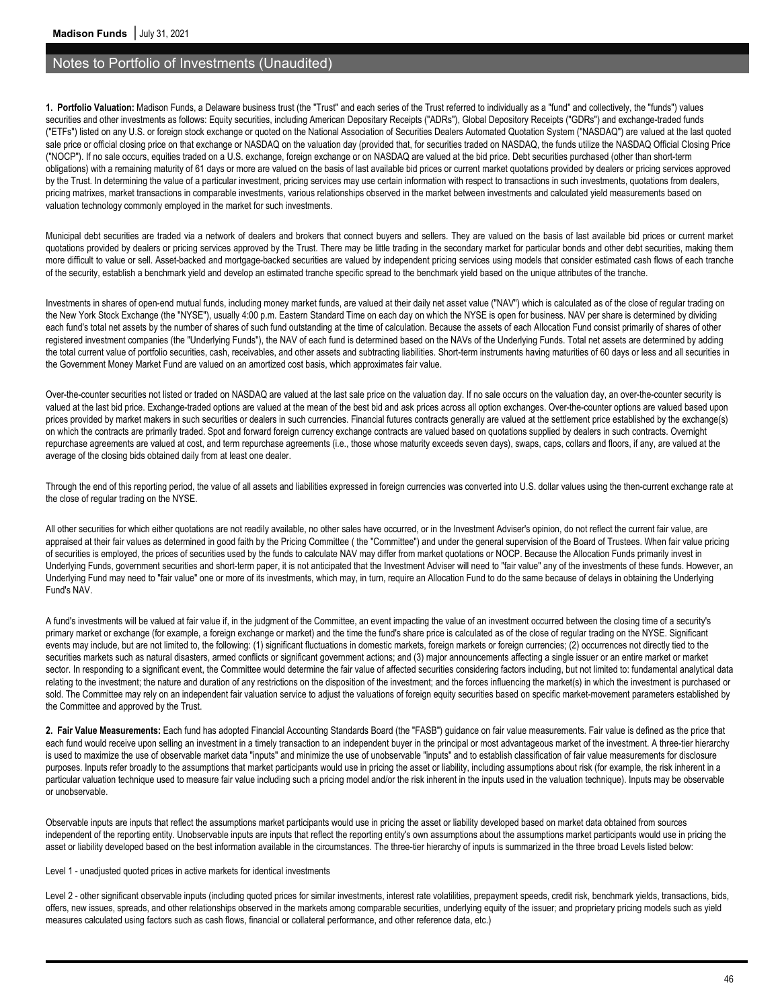#### Notes to Portfolio of Investments (Unaudited)

**1. Portfolio Valuation:** Madison Funds, a Delaware business trust (the "Trust" and each series of the Trust referred to individually as a "fund" and collectively, the "funds") values securities and other investments as follows: Equity securities, including American Depositary Receipts ("ADRs"), Global Depository Receipts ("GDRs") and exchange-traded funds ("ETFs") listed on any U.S. or foreign stock exchange or quoted on the National Association of Securities Dealers Automated Quotation System ("NASDAQ") are valued at the last quoted sale price or official closing price on that exchange or NASDAQ on the valuation day (provided that, for securities traded on NASDAQ, the funds utilize the NASDAQ Official Closing Price ("NOCP"). If no sale occurs, equities traded on a U.S. exchange, foreign exchange or on NASDAQ are valued at the bid price. Debt securities purchased (other than short-term obligations) with a remaining maturity of 61 days or more are valued on the basis of last available bid prices or current market quotations provided by dealers or pricing services approved by the Trust. In determining the value of a particular investment, pricing services may use certain information with respect to transactions in such investments, quotations from dealers, pricing matrixes, market transactions in comparable investments, various relationships observed in the market between investments and calculated yield measurements based on valuation technology commonly employed in the market for such investments.

Municipal debt securities are traded via a network of dealers and brokers that connect buyers and sellers. They are valued on the basis of last available bid prices or current market quotations provided by dealers or pricing services approved by the Trust. There may be little trading in the secondary market for particular bonds and other debt securities, making them more difficult to value or sell. Asset-backed and mortgage-backed securities are valued by independent pricing services using models that consider estimated cash flows of each tranche of the security, establish a benchmark yield and develop an estimated tranche specific spread to the benchmark yield based on the unique attributes of the tranche.

Investments in shares of open-end mutual funds, including money market funds, are valued at their daily net asset value ("NAV") which is calculated as of the close of regular trading on the New York Stock Exchange (the "NYSE"), usually 4:00 p.m. Eastern Standard Time on each day on which the NYSE is open for business. NAV per share is determined by dividing each fund's total net assets by the number of shares of such fund outstanding at the time of calculation. Because the assets of each Allocation Fund consist primarily of shares of other registered investment companies (the "Underlying Funds"), the NAV of each fund is determined based on the NAVs of the Underlying Funds. Total net assets are determined by adding the total current value of portfolio securities, cash, receivables, and other assets and subtracting liabilities. Short-term instruments having maturities of 60 days or less and all securities in the Government Money Market Fund are valued on an amortized cost basis, which approximates fair value.

Over-the-counter securities not listed or traded on NASDAQ are valued at the last sale price on the valuation day. If no sale occurs on the valuation day, an over-the-counter security is valued at the last bid price. Exchange-traded options are valued at the mean of the best bid and ask prices across all option exchanges. Over-the-counter options are valued based upon prices provided by market makers in such securities or dealers in such currencies. Financial futures contracts generally are valued at the settlement price established by the exchange(s) on which the contracts are primarily traded. Spot and forward foreign currency exchange contracts are valued based on quotations supplied by dealers in such contracts. Overnight repurchase agreements are valued at cost, and term repurchase agreements (i.e., those whose maturity exceeds seven days), swaps, caps, collars and floors, if any, are valued at the average of the closing bids obtained daily from at least one dealer.

Through the end of this reporting period, the value of all assets and liabilities expressed in foreign currencies was converted into U.S. dollar values using the then-current exchange rate at the close of regular trading on the NYSE.

All other securities for which either quotations are not readily available, no other sales have occurred, or in the Investment Adviser's opinion, do not reflect the current fair value, are appraised at their fair values as determined in good faith by the Pricing Committee (the "Committee") and under the general supervision of the Board of Trustees. When fair value pricing of securities is employed, the prices of securities used by the funds to calculate NAV may differ from market quotations or NOCP. Because the Allocation Funds primarily invest in Underlying Funds, government securities and short-term paper, it is not anticipated that the Investment Adviser will need to "fair value" any of the investments of these funds. However, an Underlying Fund may need to "fair value" one or more of its investments, which may, in turn, require an Allocation Fund to do the same because of delays in obtaining the Underlying Fund's NAV.

A fund's investments will be valued at fair value if, in the judgment of the Committee, an event impacting the value of an investment occurred between the closing time of a security's primary market or exchange (for example, a foreign exchange or market) and the time the fund's share price is calculated as of the close of regular trading on the NYSE. Significant events may include, but are not limited to, the following: (1) significant fluctuations in domestic markets, foreign markets or foreign currencies; (2) occurrences not directly tied to the securities markets such as natural disasters, armed conflicts or significant government actions; and (3) major announcements affecting a single issuer or an entire market or market sector. In responding to a significant event, the Committee would determine the fair value of affected securities considering factors including, but not limited to: fundamental analytical data relating to the investment; the nature and duration of any restrictions on the disposition of the investment; and the forces influencing the market(s) in which the investment is purchased or sold. The Committee may rely on an independent fair valuation service to adjust the valuations of foreign equity securities based on specific market-movement parameters established by the Committee and approved by the Trust.

**2. Fair Value Measurements:** Each fund has adopted Financial Accounting Standards Board (the "FASB") guidance on fair value measurements. Fair value is defined as the price that each fund would receive upon selling an investment in a timely transaction to an independent buyer in the principal or most advantageous market of the investment. A three-tier hierarchy is used to maximize the use of observable market data "inputs" and minimize the use of unobservable "inputs" and to establish classification of fair value measurements for disclosure purposes. Inputs refer broadly to the assumptions that market participants would use in pricing the asset or liability, including assumptions about risk (for example, the risk inherent in a particular valuation technique used to measure fair value including such a pricing model and/or the risk inherent in the inputs used in the valuation technique). Inputs may be observable or unobservable.

Observable inputs are inputs that reflect the assumptions market participants would use in pricing the asset or liability developed based on market data obtained from sources independent of the reporting entity. Unobservable inputs are inputs that reflect the reporting entity's own assumptions about the assumptions market participants would use in pricing the asset or liability developed based on the best information available in the circumstances. The three-tier hierarchy of inputs is summarized in the three broad Levels listed below:

Level 1 - unadjusted quoted prices in active markets for identical investments

Level 2 - other significant observable inputs (including quoted prices for similar investments, interest rate volatilities, prepayment speeds, credit risk, benchmark yields, transactions, bids, offers, new issues, spreads, and other relationships observed in the markets among comparable securities, underlying equity of the issuer; and proprietary pricing models such as yield measures calculated using factors such as cash flows, financial or collateral performance, and other reference data, etc.)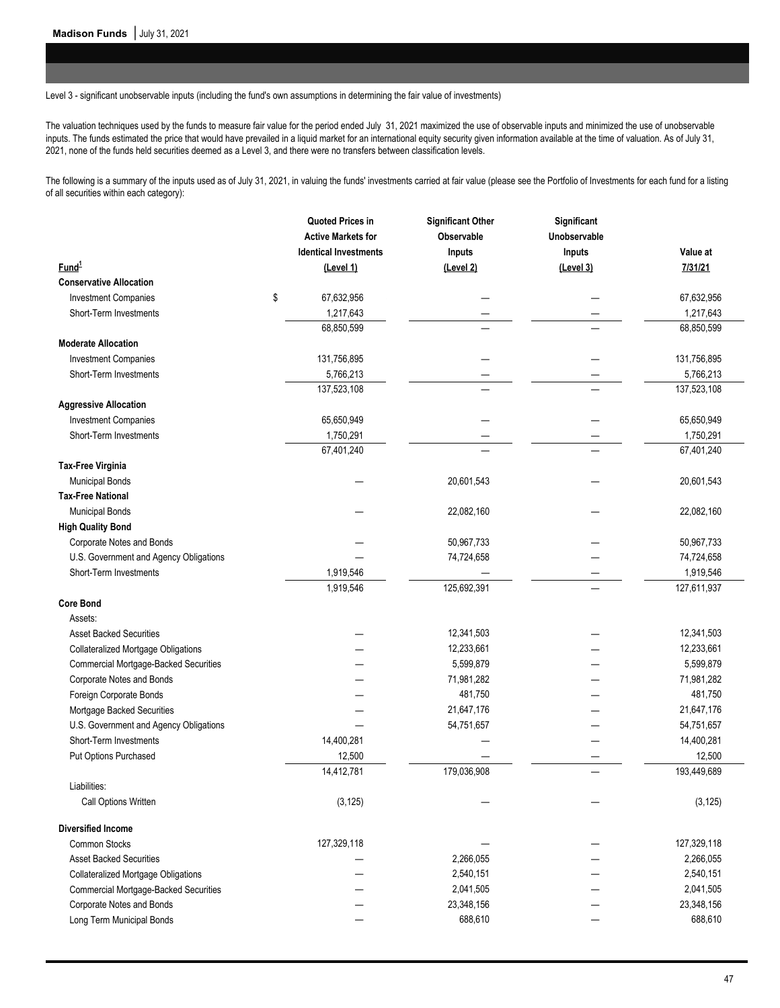Level 3 - significant unobservable inputs (including the fund's own assumptions in determining the fair value of investments)

The valuation techniques used by the funds to measure fair value for the period ended July 31, 2021 maximized the use of observable inputs and minimized the use of unobservable inputs. The funds estimated the price that would have prevailed in a liquid market for an international equity security given information available at the time of valuation. As of July 31, 2021, none of the funds held securities deemed as a Level 3, and there were no transfers between classification levels.

The following is a summary of the inputs used as of July 31, 2021, in valuing the funds' investments carried at fair value (please see the Portfolio of Investments for each fund for a listing of all securities within each category):

|                                              | Quoted Prices in             | <b>Significant Other</b> | Significant  |             |
|----------------------------------------------|------------------------------|--------------------------|--------------|-------------|
|                                              | <b>Active Markets for</b>    | Observable               | Unobservable |             |
|                                              | <b>Identical Investments</b> | Inputs                   | Inputs       | Value at    |
| Fund <sup>1</sup>                            | (Level 1)                    | (Level 2)                | (Level 3)    | 7/31/21     |
| <b>Conservative Allocation</b>               |                              |                          |              |             |
| <b>Investment Companies</b>                  | \$<br>67,632,956             |                          |              | 67,632,956  |
| Short-Term Investments                       | 1,217,643                    |                          |              | 1,217,643   |
|                                              | 68,850,599                   |                          |              | 68,850,599  |
| <b>Moderate Allocation</b>                   |                              |                          |              |             |
| <b>Investment Companies</b>                  | 131,756,895                  |                          |              | 131,756,895 |
| Short-Term Investments                       | 5,766,213                    |                          |              | 5,766,213   |
|                                              | 137,523,108                  |                          |              | 137,523,108 |
| <b>Aggressive Allocation</b>                 |                              |                          |              |             |
| <b>Investment Companies</b>                  | 65,650,949                   |                          |              | 65,650,949  |
| Short-Term Investments                       | 1,750,291                    |                          |              | 1,750,291   |
|                                              | 67,401,240                   |                          |              | 67,401,240  |
| <b>Tax-Free Virginia</b>                     |                              |                          |              |             |
| <b>Municipal Bonds</b>                       |                              | 20,601,543               |              | 20,601,543  |
| <b>Tax-Free National</b>                     |                              |                          |              |             |
| <b>Municipal Bonds</b>                       |                              | 22,082,160               |              | 22,082,160  |
| <b>High Quality Bond</b>                     |                              |                          |              |             |
| Corporate Notes and Bonds                    |                              | 50,967,733               |              | 50,967,733  |
| U.S. Government and Agency Obligations       |                              | 74,724,658               |              | 74,724,658  |
| Short-Term Investments                       | 1,919,546                    |                          |              | 1,919,546   |
|                                              | 1,919,546                    | 125,692,391              |              | 127,611,937 |
| <b>Core Bond</b>                             |                              |                          |              |             |
| Assets:                                      |                              |                          |              |             |
| <b>Asset Backed Securities</b>               |                              | 12,341,503               |              | 12,341,503  |
| <b>Collateralized Mortgage Obligations</b>   |                              | 12,233,661               |              | 12,233,661  |
| <b>Commercial Mortgage-Backed Securities</b> |                              | 5,599,879                |              | 5,599,879   |
| Corporate Notes and Bonds                    |                              | 71,981,282               |              | 71,981,282  |
| Foreign Corporate Bonds                      |                              | 481,750                  |              | 481,750     |
| Mortgage Backed Securities                   |                              | 21,647,176               |              | 21,647,176  |
| U.S. Government and Agency Obligations       |                              | 54,751,657               |              | 54,751,657  |
| Short-Term Investments                       | 14,400,281                   |                          |              | 14,400,281  |
| Put Options Purchased                        | 12,500                       |                          |              | 12,500      |
|                                              | 14,412,781                   | 179,036,908              |              | 193,449,689 |
| Liabilities:                                 |                              |                          |              |             |
| Call Options Written                         | (3, 125)                     |                          |              | (3, 125)    |
| <b>Diversified Income</b>                    |                              |                          |              |             |
| <b>Common Stocks</b>                         | 127,329,118                  |                          |              | 127,329,118 |
| <b>Asset Backed Securities</b>               |                              | 2,266,055                |              | 2,266,055   |
| <b>Collateralized Mortgage Obligations</b>   |                              | 2,540,151                |              | 2,540,151   |
| <b>Commercial Mortgage-Backed Securities</b> |                              | 2,041,505                |              | 2,041,505   |
| Corporate Notes and Bonds                    |                              | 23,348,156               |              | 23,348,156  |
| Long Term Municipal Bonds                    |                              | 688,610                  |              | 688,610     |
|                                              |                              |                          |              |             |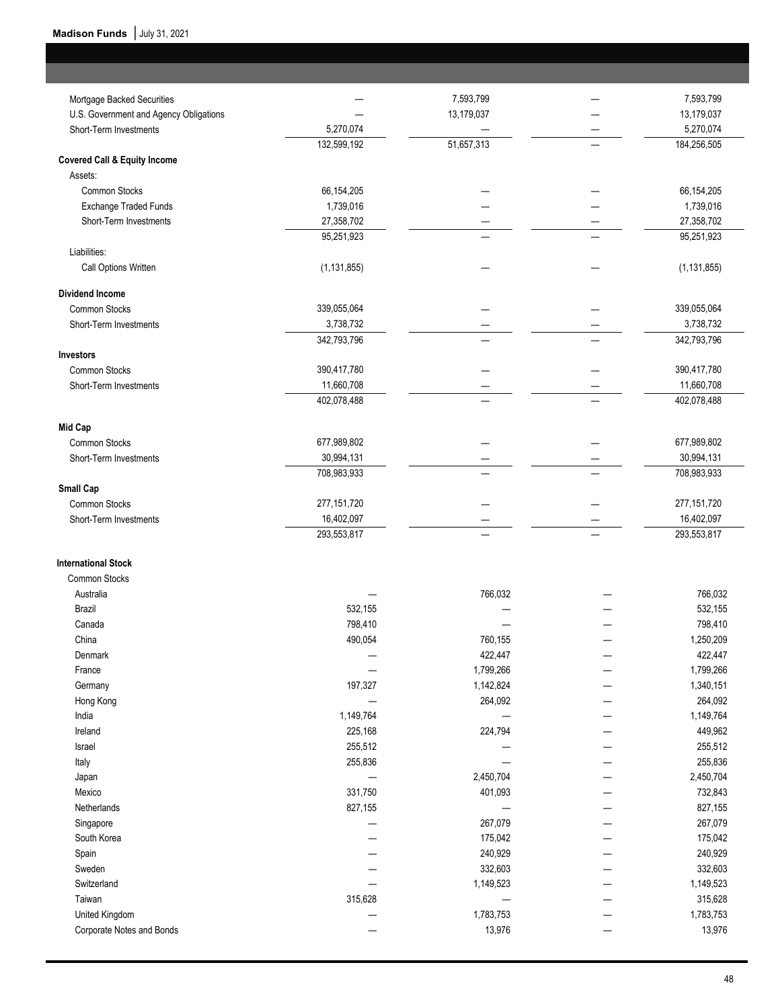ı

| Mortgage Backed Securities              |               | 7,593,799  | 7,593,799     |
|-----------------------------------------|---------------|------------|---------------|
| U.S. Government and Agency Obligations  |               | 13,179,037 | 13,179,037    |
| Short-Term Investments                  | 5,270,074     |            | 5,270,074     |
|                                         | 132,599,192   | 51,657,313 | 184,256,505   |
| <b>Covered Call &amp; Equity Income</b> |               |            |               |
| Assets:                                 |               |            |               |
| <b>Common Stocks</b>                    | 66,154,205    |            | 66,154,205    |
| <b>Exchange Traded Funds</b>            | 1,739,016     |            | 1,739,016     |
| Short-Term Investments                  | 27,358,702    |            | 27,358,702    |
|                                         | 95,251,923    |            | 95,251,923    |
| Liabilities:                            |               |            |               |
| Call Options Written                    | (1, 131, 855) |            | (1, 131, 855) |
|                                         |               |            |               |
| <b>Dividend Income</b>                  |               |            |               |
| Common Stocks                           | 339,055,064   |            | 339,055,064   |
| Short-Term Investments                  | 3,738,732     |            | 3,738,732     |
|                                         | 342,793,796   |            | 342,793,796   |
| Investors                               |               |            |               |
| Common Stocks                           | 390,417,780   |            | 390,417,780   |
| Short-Term Investments                  | 11,660,708    |            | 11,660,708    |
|                                         | 402,078,488   |            | 402,078,488   |
| <b>Mid Cap</b>                          |               |            |               |
| Common Stocks                           | 677,989,802   |            | 677,989,802   |
| Short-Term Investments                  | 30,994,131    |            | 30,994,131    |
|                                         | 708,983,933   |            | 708,983,933   |
| Small Cap                               |               |            |               |
| Common Stocks                           | 277, 151, 720 |            | 277, 151, 720 |
| Short-Term Investments                  | 16,402,097    |            | 16,402,097    |
|                                         | 293,553,817   |            | 293,553,817   |
| <b>International Stock</b>              |               |            |               |
| Common Stocks                           |               |            |               |
| Australia                               |               | 766,032    | 766,032       |
| Brazil                                  | 532,155       |            | 532,155       |
| Canada                                  | 798,410       |            | 798,410       |
| China                                   | 490,054       | 760,155    | 1,250,209     |
| Denmark                                 |               | 422,447    | 422,447       |
| France                                  |               | 1,799,266  | 1,799,266     |
| Germany                                 | 197,327       | 1,142,824  | 1,340,151     |
| Hong Kong                               |               | 264,092    | 264,092       |
| India                                   | 1,149,764     |            | 1,149,764     |
| Ireland                                 | 225,168       | 224,794    | 449,962       |
| Israel                                  | 255,512       |            | 255,512       |
| Italy                                   | 255,836       |            | 255,836       |
| Japan                                   |               | 2,450,704  | 2,450,704     |
| Mexico                                  | 331,750       | 401,093    | 732,843       |
| Netherlands                             | 827,155       |            |               |
|                                         |               | 267,079    | 827,155       |
| Singapore<br>South Korea                |               |            | 267,079       |
|                                         |               | 175,042    | 175,042       |
| Spain                                   |               | 240,929    | 240,929       |
| Sweden                                  |               | 332,603    | 332,603       |
| Switzerland                             |               | 1,149,523  | 1,149,523     |
| Taiwan                                  | 315,628       |            | 315,628       |
| United Kingdom                          |               | 1,783,753  | 1,783,753     |
| Corporate Notes and Bonds               |               | 13,976     | 13,976        |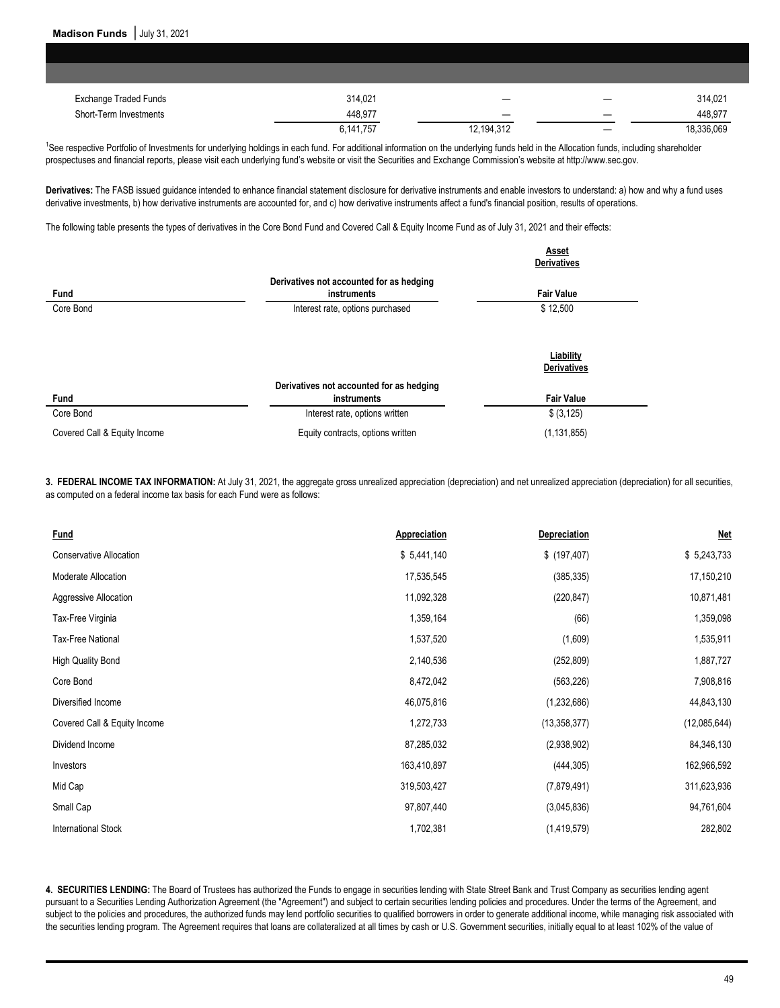| <b>Exchange Traded Funds</b> | 314.021   |            |   | 314.021    |
|------------------------------|-----------|------------|---|------------|
| Short-Term Investments       | 448,977   |            |   | 448,977    |
|                              | 6,141,757 | 12,194,312 | – | 18,336,069 |

<sup>1</sup>See respective Portfolio of Investments for underlying holdings in each fund. For additional information on the underlying funds held in the Allocation funds, including shareholder prospectuses and financial reports, please visit each underlying fund's website or visit the Securities and Exchange Commission's website at http://www.sec.gov.

**Derivatives:** The FASB issued guidance intended to enhance financial statement disclosure for derivative instruments and enable investors to understand: a) how and why a fund uses derivative investments, b) how derivative instruments are accounted for, and c) how derivative instruments affect a fund's financial position, results of operations.

The following table presents the types of derivatives in the Core Bond Fund and Covered Call & Equity Income Fund as of July 31, 2021 and their effects:

|                              |                                                         | Asset<br><b>Derivatives</b>     |
|------------------------------|---------------------------------------------------------|---------------------------------|
| Fund                         | Derivatives not accounted for as hedging<br>instruments | <b>Fair Value</b>               |
| Core Bond                    | Interest rate, options purchased                        | \$12,500                        |
|                              |                                                         | Liability<br><b>Derivatives</b> |
| Fund                         | Derivatives not accounted for as hedging<br>instruments | <b>Fair Value</b>               |
| Core Bond                    | Interest rate, options written                          | \$ (3, 125)                     |
| Covered Call & Equity Income | Equity contracts, options written                       | (1.131.855)                     |

**3. FEDERAL INCOME TAX INFORMATION:** At July 31, 2021, the aggregate gross unrealized appreciation (depreciation) and net unrealized appreciation (depreciation) for all securities, as computed on a federal income tax basis for each Fund were as follows:

| Fund                           | Appreciation | Depreciation   | <b>Net</b>   |
|--------------------------------|--------------|----------------|--------------|
| <b>Conservative Allocation</b> | \$5,441,140  | \$ (197, 407)  | \$5,243,733  |
| Moderate Allocation            | 17,535,545   | (385, 335)     | 17,150,210   |
| Aggressive Allocation          | 11,092,328   | (220, 847)     | 10,871,481   |
| Tax-Free Virginia              | 1,359,164    | (66)           | 1,359,098    |
| <b>Tax-Free National</b>       | 1,537,520    | (1,609)        | 1,535,911    |
| <b>High Quality Bond</b>       | 2,140,536    | (252, 809)     | 1,887,727    |
| Core Bond                      | 8,472,042    | (563, 226)     | 7,908,816    |
| Diversified Income             | 46,075,816   | (1, 232, 686)  | 44,843,130   |
| Covered Call & Equity Income   | 1,272,733    | (13, 358, 377) | (12,085,644) |
| Dividend Income                | 87,285,032   | (2,938,902)    | 84,346,130   |
| Investors                      | 163,410,897  | (444, 305)     | 162,966,592  |
| Mid Cap                        | 319,503,427  | (7,879,491)    | 311,623,936  |
| Small Cap                      | 97,807,440   | (3,045,836)    | 94,761,604   |
| <b>International Stock</b>     | 1,702,381    | (1, 419, 579)  | 282,802      |

**4. SECURITIES LENDING:** The Board of Trustees has authorized the Funds to engage in securities lending with State Street Bank and Trust Company as securities lending agent pursuant to a Securities Lending Authorization Agreement (the "Agreement") and subject to certain securities lending policies and procedures. Under the terms of the Agreement, and subject to the policies and procedures, the authorized funds may lend portfolio securities to qualified borrowers in order to generate additional income, while managing risk associated with the securities lending program. The Agreement requires that loans are collateralized at all times by cash or U.S. Government securities, initially equal to at least 102% of the value of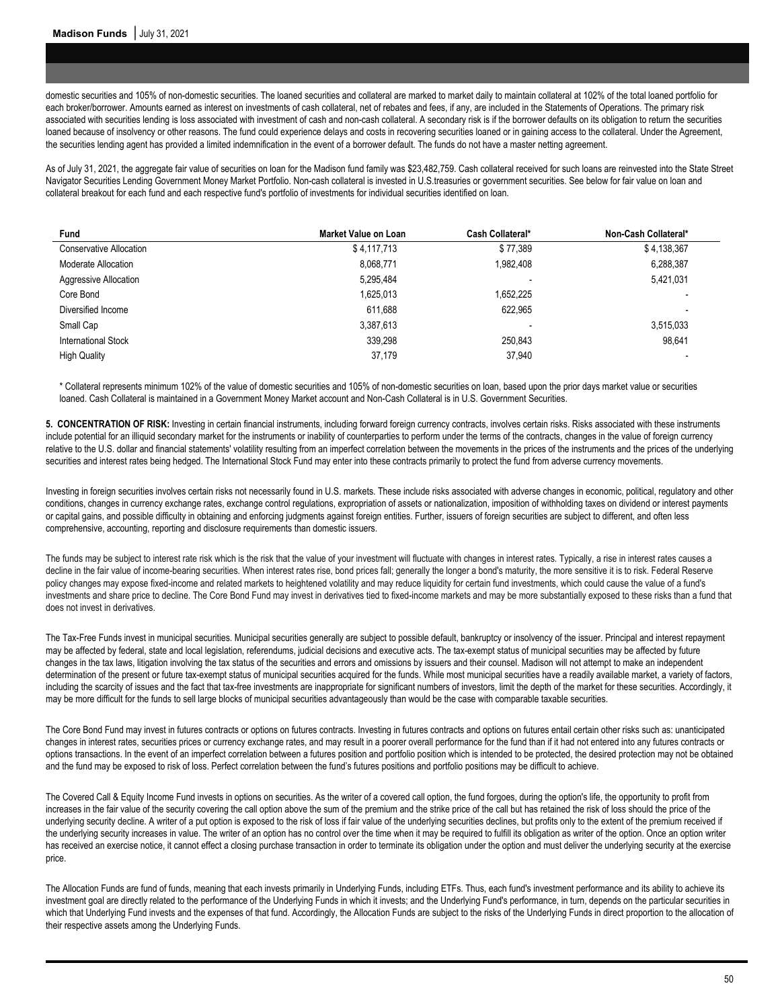domestic securities and 105% of non-domestic securities. The loaned securities and collateral are marked to market daily to maintain collateral at 102% of the total loaned portfolio for each broker/borrower. Amounts earned as interest on investments of cash collateral, net of rebates and fees, if any, are included in the Statements of Operations. The primary risk associated with securities lending is loss associated with investment of cash and non-cash collateral. A secondary risk is if the borrower defaults on its obligation to return the securities loaned because of insolvency or other reasons. The fund could experience delays and costs in recovering securities loaned or in gaining access to the collateral. Under the Agreement, the securities lending agent has provided a limited indemnification in the event of a borrower default. The funds do not have a master netting agreement.

As of July 31, 2021, the aggregate fair value of securities on loan for the Madison fund family was \$23,482,759. Cash collateral received for such loans are reinvested into the State Street Navigator Securities Lending Government Money Market Portfolio. Non-cash collateral is invested in U.S.treasuries or government securities. See below for fair value on loan and collateral breakout for each fund and each respective fund's portfolio of investments for individual securities identified on loan.

| <b>Fund</b>             | <b>Market Value on Loan</b> | Cash Collateral* | Non-Cash Collateral* |
|-------------------------|-----------------------------|------------------|----------------------|
| Conservative Allocation | \$4,117,713                 | \$77,389         | \$4,138,367          |
| Moderate Allocation     | 8,068,771                   | 1,982,408        | 6,288,387            |
| Aggressive Allocation   | 5,295,484                   |                  | 5,421,031            |
| Core Bond               | 1,625,013                   | 1,652,225        |                      |
| Diversified Income      | 611,688                     | 622.965          |                      |
| Small Cap               | 3,387,613                   | -                | 3,515,033            |
| International Stock     | 339.298                     | 250.843          | 98.641               |
| <b>High Quality</b>     | 37.179                      | 37.940           |                      |

\* Collateral represents minimum 102% of the value of domestic securities and 105% of non-domestic securities on loan, based upon the prior days market value or securities loaned. Cash Collateral is maintained in a Government Money Market account and Non-Cash Collateral is in U.S. Government Securities.

**5. CONCENTRATION OF RISK:** Investing in certain financial instruments, including forward foreign currency contracts, involves certain risks. Risks associated with these instruments include potential for an illiquid secondary market for the instruments or inability of counterparties to perform under the terms of the contracts, changes in the value of foreign currency relative to the U.S. dollar and financial statements' volatility resulting from an imperfect correlation between the movements in the prices of the instruments and the prices of the underlying securities and interest rates being hedged. The International Stock Fund may enter into these contracts primarily to protect the fund from adverse currency movements.

Investing in foreign securities involves certain risks not necessarily found in U.S. markets. These include risks associated with adverse changes in economic, political, regulatory and other conditions, changes in currency exchange rates, exchange control regulations, expropriation of assets or nationalization, imposition of withholding taxes on dividend or interest payments or capital gains, and possible difficulty in obtaining and enforcing judgments against foreign entities. Further, issuers of foreign securities are subject to different, and often less comprehensive, accounting, reporting and disclosure requirements than domestic issuers.

The funds may be subject to interest rate risk which is the risk that the value of your investment will fluctuate with changes in interest rates. Typically, a rise in interest rates causes a decline in the fair value of income-bearing securities. When interest rates rise, bond prices fall; generally the longer a bond's maturity, the more sensitive it is to risk. Federal Reserve policy changes may expose fixed-income and related markets to heightened volatility and may reduce liquidity for certain fund investments, which could cause the value of a fund's investments and share price to decline. The Core Bond Fund may invest in derivatives tied to fixed-income markets and may be more substantially exposed to these risks than a fund that does not invest in derivatives.

The Tax-Free Funds invest in municipal securities. Municipal securities generally are subject to possible default, bankruptcy or insolvency of the issuer. Principal and interest repayment may be affected by federal, state and local legislation, referendums, judicial decisions and executive acts. The tax-exempt status of municipal securities may be affected by future changes in the tax laws, litigation involving the tax status of the securities and errors and omissions by issuers and their counsel. Madison will not attempt to make an independent determination of the present or future tax-exempt status of municipal securities acquired for the funds. While most municipal securities have a readily available market, a variety of factors, including the scarcity of issues and the fact that tax-free investments are inappropriate for significant numbers of investors, limit the depth of the market for these securities. Accordingly, it may be more difficult for the funds to sell large blocks of municipal securities advantageously than would be the case with comparable taxable securities.

The Core Bond Fund may invest in futures contracts or options on futures contracts. Investing in futures contracts and options on futures entail certain other risks such as: unanticipated changes in interest rates, securities prices or currency exchange rates, and may result in a poorer overall performance for the fund than if it had not entered into any futures contracts or options transactions. In the event of an imperfect correlation between a futures position and portfolio position which is intended to be protected, the desired protection may not be obtained and the fund may be exposed to risk of loss. Perfect correlation between the fund's futures positions and portfolio positions may be difficult to achieve.

The Covered Call & Equity Income Fund invests in options on securities. As the writer of a covered call option, the fund forgoes, during the option's life, the opportunity to profit from increases in the fair value of the security covering the call option above the sum of the premium and the strike price of the call but has retained the risk of loss should the price of the underlying security decline. A writer of a put option is exposed to the risk of loss if fair value of the underlying securities declines, but profits only to the extent of the premium received if the underlying security increases in value. The writer of an option has no control over the time when it may be required to fulfill its obligation as writer of the option. Once an option writer has received an exercise notice, it cannot effect a closing purchase transaction in order to terminate its obligation under the option and must deliver the underlying security at the exercise price.

The Allocation Funds are fund of funds, meaning that each invests primarily in Underlying Funds, including ETFs. Thus, each fund's investment performance and its ability to achieve its investment goal are directly related to the performance of the Underlying Funds in which it invests; and the Underlying Fund's performance, in turn, depends on the particular securities in which that Underlying Fund invests and the expenses of that fund. Accordingly, the Allocation Funds are subject to the risks of the Underlying Funds in direct proportion to the allocation of their respective assets among the Underlying Funds.